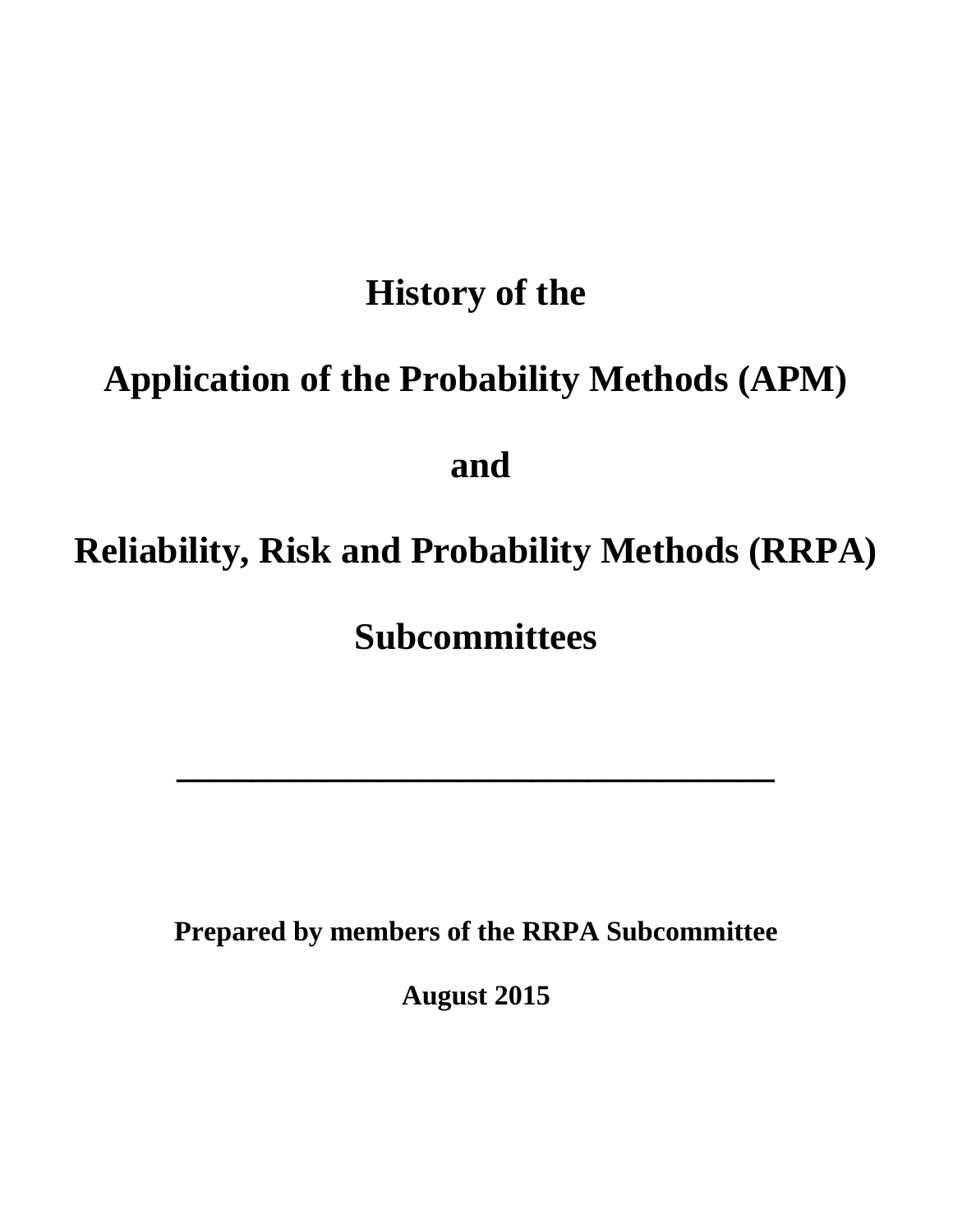## **History of the**

# **Application of the Probability Methods (APM)**

## **and**

# **Reliability, Risk and Probability Methods (RRPA)**

**Subcommittees**

**\_\_\_\_\_\_\_\_\_\_\_\_\_\_\_\_\_\_\_\_\_\_\_\_\_\_\_\_\_\_\_\_**

**Prepared by members of the RRPA Subcommittee**

**August 2015**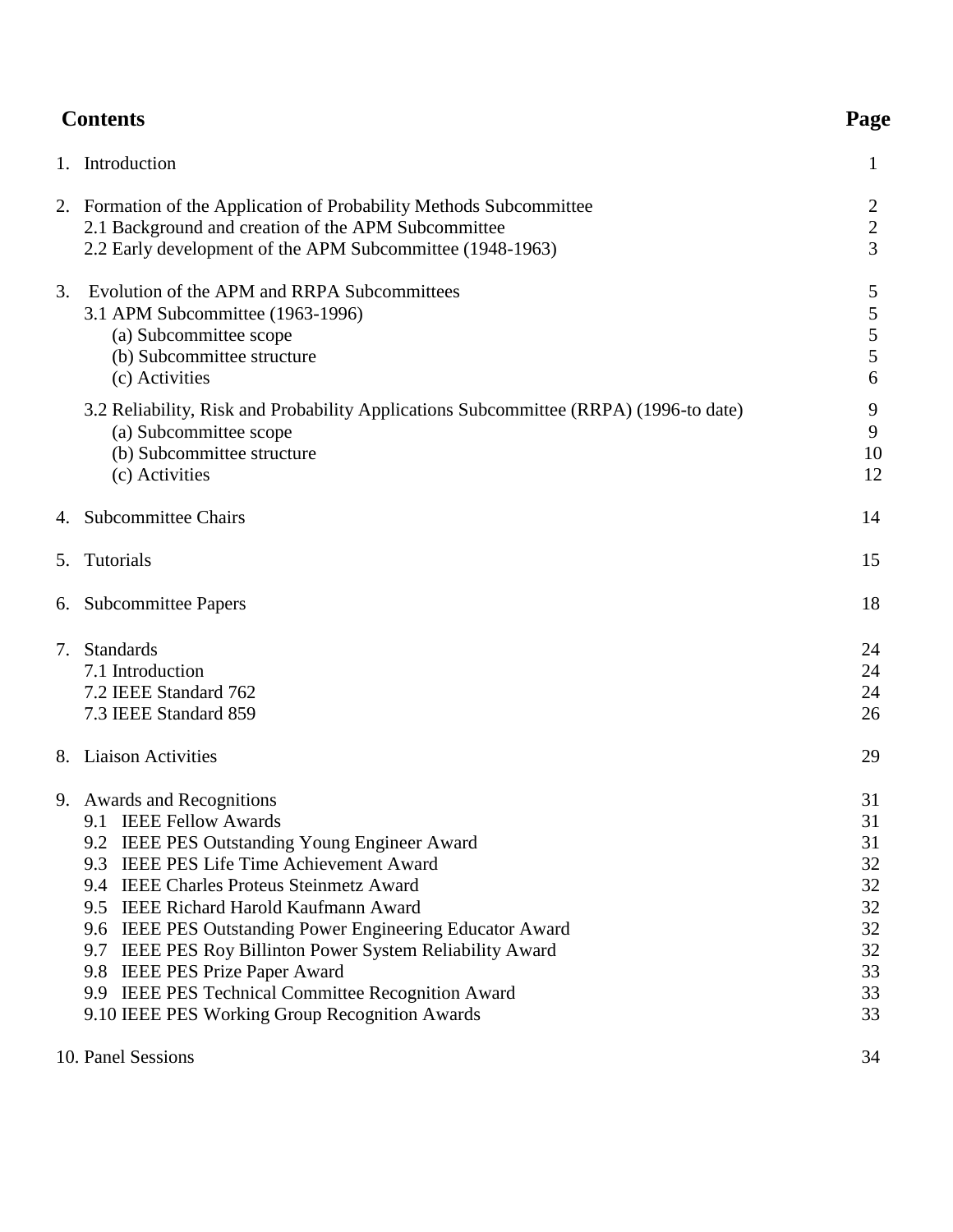| <b>Contents</b> |                                                                                                                                                                                                                                                                                                                                                                                                                                                                                                             |                                                                |
|-----------------|-------------------------------------------------------------------------------------------------------------------------------------------------------------------------------------------------------------------------------------------------------------------------------------------------------------------------------------------------------------------------------------------------------------------------------------------------------------------------------------------------------------|----------------------------------------------------------------|
|                 | 1. Introduction                                                                                                                                                                                                                                                                                                                                                                                                                                                                                             | 1                                                              |
|                 | 2. Formation of the Application of Probability Methods Subcommittee<br>2.1 Background and creation of the APM Subcommittee<br>2.2 Early development of the APM Subcommittee (1948-1963)                                                                                                                                                                                                                                                                                                                     | 2<br>$\mathbf{2}$<br>3                                         |
| 3.              | Evolution of the APM and RRPA Subcommittees<br>3.1 APM Subcommittee (1963-1996)<br>(a) Subcommittee scope<br>(b) Subcommittee structure<br>(c) Activities                                                                                                                                                                                                                                                                                                                                                   | 5<br>5<br>5<br>5<br>6                                          |
|                 | 3.2 Reliability, Risk and Probability Applications Subcommittee (RRPA) (1996-to date)<br>(a) Subcommittee scope<br>(b) Subcommittee structure<br>(c) Activities                                                                                                                                                                                                                                                                                                                                             | 9<br>9<br>10<br>12                                             |
|                 | 4. Subcommittee Chairs                                                                                                                                                                                                                                                                                                                                                                                                                                                                                      | 14                                                             |
| 5.              | Tutorials                                                                                                                                                                                                                                                                                                                                                                                                                                                                                                   | 15                                                             |
|                 | 6. Subcommittee Papers                                                                                                                                                                                                                                                                                                                                                                                                                                                                                      | 18                                                             |
| 7.              | <b>Standards</b><br>7.1 Introduction<br>7.2 IEEE Standard 762<br>7.3 IEEE Standard 859                                                                                                                                                                                                                                                                                                                                                                                                                      | 24<br>24<br>24<br>26                                           |
|                 | 8. Liaison Activities                                                                                                                                                                                                                                                                                                                                                                                                                                                                                       | 29                                                             |
|                 | 9. Awards and Recognitions<br>9.1 IEEE Fellow Awards<br>9.2 IEEE PES Outstanding Young Engineer Award<br>9.3 IEEE PES Life Time Achievement Award<br>9.4 IEEE Charles Proteus Steinmetz Award<br>9.5 IEEE Richard Harold Kaufmann Award<br>9.6 IEEE PES Outstanding Power Engineering Educator Award<br>9.7 IEEE PES Roy Billinton Power System Reliability Award<br>9.8 IEEE PES Prize Paper Award<br>9.9 IEEE PES Technical Committee Recognition Award<br>9.10 IEEE PES Working Group Recognition Awards | 31<br>31<br>31<br>32<br>32<br>32<br>32<br>32<br>33<br>33<br>33 |
|                 | 10. Panel Sessions                                                                                                                                                                                                                                                                                                                                                                                                                                                                                          | 34                                                             |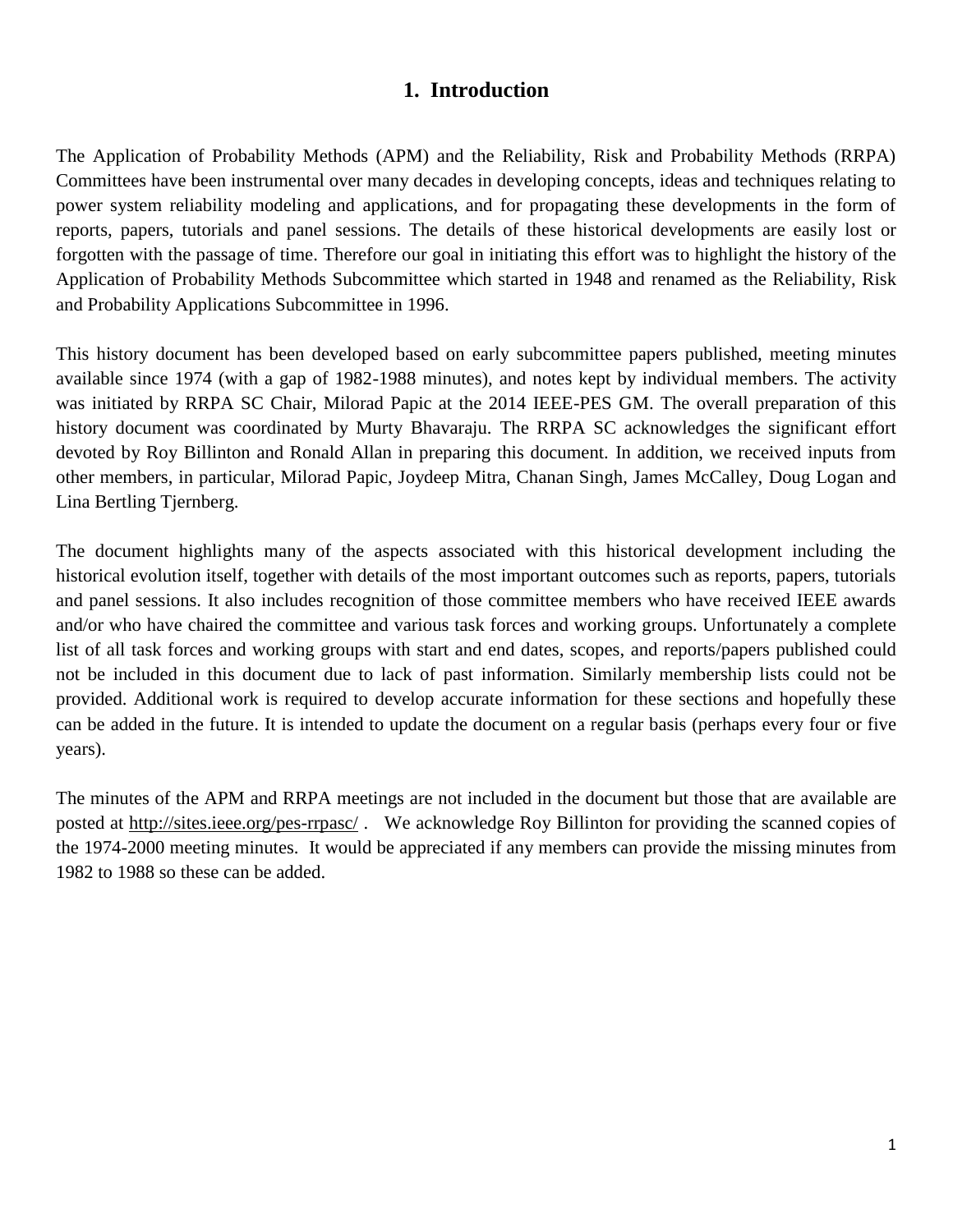## **1. Introduction**

The Application of Probability Methods (APM) and the Reliability, Risk and Probability Methods (RRPA) Committees have been instrumental over many decades in developing concepts, ideas and techniques relating to power system reliability modeling and applications, and for propagating these developments in the form of reports, papers, tutorials and panel sessions. The details of these historical developments are easily lost or forgotten with the passage of time. Therefore our goal in initiating this effort was to highlight the history of the Application of Probability Methods Subcommittee which started in 1948 and renamed as the Reliability, Risk and Probability Applications Subcommittee in 1996.

This history document has been developed based on early subcommittee papers published, meeting minutes available since 1974 (with a gap of 1982-1988 minutes), and notes kept by individual members. The activity was initiated by RRPA SC Chair, Milorad Papic at the 2014 IEEE-PES GM. The overall preparation of this history document was coordinated by Murty Bhavaraju. The RRPA SC acknowledges the significant effort devoted by Roy Billinton and Ronald Allan in preparing this document. In addition, we received inputs from other members, in particular, Milorad Papic, Joydeep Mitra, Chanan Singh, James McCalley, Doug Logan and Lina Bertling Tjernberg.

The document highlights many of the aspects associated with this historical development including the historical evolution itself, together with details of the most important outcomes such as reports, papers, tutorials and panel sessions. It also includes recognition of those committee members who have received IEEE awards and/or who have chaired the committee and various task forces and working groups. Unfortunately a complete list of all task forces and working groups with start and end dates, scopes, and reports/papers published could not be included in this document due to lack of past information. Similarly membership lists could not be provided. Additional work is required to develop accurate information for these sections and hopefully these can be added in the future. It is intended to update the document on a regular basis (perhaps every four or five years).

The minutes of the APM and RRPA meetings are not included in the document but those that are available are posted at<http://sites.ieee.org/pes-rrpasc/> . We acknowledge Roy Billinton for providing the scanned copies of the 1974-2000 meeting minutes. It would be appreciated if any members can provide the missing minutes from 1982 to 1988 so these can be added.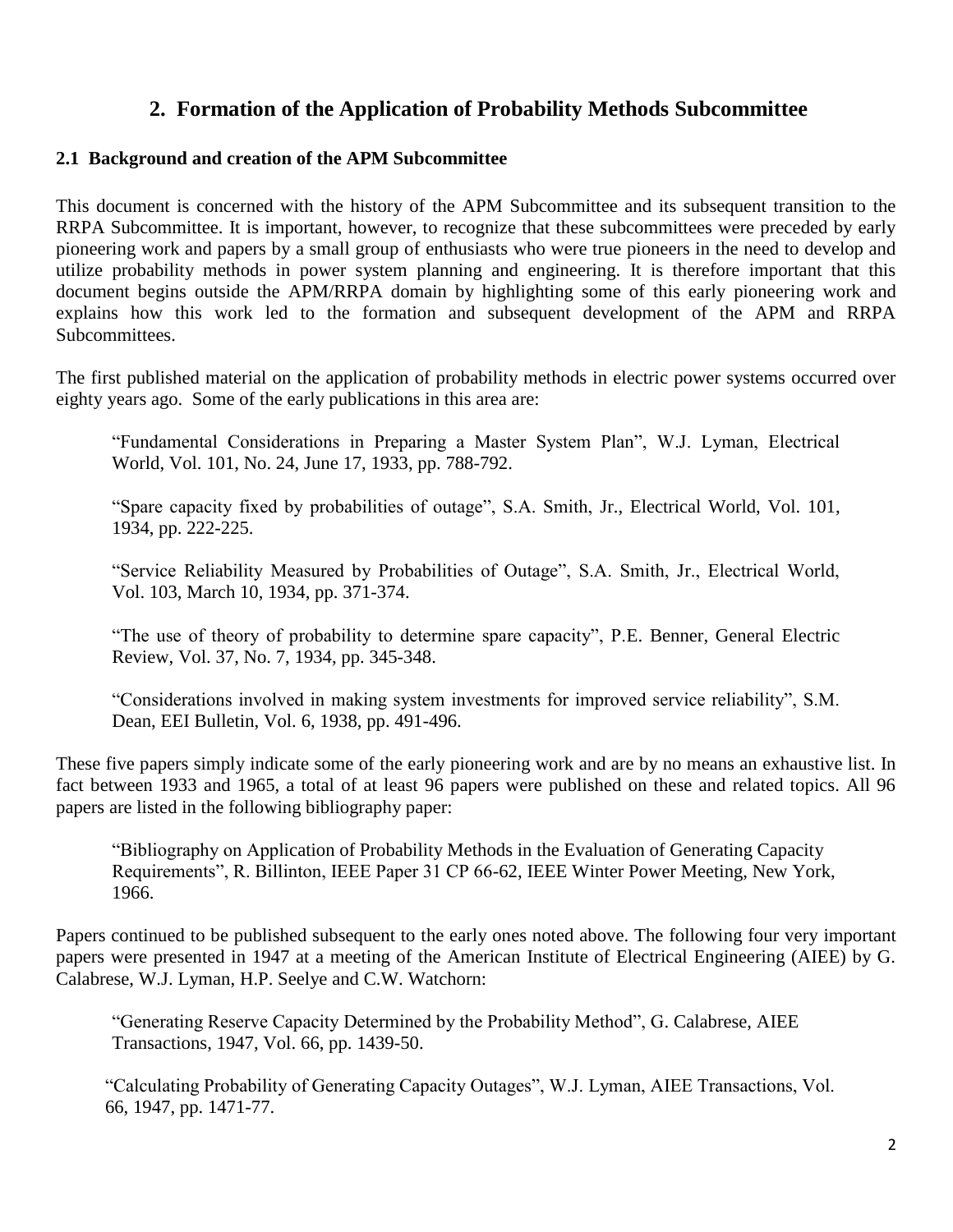## **2. Formation of the Application of Probability Methods Subcommittee**

## **2.1 Background and creation of the APM Subcommittee**

This document is concerned with the history of the APM Subcommittee and its subsequent transition to the RRPA Subcommittee. It is important, however, to recognize that these subcommittees were preceded by early pioneering work and papers by a small group of enthusiasts who were true pioneers in the need to develop and utilize probability methods in power system planning and engineering. It is therefore important that this document begins outside the APM/RRPA domain by highlighting some of this early pioneering work and explains how this work led to the formation and subsequent development of the APM and RRPA Subcommittees.

The first published material on the application of probability methods in electric power systems occurred over eighty years ago. Some of the early publications in this area are:

 "Fundamental Considerations in Preparing a Master System Plan", W.J. Lyman, Electrical World, Vol. 101, No. 24, June 17, 1933, pp. 788-792.

"Spare capacity fixed by probabilities of outage", S.A. Smith, Jr., Electrical World, Vol. 101, 1934, pp. 222-225.

"Service Reliability Measured by Probabilities of Outage", S.A. Smith, Jr., Electrical World, Vol. 103, March 10, 1934, pp. 371-374.

"The use of theory of probability to determine spare capacity", P.E. Benner, General Electric Review, Vol. 37, No. 7, 1934, pp. 345-348.

"Considerations involved in making system investments for improved service reliability", S.M. Dean, EEI Bulletin, Vol. 6, 1938, pp. 491-496.

These five papers simply indicate some of the early pioneering work and are by no means an exhaustive list. In fact between 1933 and 1965, a total of at least 96 papers were published on these and related topics. All 96 papers are listed in the following bibliography paper:

"Bibliography on Application of Probability Methods in the Evaluation of Generating Capacity Requirements", R. Billinton, IEEE Paper 31 CP 66-62, IEEE Winter Power Meeting, New York, 1966.

Papers continued to be published subsequent to the early ones noted above. The following four very important papers were presented in 1947 at a meeting of the American Institute of Electrical Engineering (AIEE) by G. Calabrese, W.J. Lyman, H.P. Seelye and C.W. Watchorn:

"Generating Reserve Capacity Determined by the Probability Method", G. Calabrese, AIEE Transactions, 1947, Vol. 66, pp. 1439-50.

"Calculating Probability of Generating Capacity Outages", W.J. Lyman, AIEE Transactions, Vol. 66, 1947, pp. 1471-77.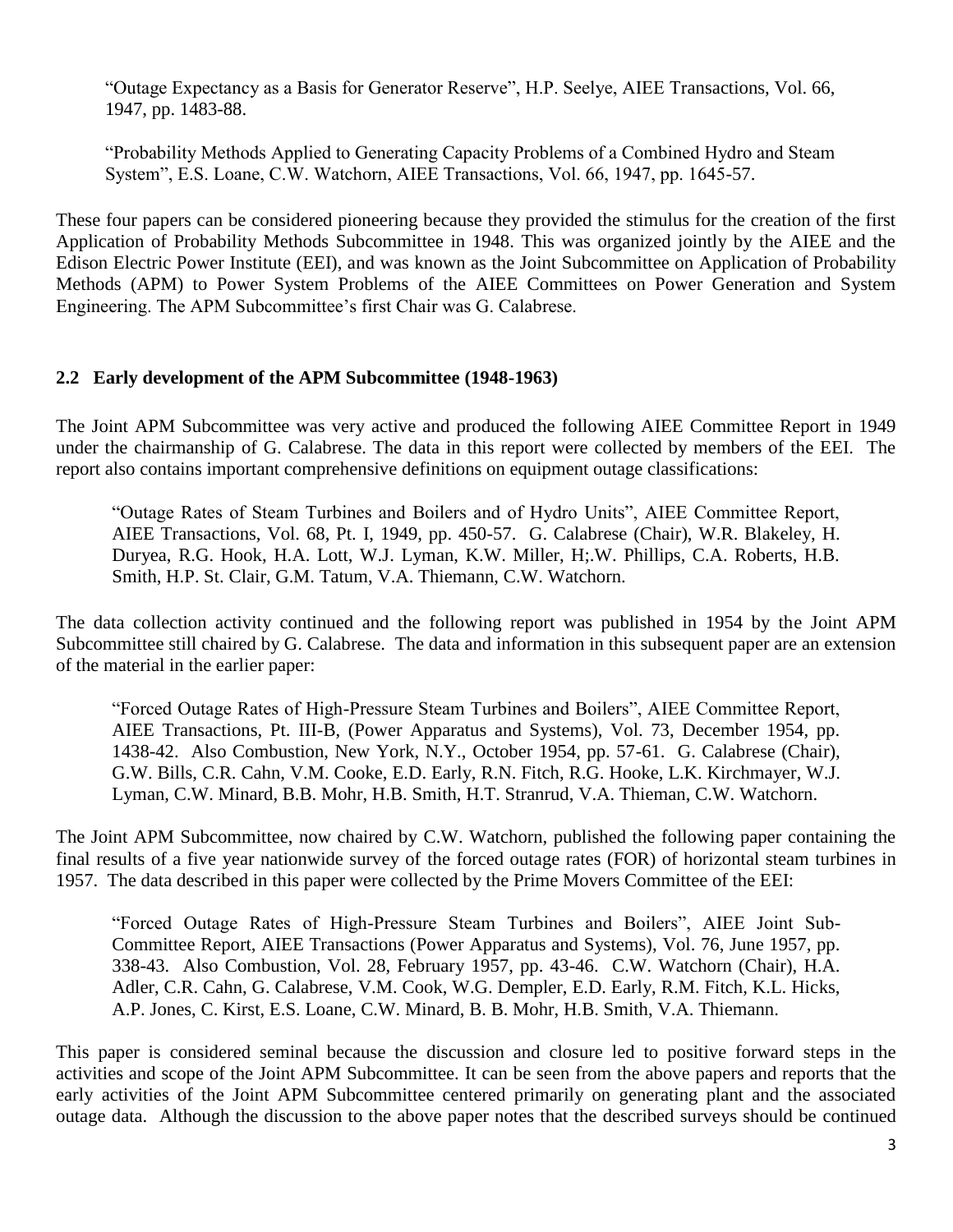"Outage Expectancy as a Basis for Generator Reserve", H.P. Seelye, AIEE Transactions, Vol. 66, 1947, pp. 1483-88.

"Probability Methods Applied to Generating Capacity Problems of a Combined Hydro and Steam System", E.S. Loane, C.W. Watchorn, AIEE Transactions, Vol. 66, 1947, pp. 1645-57.

These four papers can be considered pioneering because they provided the stimulus for the creation of the first Application of Probability Methods Subcommittee in 1948. This was organized jointly by the AIEE and the Edison Electric Power Institute (EEI), and was known as the Joint Subcommittee on Application of Probability Methods (APM) to Power System Problems of the AIEE Committees on Power Generation and System Engineering. The APM Subcommittee's first Chair was G. Calabrese.

### **2.2 Early development of the APM Subcommittee (1948-1963)**

The Joint APM Subcommittee was very active and produced the following AIEE Committee Report in 1949 under the chairmanship of G. Calabrese. The data in this report were collected by members of the EEI. The report also contains important comprehensive definitions on equipment outage classifications:

"Outage Rates of Steam Turbines and Boilers and of Hydro Units", AIEE Committee Report, AIEE Transactions, Vol. 68, Pt. I, 1949, pp. 450-57. G. Calabrese (Chair), W.R. Blakeley, H. Duryea, R.G. Hook, H.A. Lott, W.J. Lyman, K.W. Miller, H;.W. Phillips, C.A. Roberts, H.B. Smith, H.P. St. Clair, G.M. Tatum, V.A. Thiemann, C.W. Watchorn.

The data collection activity continued and the following report was published in 1954 by the Joint APM Subcommittee still chaired by G. Calabrese. The data and information in this subsequent paper are an extension of the material in the earlier paper:

"Forced Outage Rates of High-Pressure Steam Turbines and Boilers", AIEE Committee Report, AIEE Transactions, Pt. III-B, (Power Apparatus and Systems), Vol. 73, December 1954, pp. 1438-42. Also Combustion, New York, N.Y., October 1954, pp. 57-61. G. Calabrese (Chair), G.W. Bills, C.R. Cahn, V.M. Cooke, E.D. Early, R.N. Fitch, R.G. Hooke, L.K. Kirchmayer, W.J. Lyman, C.W. Minard, B.B. Mohr, H.B. Smith, H.T. Stranrud, V.A. Thieman, C.W. Watchorn.

The Joint APM Subcommittee, now chaired by C.W. Watchorn, published the following paper containing the final results of a five year nationwide survey of the forced outage rates (FOR) of horizontal steam turbines in 1957. The data described in this paper were collected by the Prime Movers Committee of the EEI:

"Forced Outage Rates of High-Pressure Steam Turbines and Boilers", AIEE Joint Sub-Committee Report, AIEE Transactions (Power Apparatus and Systems), Vol. 76, June 1957, pp. 338-43. Also Combustion, Vol. 28, February 1957, pp. 43-46. C.W. Watchorn (Chair), H.A. Adler, C.R. Cahn, G. Calabrese, V.M. Cook, W.G. Dempler, E.D. Early, R.M. Fitch, K.L. Hicks, A.P. Jones, C. Kirst, E.S. Loane, C.W. Minard, B. B. Mohr, H.B. Smith, V.A. Thiemann.

This paper is considered seminal because the discussion and closure led to positive forward steps in the activities and scope of the Joint APM Subcommittee. It can be seen from the above papers and reports that the early activities of the Joint APM Subcommittee centered primarily on generating plant and the associated outage data. Although the discussion to the above paper notes that the described surveys should be continued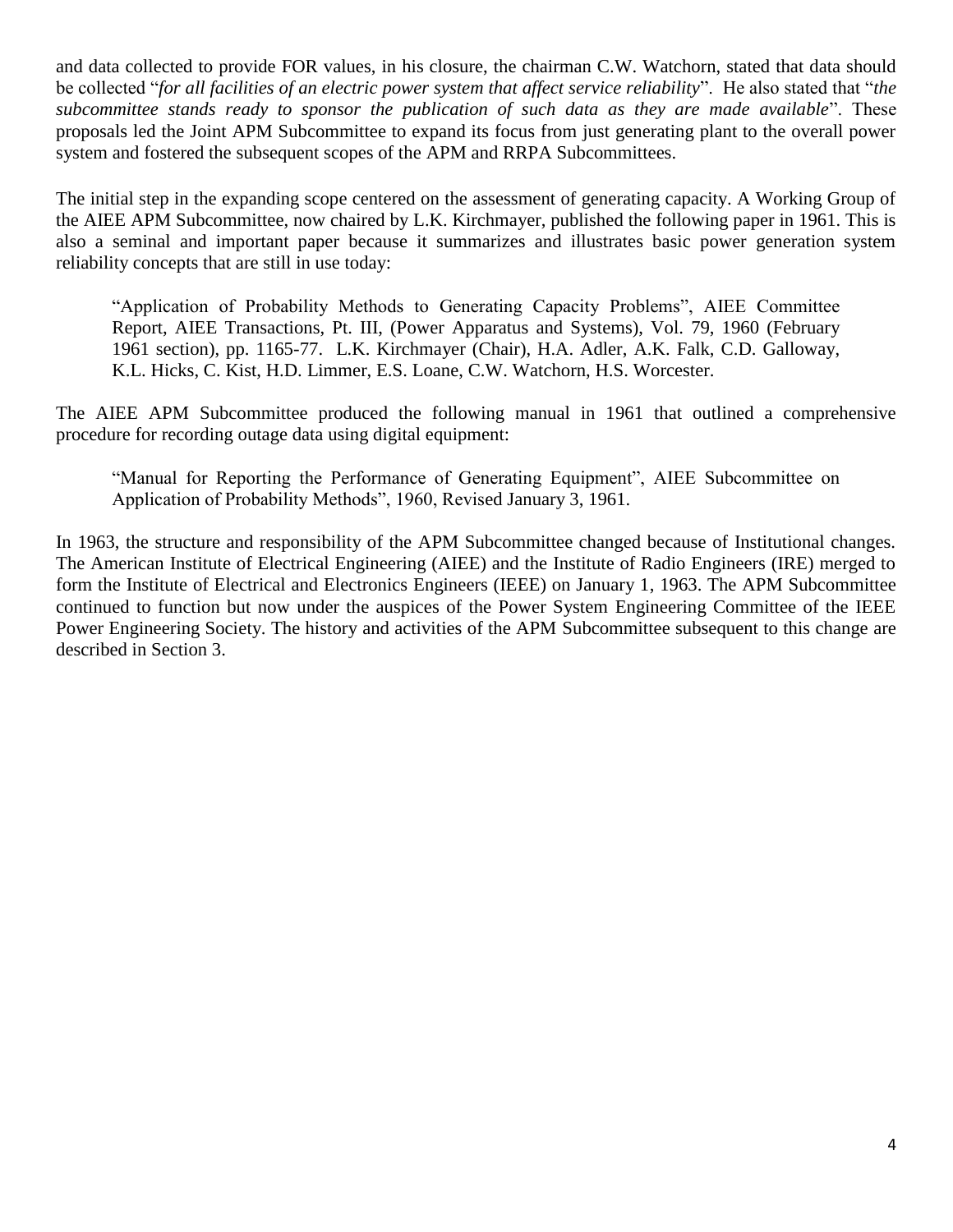and data collected to provide FOR values, in his closure, the chairman C.W. Watchorn, stated that data should be collected "*for all facilities of an electric power system that affect service reliability*". He also stated that "*the subcommittee stands ready to sponsor the publication of such data as they are made available*". These proposals led the Joint APM Subcommittee to expand its focus from just generating plant to the overall power system and fostered the subsequent scopes of the APM and RRPA Subcommittees.

The initial step in the expanding scope centered on the assessment of generating capacity. A Working Group of the AIEE APM Subcommittee, now chaired by L.K. Kirchmayer, published the following paper in 1961. This is also a seminal and important paper because it summarizes and illustrates basic power generation system reliability concepts that are still in use today:

"Application of Probability Methods to Generating Capacity Problems", AIEE Committee Report, AIEE Transactions, Pt. III, (Power Apparatus and Systems), Vol. 79, 1960 (February 1961 section), pp. 1165-77. L.K. Kirchmayer (Chair), H.A. Adler, A.K. Falk, C.D. Galloway, K.L. Hicks, C. Kist, H.D. Limmer, E.S. Loane, C.W. Watchorn, H.S. Worcester.

The AIEE APM Subcommittee produced the following manual in 1961 that outlined a comprehensive procedure for recording outage data using digital equipment:

"Manual for Reporting the Performance of Generating Equipment", AIEE Subcommittee on Application of Probability Methods", 1960, Revised January 3, 1961.

In 1963, the structure and responsibility of the APM Subcommittee changed because of Institutional changes. The American Institute of Electrical Engineering (AIEE) and the Institute of Radio Engineers (IRE) merged to form the Institute of Electrical and Electronics Engineers (IEEE) on January 1, 1963. The APM Subcommittee continued to function but now under the auspices of the Power System Engineering Committee of the IEEE Power Engineering Society. The history and activities of the APM Subcommittee subsequent to this change are described in Section 3.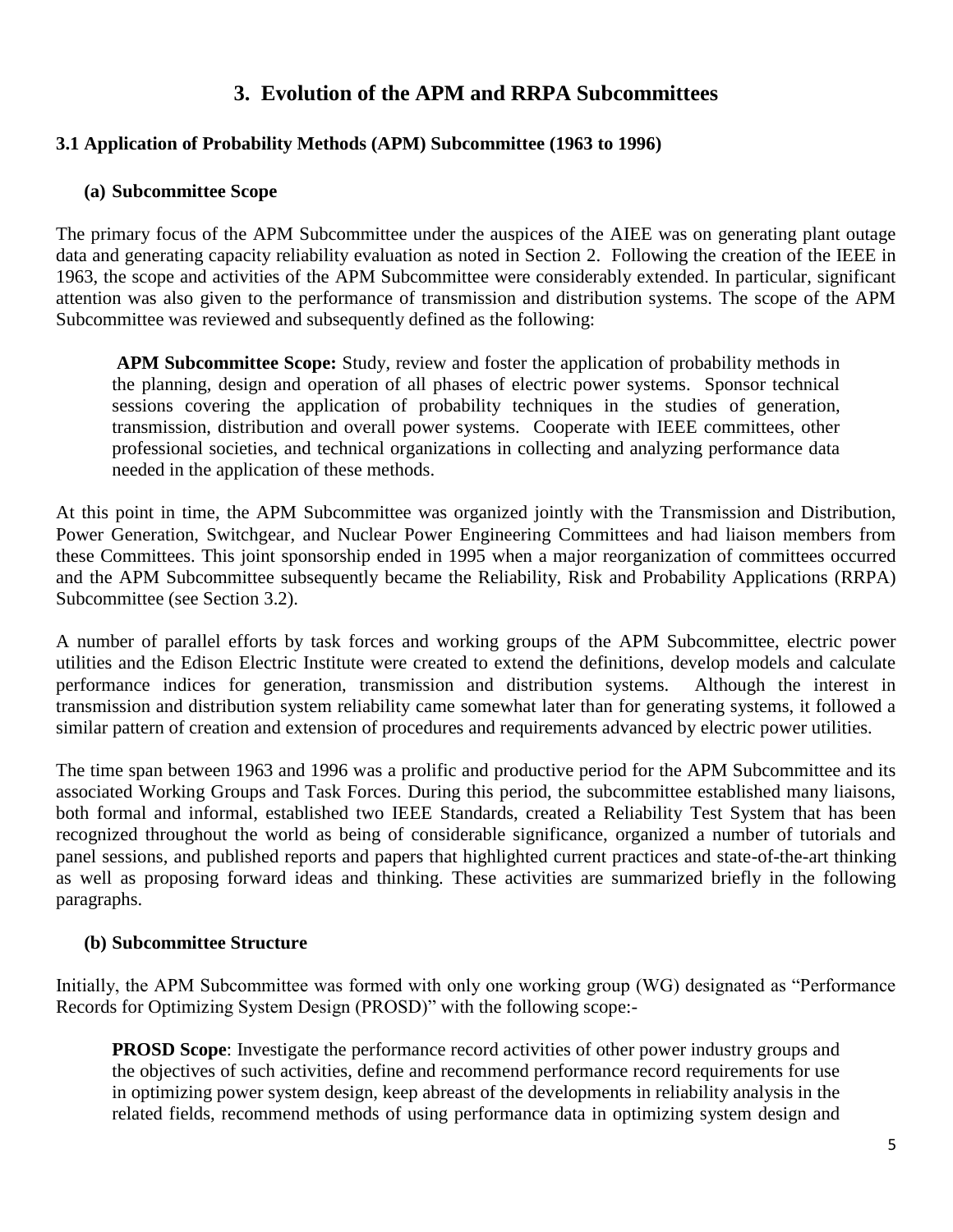## **3. Evolution of the APM and RRPA Subcommittees**

## **3.1 Application of Probability Methods (APM) Subcommittee (1963 to 1996)**

## **(a) Subcommittee Scope**

The primary focus of the APM Subcommittee under the auspices of the AIEE was on generating plant outage data and generating capacity reliability evaluation as noted in Section 2. Following the creation of the IEEE in 1963, the scope and activities of the APM Subcommittee were considerably extended. In particular, significant attention was also given to the performance of transmission and distribution systems. The scope of the APM Subcommittee was reviewed and subsequently defined as the following:

**APM Subcommittee Scope:** Study, review and foster the application of probability methods in the planning, design and operation of all phases of electric power systems. Sponsor technical sessions covering the application of probability techniques in the studies of generation, transmission, distribution and overall power systems. Cooperate with IEEE committees, other professional societies, and technical organizations in collecting and analyzing performance data needed in the application of these methods.

At this point in time, the APM Subcommittee was organized jointly with the Transmission and Distribution, Power Generation, Switchgear, and Nuclear Power Engineering Committees and had liaison members from these Committees. This joint sponsorship ended in 1995 when a major reorganization of committees occurred and the APM Subcommittee subsequently became the Reliability, Risk and Probability Applications (RRPA) Subcommittee (see Section 3.2).

A number of parallel efforts by task forces and working groups of the APM Subcommittee, electric power utilities and the Edison Electric Institute were created to extend the definitions, develop models and calculate performance indices for generation, transmission and distribution systems. Although the interest in transmission and distribution system reliability came somewhat later than for generating systems, it followed a similar pattern of creation and extension of procedures and requirements advanced by electric power utilities.

The time span between 1963 and 1996 was a prolific and productive period for the APM Subcommittee and its associated Working Groups and Task Forces. During this period, the subcommittee established many liaisons, both formal and informal, established two IEEE Standards, created a Reliability Test System that has been recognized throughout the world as being of considerable significance, organized a number of tutorials and panel sessions, and published reports and papers that highlighted current practices and state-of-the-art thinking as well as proposing forward ideas and thinking. These activities are summarized briefly in the following paragraphs.

## **(b) Subcommittee Structure**

Initially, the APM Subcommittee was formed with only one working group (WG) designated as "Performance Records for Optimizing System Design (PROSD)" with the following scope:-

**PROSD Scope:** Investigate the performance record activities of other power industry groups and the objectives of such activities, define and recommend performance record requirements for use in optimizing power system design, keep abreast of the developments in reliability analysis in the related fields, recommend methods of using performance data in optimizing system design and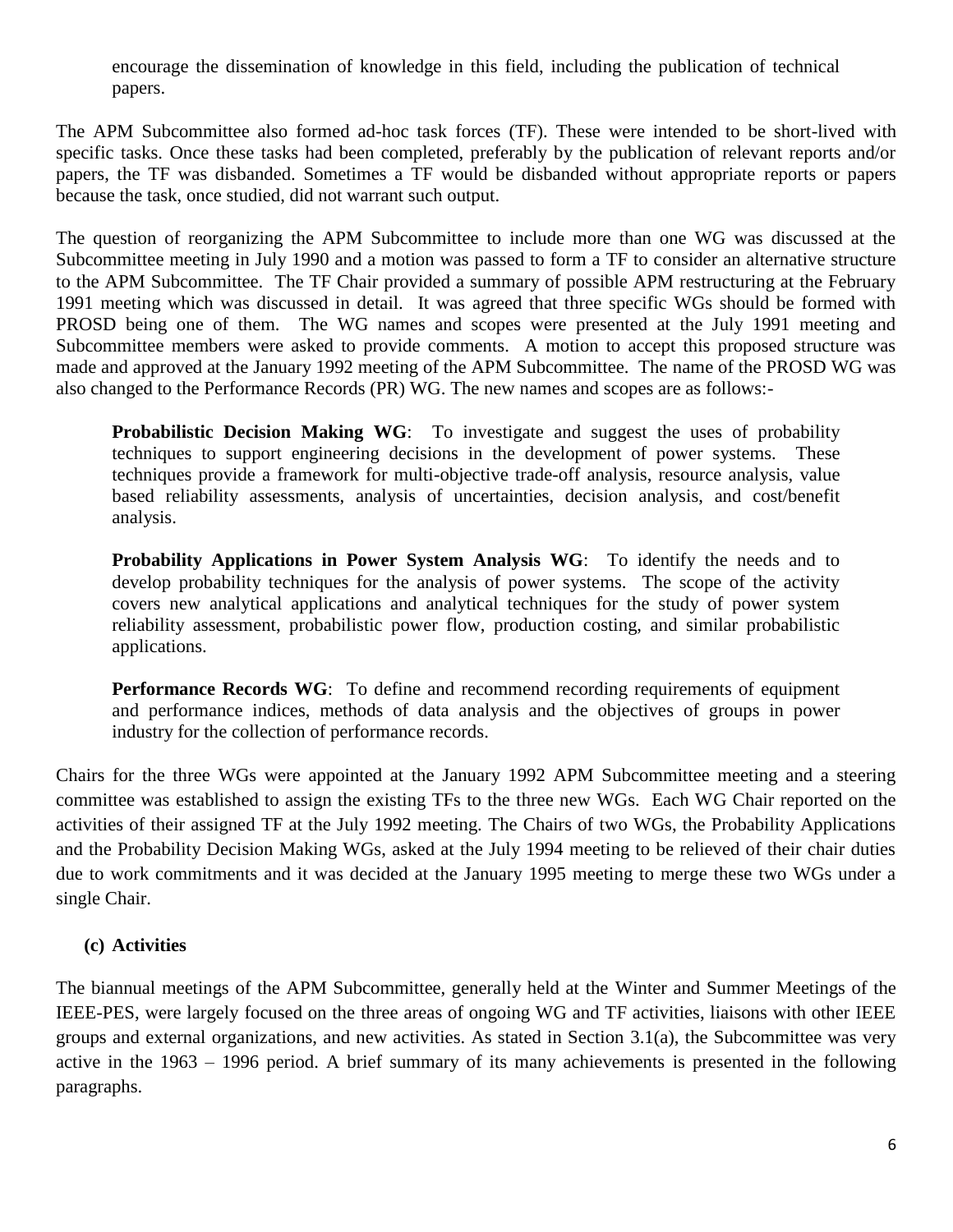encourage the dissemination of knowledge in this field, including the publication of technical papers.

The APM Subcommittee also formed ad-hoc task forces (TF). These were intended to be short-lived with specific tasks. Once these tasks had been completed, preferably by the publication of relevant reports and/or papers, the TF was disbanded. Sometimes a TF would be disbanded without appropriate reports or papers because the task, once studied, did not warrant such output.

The question of reorganizing the APM Subcommittee to include more than one WG was discussed at the Subcommittee meeting in July 1990 and a motion was passed to form a TF to consider an alternative structure to the APM Subcommittee. The TF Chair provided a summary of possible APM restructuring at the February 1991 meeting which was discussed in detail. It was agreed that three specific WGs should be formed with PROSD being one of them. The WG names and scopes were presented at the July 1991 meeting and Subcommittee members were asked to provide comments. A motion to accept this proposed structure was made and approved at the January 1992 meeting of the APM Subcommittee. The name of the PROSD WG was also changed to the Performance Records (PR) WG. The new names and scopes are as follows:-

**Probabilistic Decision Making WG:** To investigate and suggest the uses of probability techniques to support engineering decisions in the development of power systems. These techniques provide a framework for multi-objective trade-off analysis, resource analysis, value based reliability assessments, analysis of uncertainties, decision analysis, and cost/benefit analysis.

**Probability Applications in Power System Analysis WG:** To identify the needs and to develop probability techniques for the analysis of power systems. The scope of the activity covers new analytical applications and analytical techniques for the study of power system reliability assessment, probabilistic power flow, production costing, and similar probabilistic applications.

**Performance Records WG**: To define and recommend recording requirements of equipment and performance indices, methods of data analysis and the objectives of groups in power industry for the collection of performance records.

Chairs for the three WGs were appointed at the January 1992 APM Subcommittee meeting and a steering committee was established to assign the existing TFs to the three new WGs. Each WG Chair reported on the activities of their assigned TF at the July 1992 meeting. The Chairs of two WGs, the Probability Applications and the Probability Decision Making WGs, asked at the July 1994 meeting to be relieved of their chair duties due to work commitments and it was decided at the January 1995 meeting to merge these two WGs under a single Chair.

## **(c) Activities**

The biannual meetings of the APM Subcommittee, generally held at the Winter and Summer Meetings of the IEEE-PES, were largely focused on the three areas of ongoing WG and TF activities, liaisons with other IEEE groups and external organizations, and new activities. As stated in Section 3.1(a), the Subcommittee was very active in the 1963 – 1996 period. A brief summary of its many achievements is presented in the following paragraphs.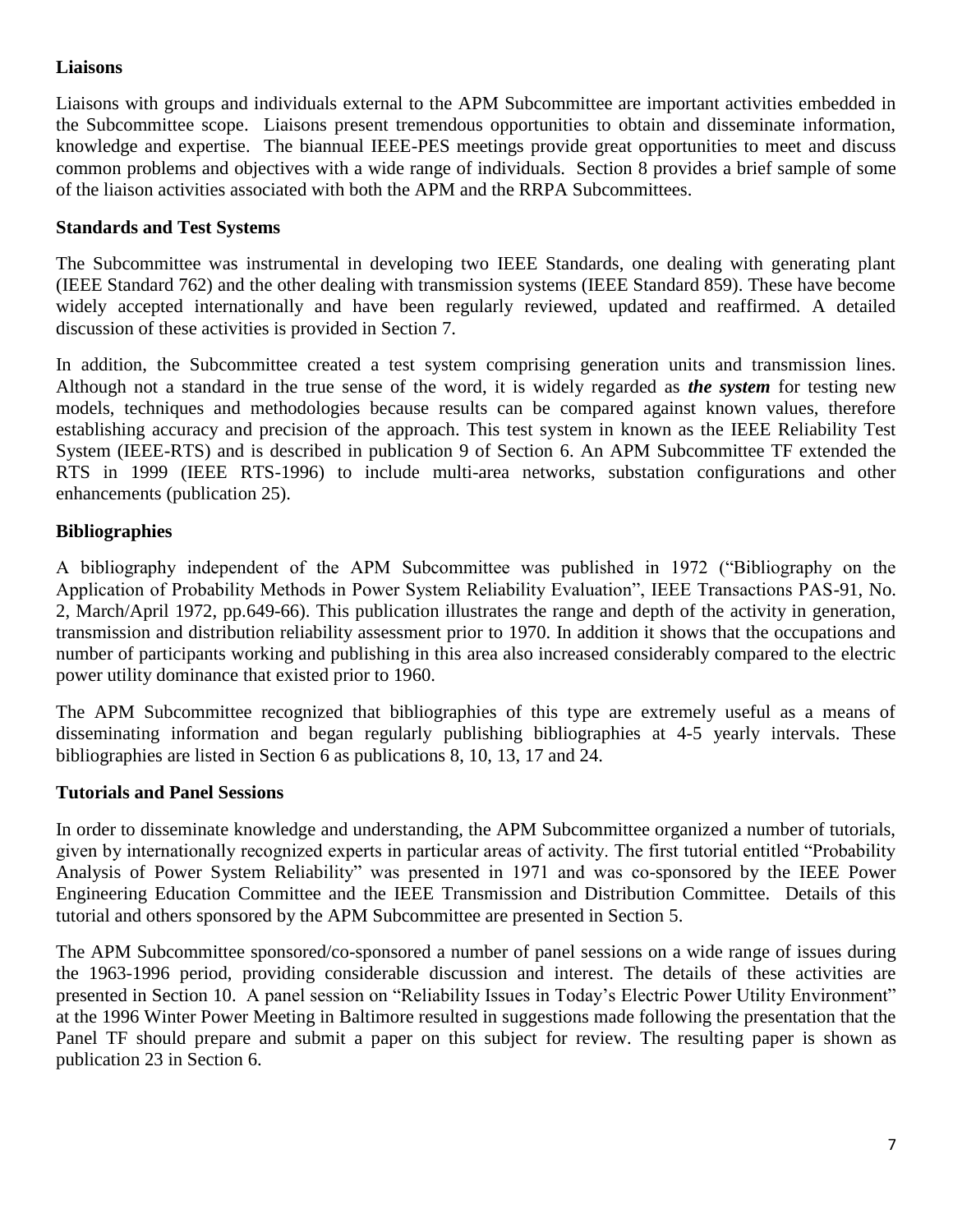## **Liaisons**

Liaisons with groups and individuals external to the APM Subcommittee are important activities embedded in the Subcommittee scope. Liaisons present tremendous opportunities to obtain and disseminate information, knowledge and expertise. The biannual IEEE-PES meetings provide great opportunities to meet and discuss common problems and objectives with a wide range of individuals. Section 8 provides a brief sample of some of the liaison activities associated with both the APM and the RRPA Subcommittees.

## **Standards and Test Systems**

The Subcommittee was instrumental in developing two IEEE Standards, one dealing with generating plant (IEEE Standard 762) and the other dealing with transmission systems (IEEE Standard 859). These have become widely accepted internationally and have been regularly reviewed, updated and reaffirmed. A detailed discussion of these activities is provided in Section 7.

In addition, the Subcommittee created a test system comprising generation units and transmission lines. Although not a standard in the true sense of the word, it is widely regarded as *the system* for testing new models, techniques and methodologies because results can be compared against known values, therefore establishing accuracy and precision of the approach. This test system in known as the IEEE Reliability Test System (IEEE-RTS) and is described in publication 9 of Section 6. An APM Subcommittee TF extended the RTS in 1999 (IEEE RTS-1996) to include multi-area networks, substation configurations and other enhancements (publication 25).

## **Bibliographies**

A bibliography independent of the APM Subcommittee was published in 1972 ("Bibliography on the Application of Probability Methods in Power System Reliability Evaluation", IEEE Transactions PAS-91, No. 2, March/April 1972, pp.649-66). This publication illustrates the range and depth of the activity in generation, transmission and distribution reliability assessment prior to 1970. In addition it shows that the occupations and number of participants working and publishing in this area also increased considerably compared to the electric power utility dominance that existed prior to 1960.

The APM Subcommittee recognized that bibliographies of this type are extremely useful as a means of disseminating information and began regularly publishing bibliographies at 4-5 yearly intervals. These bibliographies are listed in Section 6 as publications 8, 10, 13, 17 and 24.

## **Tutorials and Panel Sessions**

In order to disseminate knowledge and understanding, the APM Subcommittee organized a number of tutorials, given by internationally recognized experts in particular areas of activity. The first tutorial entitled "Probability Analysis of Power System Reliability" was presented in 1971 and was co-sponsored by the IEEE Power Engineering Education Committee and the IEEE Transmission and Distribution Committee. Details of this tutorial and others sponsored by the APM Subcommittee are presented in Section 5.

The APM Subcommittee sponsored/co-sponsored a number of panel sessions on a wide range of issues during the 1963-1996 period, providing considerable discussion and interest. The details of these activities are presented in Section 10. A panel session on "Reliability Issues in Today's Electric Power Utility Environment" at the 1996 Winter Power Meeting in Baltimore resulted in suggestions made following the presentation that the Panel TF should prepare and submit a paper on this subject for review. The resulting paper is shown as publication 23 in Section 6.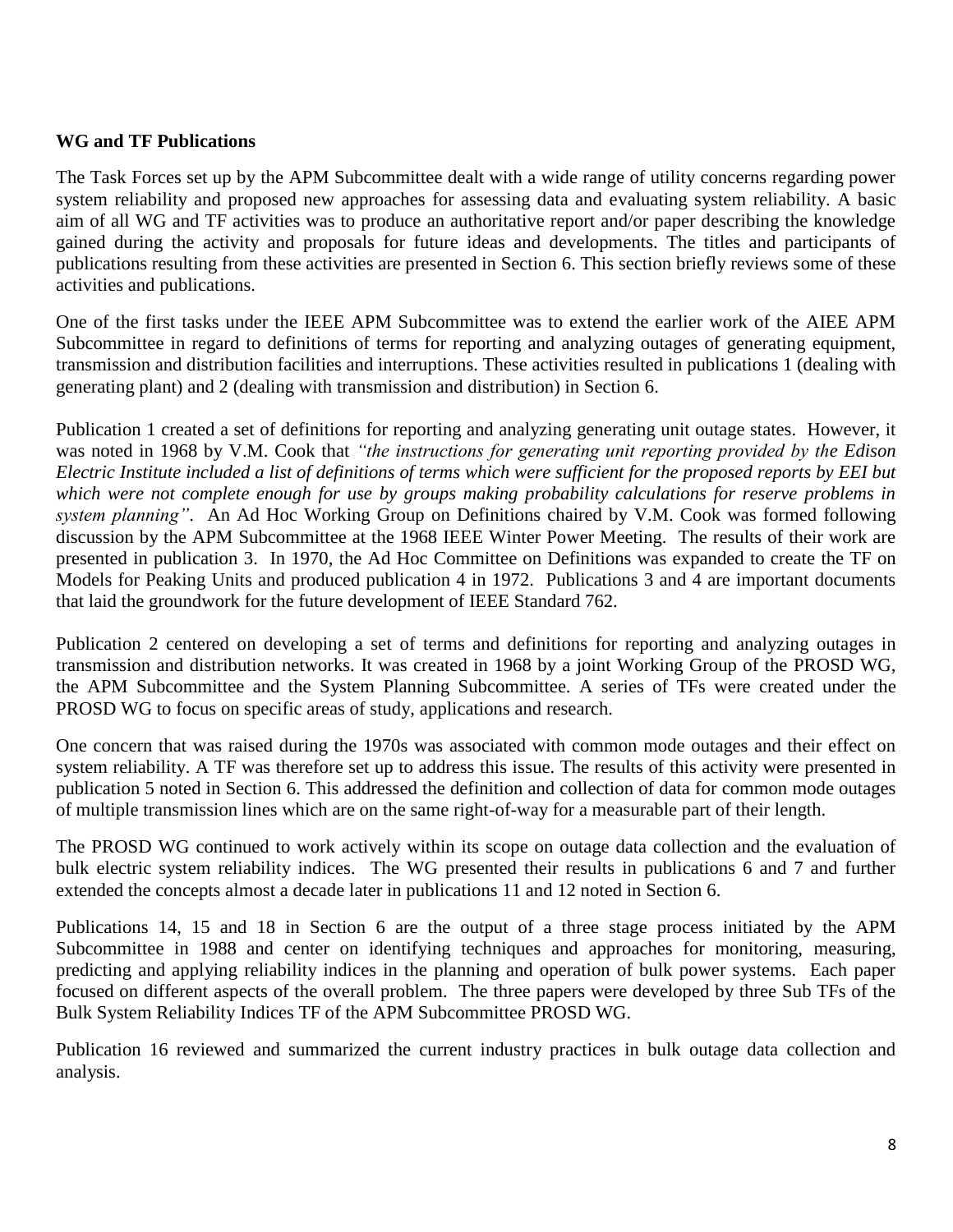### **WG and TF Publications**

The Task Forces set up by the APM Subcommittee dealt with a wide range of utility concerns regarding power system reliability and proposed new approaches for assessing data and evaluating system reliability. A basic aim of all WG and TF activities was to produce an authoritative report and/or paper describing the knowledge gained during the activity and proposals for future ideas and developments. The titles and participants of publications resulting from these activities are presented in Section 6. This section briefly reviews some of these activities and publications.

One of the first tasks under the IEEE APM Subcommittee was to extend the earlier work of the AIEE APM Subcommittee in regard to definitions of terms for reporting and analyzing outages of generating equipment, transmission and distribution facilities and interruptions. These activities resulted in publications 1 (dealing with generating plant) and 2 (dealing with transmission and distribution) in Section 6.

Publication 1 created a set of definitions for reporting and analyzing generating unit outage states. However, it was noted in 1968 by V.M. Cook that *"the instructions for generating unit reporting provided by the Edison Electric Institute included a list of definitions of terms which were sufficient for the proposed reports by EEI but which were not complete enough for use by groups making probability calculations for reserve problems in system planning"*. An Ad Hoc Working Group on Definitions chaired by V.M. Cook was formed following discussion by the APM Subcommittee at the 1968 IEEE Winter Power Meeting. The results of their work are presented in publication 3. In 1970, the Ad Hoc Committee on Definitions was expanded to create the TF on Models for Peaking Units and produced publication 4 in 1972. Publications 3 and 4 are important documents that laid the groundwork for the future development of IEEE Standard 762.

Publication 2 centered on developing a set of terms and definitions for reporting and analyzing outages in transmission and distribution networks. It was created in 1968 by a joint Working Group of the PROSD WG, the APM Subcommittee and the System Planning Subcommittee. A series of TFs were created under the PROSD WG to focus on specific areas of study, applications and research.

One concern that was raised during the 1970s was associated with common mode outages and their effect on system reliability. A TF was therefore set up to address this issue. The results of this activity were presented in publication 5 noted in Section 6. This addressed the definition and collection of data for common mode outages of multiple transmission lines which are on the same right-of-way for a measurable part of their length.

The PROSD WG continued to work actively within its scope on outage data collection and the evaluation of bulk electric system reliability indices. The WG presented their results in publications 6 and 7 and further extended the concepts almost a decade later in publications 11 and 12 noted in Section 6.

Publications 14, 15 and 18 in Section 6 are the output of a three stage process initiated by the APM Subcommittee in 1988 and center on identifying techniques and approaches for monitoring, measuring, predicting and applying reliability indices in the planning and operation of bulk power systems. Each paper focused on different aspects of the overall problem. The three papers were developed by three Sub TFs of the Bulk System Reliability Indices TF of the APM Subcommittee PROSD WG.

Publication 16 reviewed and summarized the current industry practices in bulk outage data collection and analysis.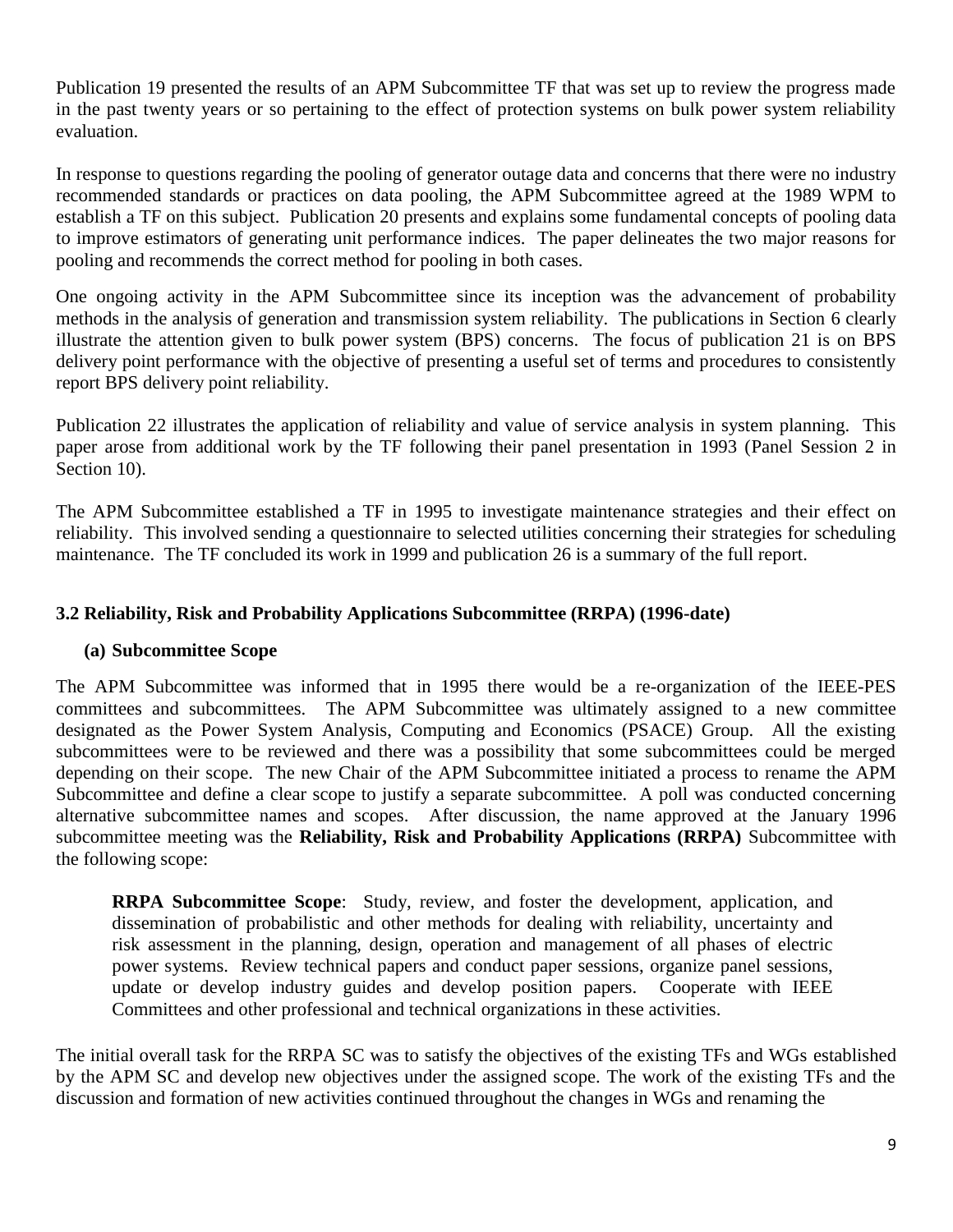Publication 19 presented the results of an APM Subcommittee TF that was set up to review the progress made in the past twenty years or so pertaining to the effect of protection systems on bulk power system reliability evaluation.

In response to questions regarding the pooling of generator outage data and concerns that there were no industry recommended standards or practices on data pooling, the APM Subcommittee agreed at the 1989 WPM to establish a TF on this subject. Publication 20 presents and explains some fundamental concepts of pooling data to improve estimators of generating unit performance indices. The paper delineates the two major reasons for pooling and recommends the correct method for pooling in both cases.

One ongoing activity in the APM Subcommittee since its inception was the advancement of probability methods in the analysis of generation and transmission system reliability. The publications in Section 6 clearly illustrate the attention given to bulk power system (BPS) concerns. The focus of publication 21 is on BPS delivery point performance with the objective of presenting a useful set of terms and procedures to consistently report BPS delivery point reliability.

Publication 22 illustrates the application of reliability and value of service analysis in system planning. This paper arose from additional work by the TF following their panel presentation in 1993 (Panel Session 2 in Section 10).

The APM Subcommittee established a TF in 1995 to investigate maintenance strategies and their effect on reliability. This involved sending a questionnaire to selected utilities concerning their strategies for scheduling maintenance. The TF concluded its work in 1999 and publication 26 is a summary of the full report.

## **3.2 Reliability, Risk and Probability Applications Subcommittee (RRPA) (1996-date)**

## **(a) Subcommittee Scope**

The APM Subcommittee was informed that in 1995 there would be a re-organization of the IEEE-PES committees and subcommittees. The APM Subcommittee was ultimately assigned to a new committee designated as the Power System Analysis, Computing and Economics (PSACE) Group. All the existing subcommittees were to be reviewed and there was a possibility that some subcommittees could be merged depending on their scope. The new Chair of the APM Subcommittee initiated a process to rename the APM Subcommittee and define a clear scope to justify a separate subcommittee. A poll was conducted concerning alternative subcommittee names and scopes. After discussion, the name approved at the January 1996 subcommittee meeting was the **Reliability, Risk and Probability Applications (RRPA)** Subcommittee with the following scope:

**RRPA Subcommittee Scope**: Study, review, and foster the development, application, and dissemination of probabilistic and other methods for dealing with reliability, uncertainty and risk assessment in the planning, design, operation and management of all phases of electric power systems. Review technical papers and conduct paper sessions, organize panel sessions, update or develop industry guides and develop position papers. Cooperate with IEEE Committees and other professional and technical organizations in these activities.

The initial overall task for the RRPA SC was to satisfy the objectives of the existing TFs and WGs established by the APM SC and develop new objectives under the assigned scope. The work of the existing TFs and the discussion and formation of new activities continued throughout the changes in WGs and renaming the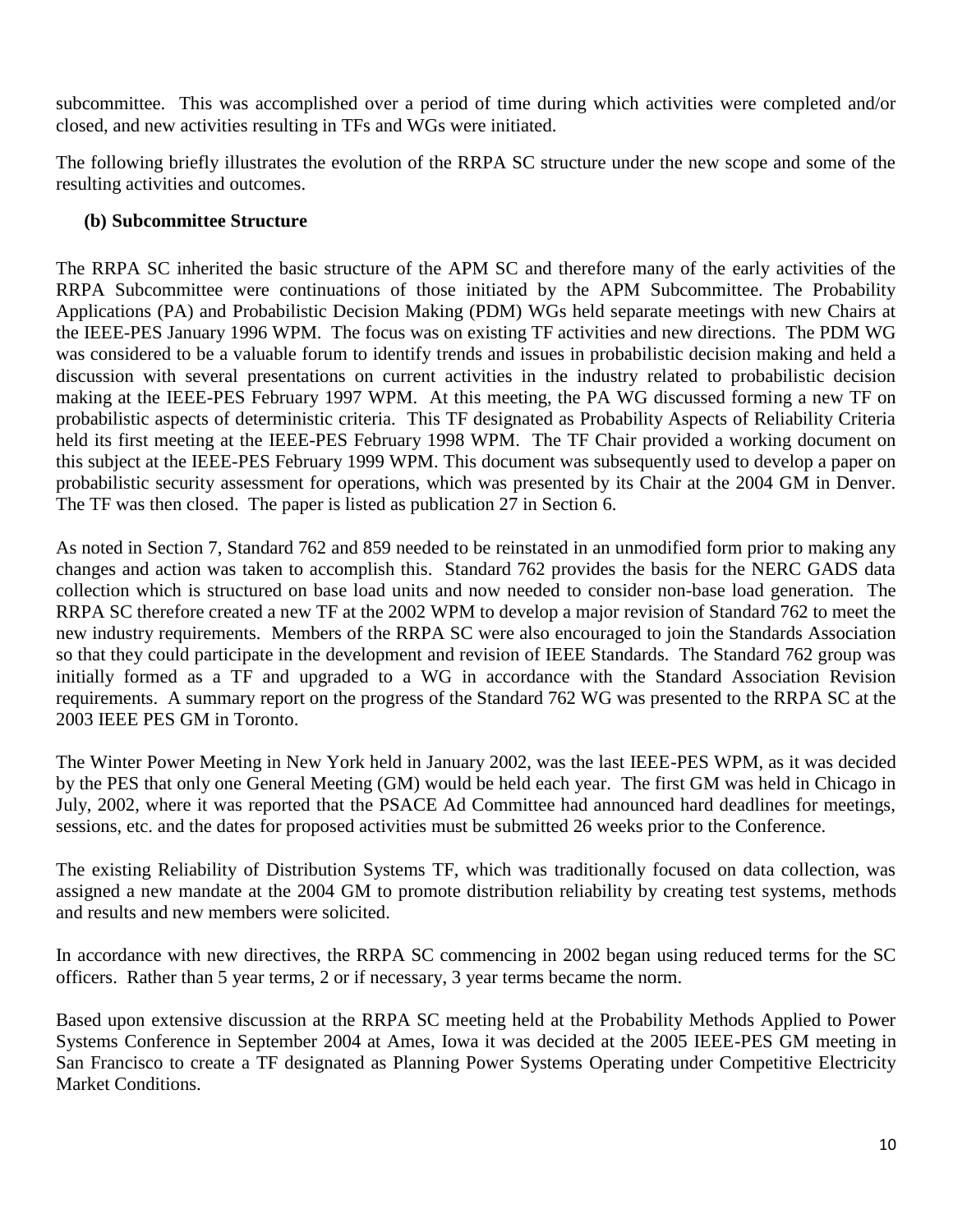subcommittee. This was accomplished over a period of time during which activities were completed and/or closed, and new activities resulting in TFs and WGs were initiated.

The following briefly illustrates the evolution of the RRPA SC structure under the new scope and some of the resulting activities and outcomes.

## **(b) Subcommittee Structure**

The RRPA SC inherited the basic structure of the APM SC and therefore many of the early activities of the RRPA Subcommittee were continuations of those initiated by the APM Subcommittee. The Probability Applications (PA) and Probabilistic Decision Making (PDM) WGs held separate meetings with new Chairs at the IEEE-PES January 1996 WPM. The focus was on existing TF activities and new directions. The PDM WG was considered to be a valuable forum to identify trends and issues in probabilistic decision making and held a discussion with several presentations on current activities in the industry related to probabilistic decision making at the IEEE-PES February 1997 WPM. At this meeting, the PA WG discussed forming a new TF on probabilistic aspects of deterministic criteria. This TF designated as Probability Aspects of Reliability Criteria held its first meeting at the IEEE-PES February 1998 WPM. The TF Chair provided a working document on this subject at the IEEE-PES February 1999 WPM. This document was subsequently used to develop a paper on probabilistic security assessment for operations, which was presented by its Chair at the 2004 GM in Denver. The TF was then closed. The paper is listed as publication 27 in Section 6.

As noted in Section 7, Standard 762 and 859 needed to be reinstated in an unmodified form prior to making any changes and action was taken to accomplish this. Standard 762 provides the basis for the NERC GADS data collection which is structured on base load units and now needed to consider non-base load generation. The RRPA SC therefore created a new TF at the 2002 WPM to develop a major revision of Standard 762 to meet the new industry requirements. Members of the RRPA SC were also encouraged to join the Standards Association so that they could participate in the development and revision of IEEE Standards. The Standard 762 group was initially formed as a TF and upgraded to a WG in accordance with the Standard Association Revision requirements. A summary report on the progress of the Standard 762 WG was presented to the RRPA SC at the 2003 IEEE PES GM in Toronto.

The Winter Power Meeting in New York held in January 2002, was the last IEEE-PES WPM, as it was decided by the PES that only one General Meeting (GM) would be held each year. The first GM was held in Chicago in July, 2002, where it was reported that the PSACE Ad Committee had announced hard deadlines for meetings, sessions, etc. and the dates for proposed activities must be submitted 26 weeks prior to the Conference.

The existing Reliability of Distribution Systems TF, which was traditionally focused on data collection, was assigned a new mandate at the 2004 GM to promote distribution reliability by creating test systems, methods and results and new members were solicited.

In accordance with new directives, the RRPA SC commencing in 2002 began using reduced terms for the SC officers. Rather than 5 year terms, 2 or if necessary, 3 year terms became the norm.

Based upon extensive discussion at the RRPA SC meeting held at the Probability Methods Applied to Power Systems Conference in September 2004 at Ames, Iowa it was decided at the 2005 IEEE-PES GM meeting in San Francisco to create a TF designated as Planning Power Systems Operating under Competitive Electricity Market Conditions.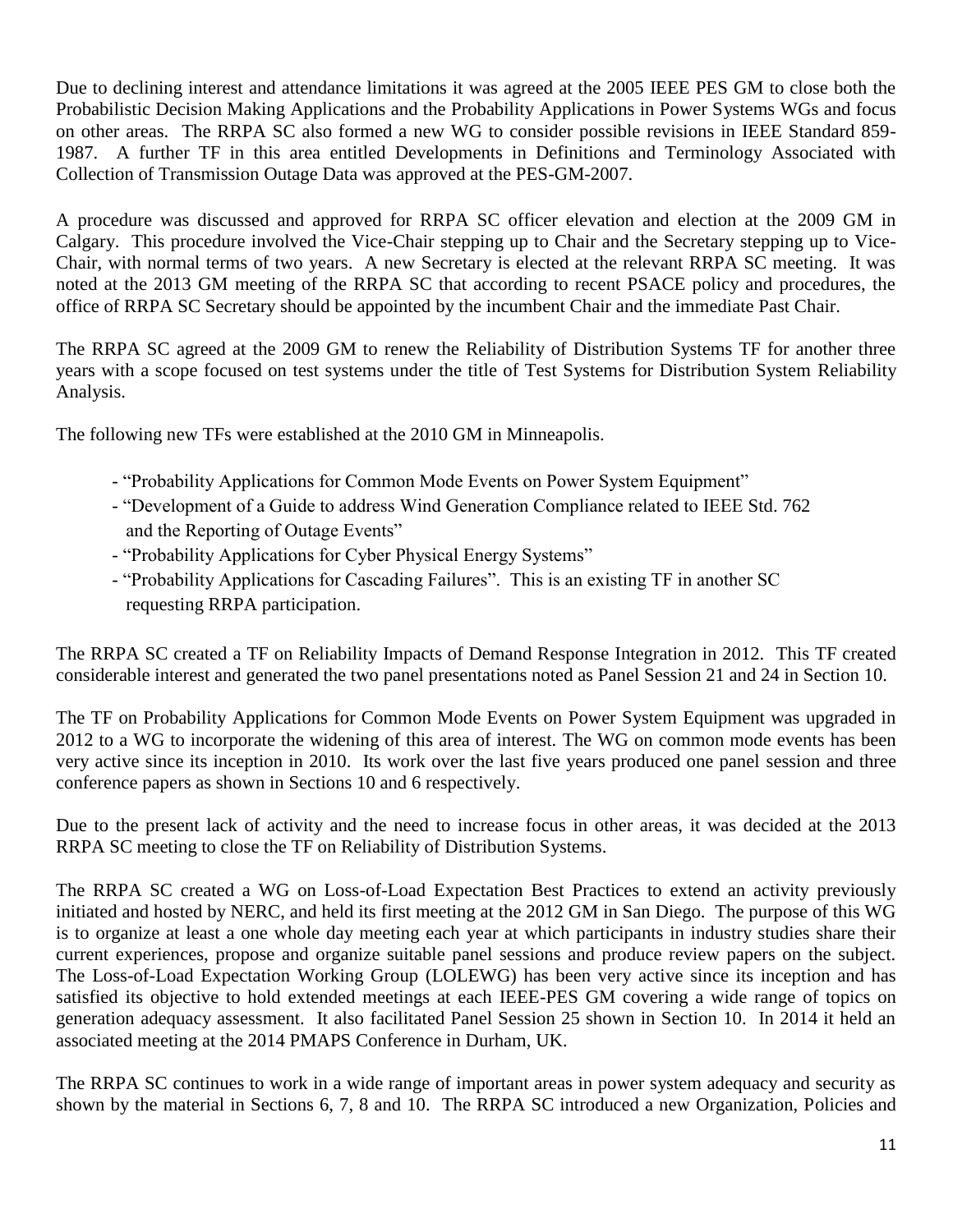Due to declining interest and attendance limitations it was agreed at the 2005 IEEE PES GM to close both the Probabilistic Decision Making Applications and the Probability Applications in Power Systems WGs and focus on other areas. The RRPA SC also formed a new WG to consider possible revisions in IEEE Standard 859- 1987. A further TF in this area entitled Developments in Definitions and Terminology Associated with Collection of Transmission Outage Data was approved at the PES-GM-2007.

A procedure was discussed and approved for RRPA SC officer elevation and election at the 2009 GM in Calgary. This procedure involved the Vice-Chair stepping up to Chair and the Secretary stepping up to Vice-Chair, with normal terms of two years. A new Secretary is elected at the relevant RRPA SC meeting. It was noted at the 2013 GM meeting of the RRPA SC that according to recent PSACE policy and procedures, the office of RRPA SC Secretary should be appointed by the incumbent Chair and the immediate Past Chair.

The RRPA SC agreed at the 2009 GM to renew the Reliability of Distribution Systems TF for another three years with a scope focused on test systems under the title of Test Systems for Distribution System Reliability Analysis.

The following new TFs were established at the 2010 GM in Minneapolis.

- "Probability Applications for Common Mode Events on Power System Equipment"
- "Development of a Guide to address Wind Generation Compliance related to IEEE Std. 762 and the Reporting of Outage Events"
- "Probability Applications for Cyber Physical Energy Systems"
- "Probability Applications for Cascading Failures". This is an existing TF in another SC requesting RRPA participation.

The RRPA SC created a TF on Reliability Impacts of Demand Response Integration in 2012. This TF created considerable interest and generated the two panel presentations noted as Panel Session 21 and 24 in Section 10.

The TF on Probability Applications for Common Mode Events on Power System Equipment was upgraded in 2012 to a WG to incorporate the widening of this area of interest. The WG on common mode events has been very active since its inception in 2010. Its work over the last five years produced one panel session and three conference papers as shown in Sections 10 and 6 respectively.

Due to the present lack of activity and the need to increase focus in other areas, it was decided at the 2013 RRPA SC meeting to close the TF on Reliability of Distribution Systems.

The RRPA SC created a WG on Loss-of-Load Expectation Best Practices to extend an activity previously initiated and hosted by NERC, and held its first meeting at the 2012 GM in San Diego. The purpose of this WG is to organize at least a one whole day meeting each year at which participants in industry studies share their current experiences, propose and organize suitable panel sessions and produce review papers on the subject. The Loss-of-Load Expectation Working Group (LOLEWG) has been very active since its inception and has satisfied its objective to hold extended meetings at each IEEE-PES GM covering a wide range of topics on generation adequacy assessment. It also facilitated Panel Session 25 shown in Section 10. In 2014 it held an associated meeting at the 2014 PMAPS Conference in Durham, UK.

The RRPA SC continues to work in a wide range of important areas in power system adequacy and security as shown by the material in Sections 6, 7, 8 and 10. The RRPA SC introduced a new Organization, Policies and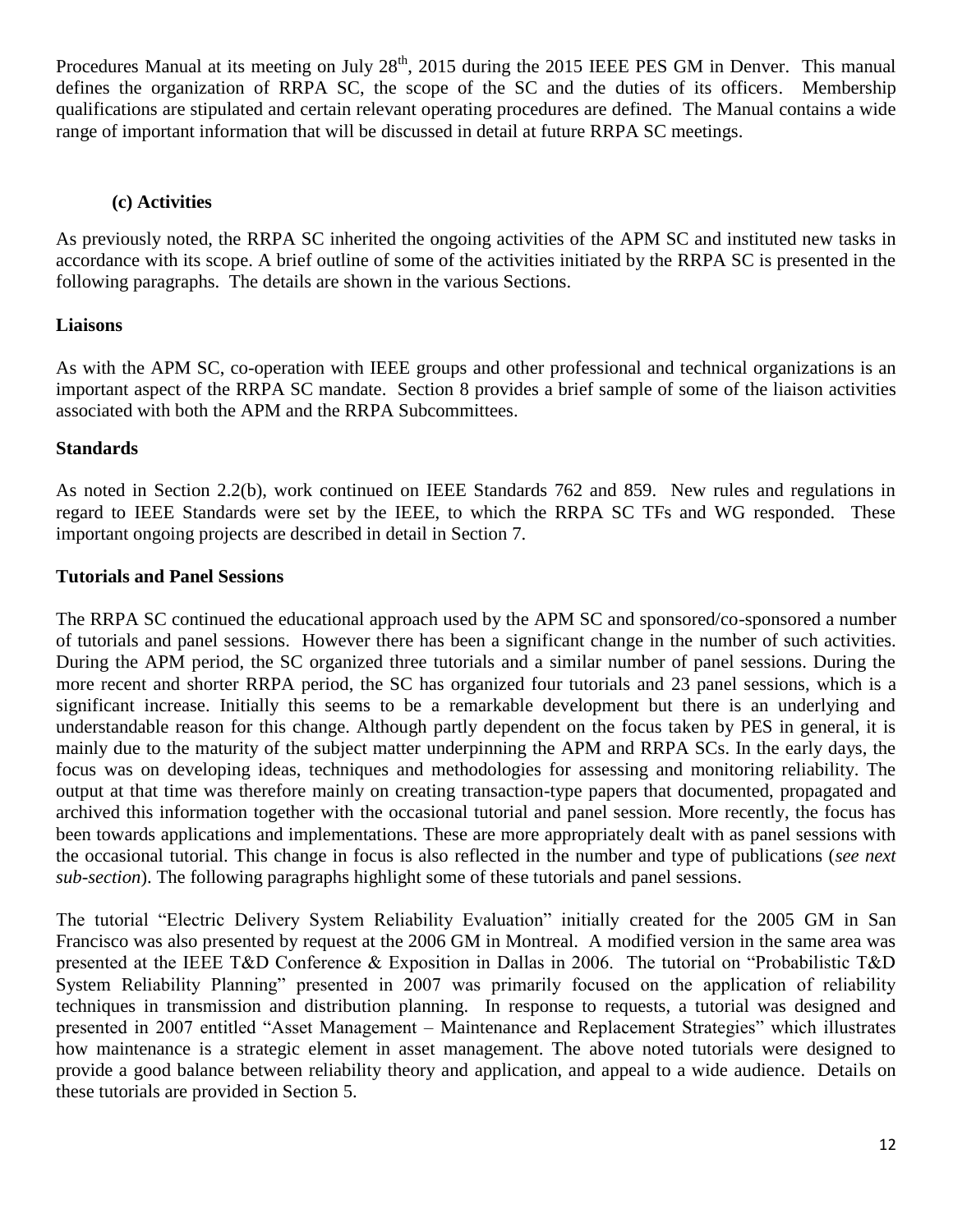Procedures Manual at its meeting on July 28<sup>th</sup>, 2015 during the 2015 IEEE PES GM in Denver. This manual defines the organization of RRPA SC, the scope of the SC and the duties of its officers. Membership qualifications are stipulated and certain relevant operating procedures are defined. The Manual contains a wide range of important information that will be discussed in detail at future RRPA SC meetings.

### **(c) Activities**

As previously noted, the RRPA SC inherited the ongoing activities of the APM SC and instituted new tasks in accordance with its scope. A brief outline of some of the activities initiated by the RRPA SC is presented in the following paragraphs. The details are shown in the various Sections.

## **Liaisons**

As with the APM SC, co-operation with IEEE groups and other professional and technical organizations is an important aspect of the RRPA SC mandate. Section 8 provides a brief sample of some of the liaison activities associated with both the APM and the RRPA Subcommittees.

### **Standards**

As noted in Section 2.2(b), work continued on IEEE Standards 762 and 859. New rules and regulations in regard to IEEE Standards were set by the IEEE, to which the RRPA SC TFs and WG responded. These important ongoing projects are described in detail in Section 7.

### **Tutorials and Panel Sessions**

The RRPA SC continued the educational approach used by the APM SC and sponsored/co-sponsored a number of tutorials and panel sessions. However there has been a significant change in the number of such activities. During the APM period, the SC organized three tutorials and a similar number of panel sessions. During the more recent and shorter RRPA period, the SC has organized four tutorials and 23 panel sessions, which is a significant increase. Initially this seems to be a remarkable development but there is an underlying and understandable reason for this change. Although partly dependent on the focus taken by PES in general, it is mainly due to the maturity of the subject matter underpinning the APM and RRPA SCs. In the early days, the focus was on developing ideas, techniques and methodologies for assessing and monitoring reliability. The output at that time was therefore mainly on creating transaction-type papers that documented, propagated and archived this information together with the occasional tutorial and panel session. More recently, the focus has been towards applications and implementations. These are more appropriately dealt with as panel sessions with the occasional tutorial. This change in focus is also reflected in the number and type of publications (*see next sub-section*). The following paragraphs highlight some of these tutorials and panel sessions.

The tutorial "Electric Delivery System Reliability Evaluation" initially created for the 2005 GM in San Francisco was also presented by request at the 2006 GM in Montreal. A modified version in the same area was presented at the IEEE T&D Conference & Exposition in Dallas in 2006. The tutorial on "Probabilistic T&D System Reliability Planning" presented in 2007 was primarily focused on the application of reliability techniques in transmission and distribution planning. In response to requests, a tutorial was designed and presented in 2007 entitled "Asset Management – Maintenance and Replacement Strategies" which illustrates how maintenance is a strategic element in asset management. The above noted tutorials were designed to provide a good balance between reliability theory and application, and appeal to a wide audience. Details on these tutorials are provided in Section 5.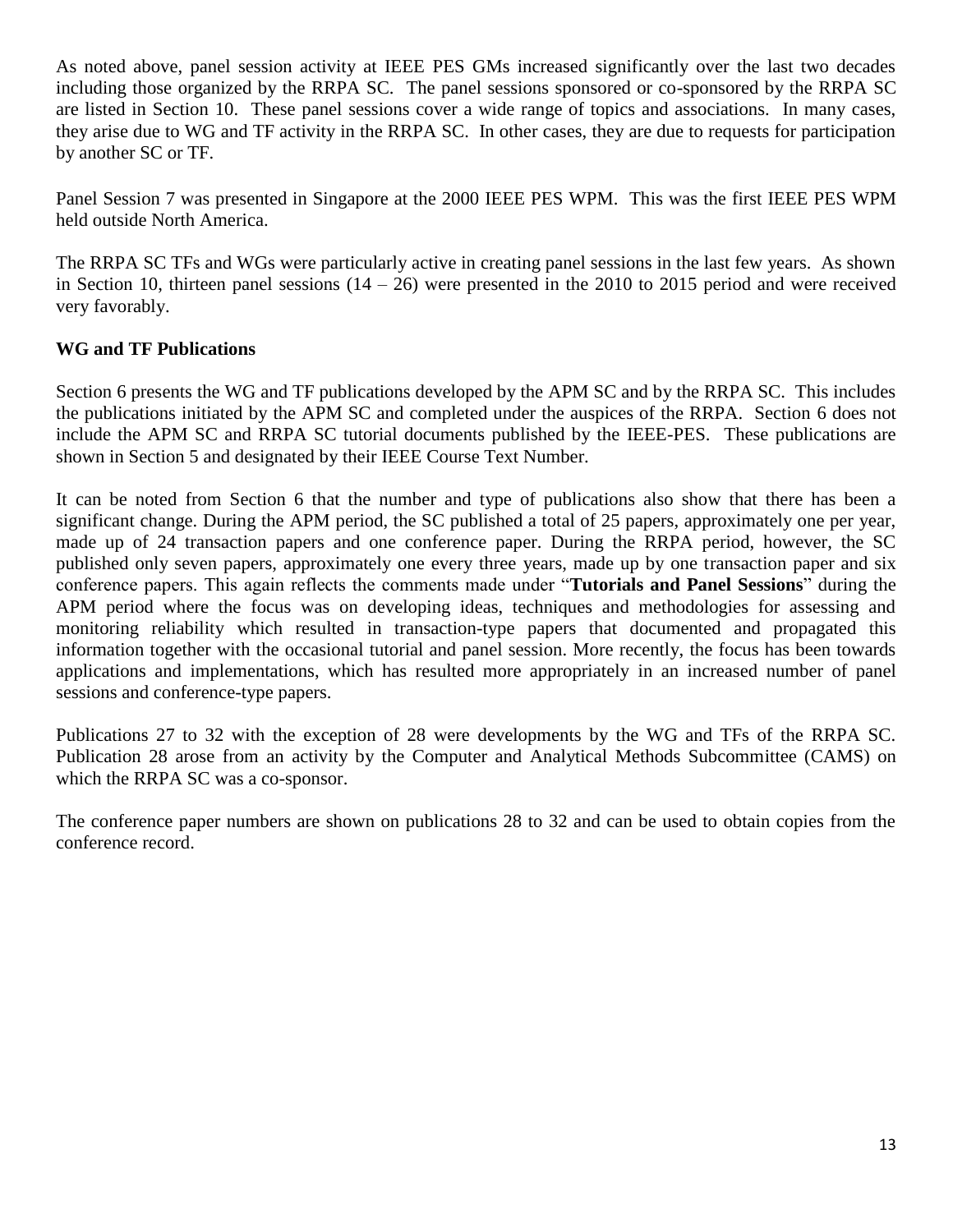As noted above, panel session activity at IEEE PES GMs increased significantly over the last two decades including those organized by the RRPA SC. The panel sessions sponsored or co-sponsored by the RRPA SC are listed in Section 10. These panel sessions cover a wide range of topics and associations. In many cases, they arise due to WG and TF activity in the RRPA SC. In other cases, they are due to requests for participation by another SC or TF.

Panel Session 7 was presented in Singapore at the 2000 IEEE PES WPM. This was the first IEEE PES WPM held outside North America.

The RRPA SC TFs and WGs were particularly active in creating panel sessions in the last few years. As shown in Section 10, thirteen panel sessions  $(14 – 26)$  were presented in the 2010 to 2015 period and were received very favorably.

## **WG and TF Publications**

Section 6 presents the WG and TF publications developed by the APM SC and by the RRPA SC. This includes the publications initiated by the APM SC and completed under the auspices of the RRPA. Section 6 does not include the APM SC and RRPA SC tutorial documents published by the IEEE-PES. These publications are shown in Section 5 and designated by their IEEE Course Text Number.

It can be noted from Section 6 that the number and type of publications also show that there has been a significant change. During the APM period, the SC published a total of 25 papers, approximately one per year, made up of 24 transaction papers and one conference paper. During the RRPA period, however, the SC published only seven papers, approximately one every three years, made up by one transaction paper and six conference papers. This again reflects the comments made under "**Tutorials and Panel Sessions**" during the APM period where the focus was on developing ideas, techniques and methodologies for assessing and monitoring reliability which resulted in transaction-type papers that documented and propagated this information together with the occasional tutorial and panel session. More recently, the focus has been towards applications and implementations, which has resulted more appropriately in an increased number of panel sessions and conference-type papers.

Publications 27 to 32 with the exception of 28 were developments by the WG and TFs of the RRPA SC. Publication 28 arose from an activity by the Computer and Analytical Methods Subcommittee (CAMS) on which the RRPA SC was a co-sponsor.

The conference paper numbers are shown on publications 28 to 32 and can be used to obtain copies from the conference record.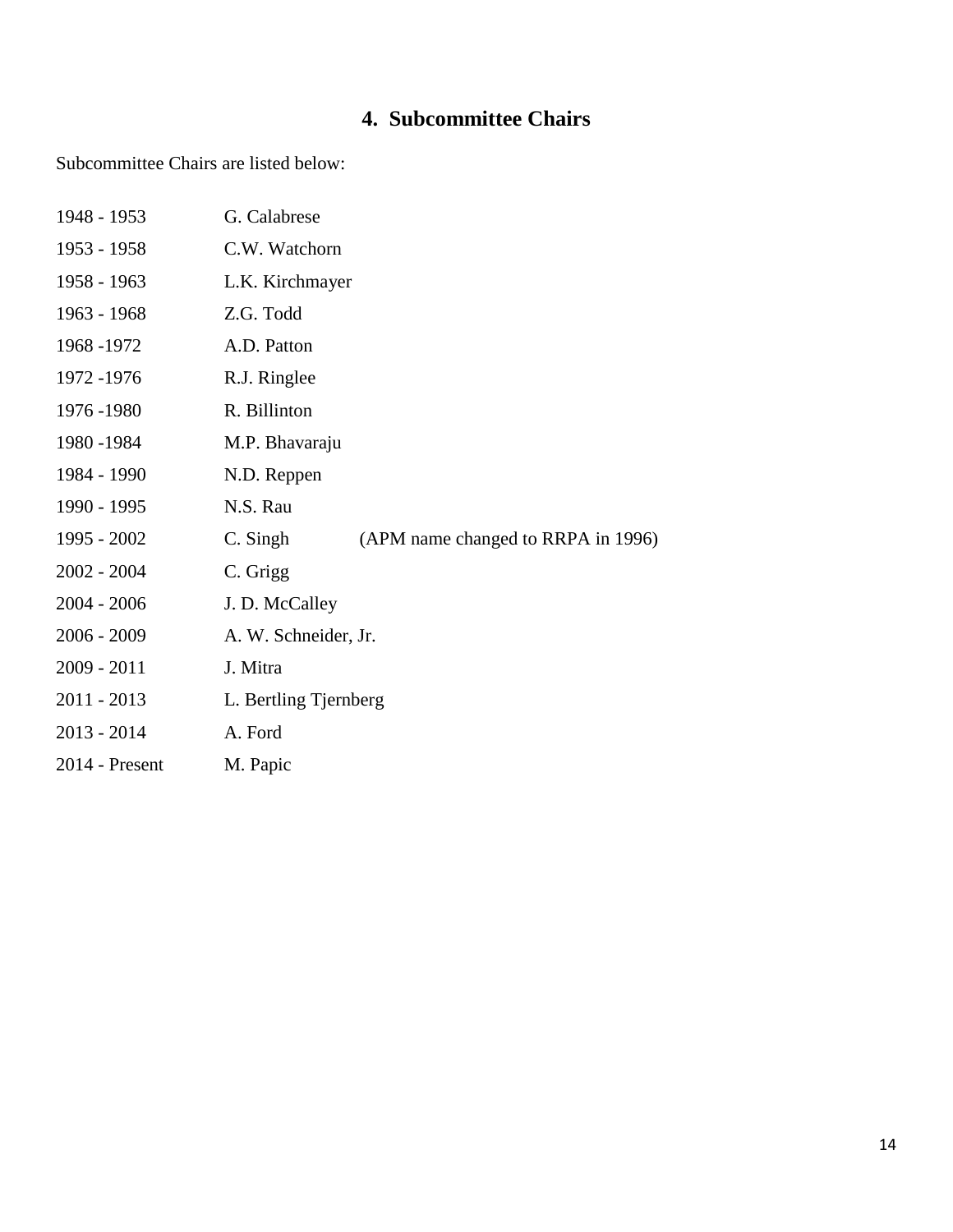## **4. Subcommittee Chairs**

Subcommittee Chairs are listed below:

| 1948 - 1953      | G. Calabrese                                   |
|------------------|------------------------------------------------|
| 1953 - 1958      | C.W. Watchorn                                  |
| 1958 - 1963      | L.K. Kirchmayer                                |
| 1963 - 1968      | Z.G. Todd                                      |
| 1968 - 1972      | A.D. Patton                                    |
| 1972 - 1976      | R.J. Ringlee                                   |
| 1976 - 1980      | R. Billinton                                   |
| 1980 - 1984      | M.P. Bhavaraju                                 |
| 1984 - 1990      | N.D. Reppen                                    |
| 1990 - 1995      | N.S. Rau                                       |
| 1995 - 2002      | C. Singh<br>(APM name changed to RRPA in 1996) |
| $2002 - 2004$    | C. Grigg                                       |
| $2004 - 2006$    | J. D. McCalley                                 |
| $2006 - 2009$    | A. W. Schneider, Jr.                           |
| $2009 - 2011$    | J. Mitra                                       |
| $2011 - 2013$    | L. Bertling Tjernberg                          |
| $2013 - 2014$    | A. Ford                                        |
| $2014$ - Present | M. Papic                                       |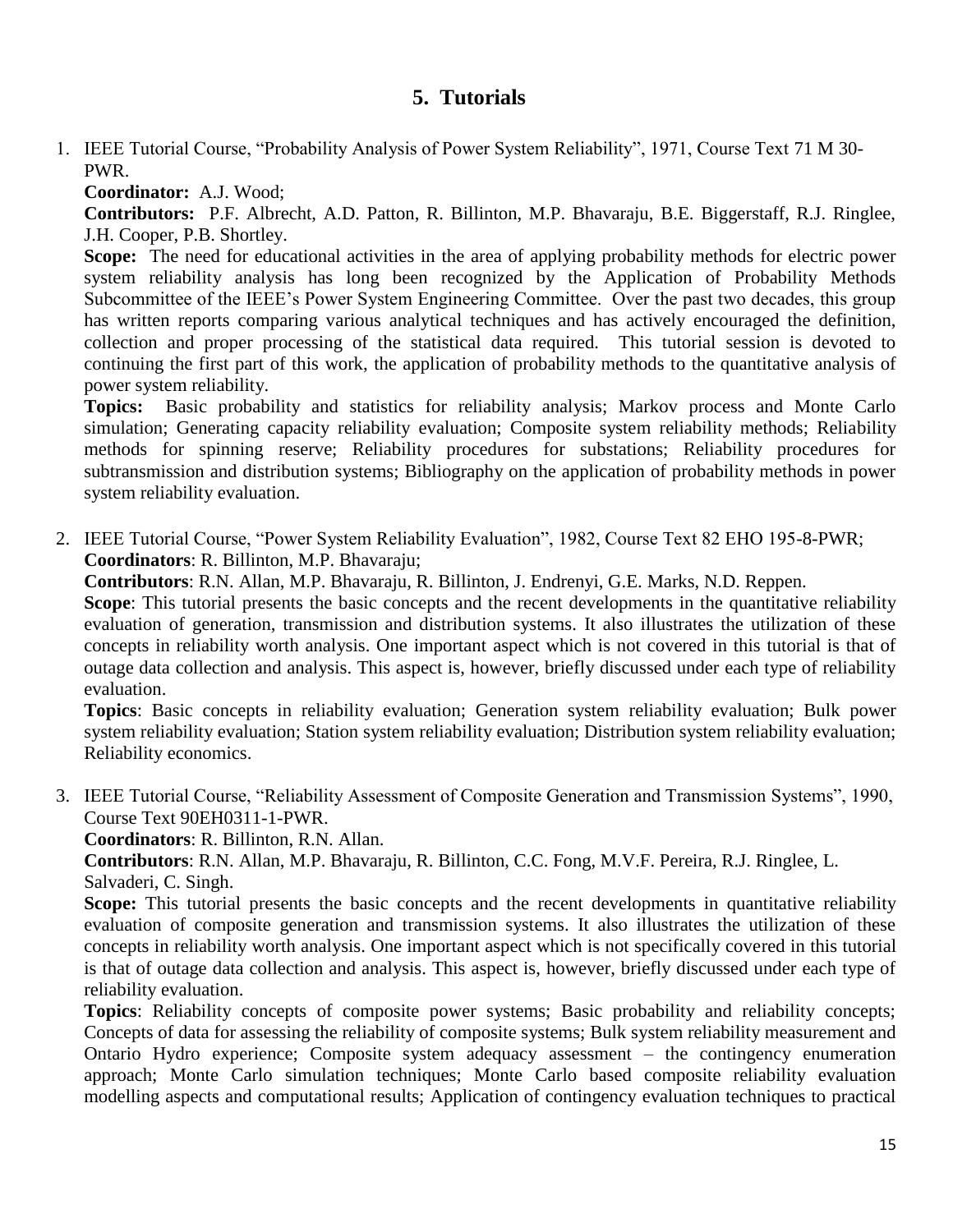## **5. Tutorials**

1. IEEE Tutorial Course, "Probability Analysis of Power System Reliability", 1971, Course Text 71 M 30- PWR.

**Coordinator:** A.J. Wood;

**Contributors:** P.F. Albrecht, A.D. Patton, R. Billinton, M.P. Bhavaraju, B.E. Biggerstaff, R.J. Ringlee, J.H. Cooper, P.B. Shortley.

**Scope:** The need for educational activities in the area of applying probability methods for electric power system reliability analysis has long been recognized by the Application of Probability Methods Subcommittee of the IEEE's Power System Engineering Committee. Over the past two decades, this group has written reports comparing various analytical techniques and has actively encouraged the definition, collection and proper processing of the statistical data required. This tutorial session is devoted to continuing the first part of this work, the application of probability methods to the quantitative analysis of power system reliability.

**Topics:** Basic probability and statistics for reliability analysis; Markov process and Monte Carlo simulation; Generating capacity reliability evaluation; Composite system reliability methods; Reliability methods for spinning reserve; Reliability procedures for substations; Reliability procedures for subtransmission and distribution systems; Bibliography on the application of probability methods in power system reliability evaluation.

2. IEEE Tutorial Course, "Power System Reliability Evaluation", 1982, Course Text 82 EHO 195-8-PWR; **Coordinators**: R. Billinton, M.P. Bhavaraju;

**Contributors**: R.N. Allan, M.P. Bhavaraju, R. Billinton, J. Endrenyi, G.E. Marks, N.D. Reppen.

**Scope**: This tutorial presents the basic concepts and the recent developments in the quantitative reliability evaluation of generation, transmission and distribution systems. It also illustrates the utilization of these concepts in reliability worth analysis. One important aspect which is not covered in this tutorial is that of outage data collection and analysis. This aspect is, however, briefly discussed under each type of reliability evaluation.

**Topics**: Basic concepts in reliability evaluation; Generation system reliability evaluation; Bulk power system reliability evaluation; Station system reliability evaluation; Distribution system reliability evaluation; Reliability economics.

3. IEEE Tutorial Course, "Reliability Assessment of Composite Generation and Transmission Systems", 1990, Course Text 90EH0311-1-PWR.

**Coordinators**: R. Billinton, R.N. Allan.

**Contributors**: R.N. Allan, M.P. Bhavaraju, R. Billinton, C.C. Fong, M.V.F. Pereira, R.J. Ringlee, L. Salvaderi, C. Singh.

**Scope:** This tutorial presents the basic concepts and the recent developments in quantitative reliability evaluation of composite generation and transmission systems. It also illustrates the utilization of these concepts in reliability worth analysis. One important aspect which is not specifically covered in this tutorial is that of outage data collection and analysis. This aspect is, however, briefly discussed under each type of reliability evaluation.

**Topics**: Reliability concepts of composite power systems; Basic probability and reliability concepts; Concepts of data for assessing the reliability of composite systems; Bulk system reliability measurement and Ontario Hydro experience; Composite system adequacy assessment – the contingency enumeration approach; Monte Carlo simulation techniques; Monte Carlo based composite reliability evaluation modelling aspects and computational results; Application of contingency evaluation techniques to practical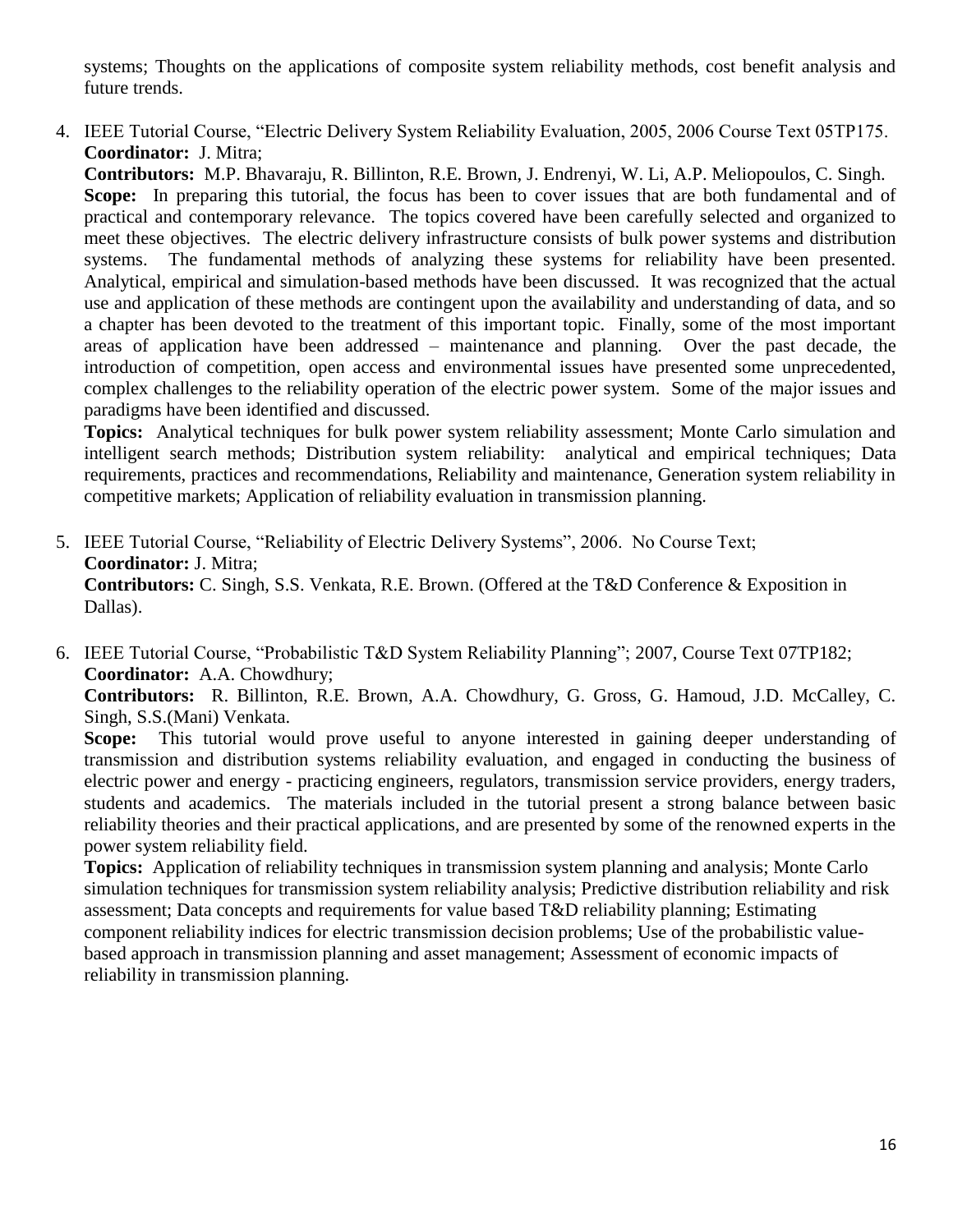systems; Thoughts on the applications of composite system reliability methods, cost benefit analysis and future trends.

4. IEEE Tutorial Course, "Electric Delivery System Reliability Evaluation, 2005, 2006 Course Text 05TP175. **Coordinator:** J. Mitra;

**Contributors:** M.P. Bhavaraju, R. Billinton, R.E. Brown, J. Endrenyi, W. Li, A.P. Meliopoulos, C. Singh. **Scope:** In preparing this tutorial, the focus has been to cover issues that are both fundamental and of practical and contemporary relevance. The topics covered have been carefully selected and organized to meet these objectives. The electric delivery infrastructure consists of bulk power systems and distribution systems. The fundamental methods of analyzing these systems for reliability have been presented. Analytical, empirical and simulation-based methods have been discussed. It was recognized that the actual use and application of these methods are contingent upon the availability and understanding of data, and so a chapter has been devoted to the treatment of this important topic. Finally, some of the most important areas of application have been addressed – maintenance and planning. Over the past decade, the introduction of competition, open access and environmental issues have presented some unprecedented, complex challenges to the reliability operation of the electric power system. Some of the major issues and paradigms have been identified and discussed.

**Topics:** Analytical techniques for bulk power system reliability assessment; Monte Carlo simulation and intelligent search methods; Distribution system reliability: analytical and empirical techniques; Data requirements, practices and recommendations, Reliability and maintenance, Generation system reliability in competitive markets; Application of reliability evaluation in transmission planning.

- 5. IEEE Tutorial Course, "Reliability of Electric Delivery Systems", 2006. No Course Text; **Coordinator:** J. Mitra; **Contributors:** C. Singh, S.S. Venkata, R.E. Brown. (Offered at the T&D Conference & Exposition in Dallas).
- 6. IEEE Tutorial Course, "Probabilistic T&D System Reliability Planning"; 2007, Course Text 07TP182; **Coordinator:** A.A. Chowdhury;

**Contributors:** R. Billinton, R.E. Brown, A.A. Chowdhury, G. Gross, G. Hamoud, J.D. McCalley, C. Singh, S.S.(Mani) Venkata.

**Scope:** This tutorial would prove useful to anyone interested in gaining deeper understanding of transmission and distribution systems reliability evaluation, and engaged in conducting the business of electric power and energy - practicing engineers, regulators, transmission service providers, energy traders, students and academics. The materials included in the tutorial present a strong balance between basic reliability theories and their practical applications, and are presented by some of the renowned experts in the power system reliability field.

**Topics:** Application of reliability techniques in transmission system planning and analysis; Monte Carlo simulation techniques for transmission system reliability analysis; Predictive distribution reliability and risk assessment; Data concepts and requirements for value based T&D reliability planning; Estimating component reliability indices for electric transmission decision problems; Use of the probabilistic valuebased approach in transmission planning and asset management; Assessment of economic impacts of reliability in transmission planning.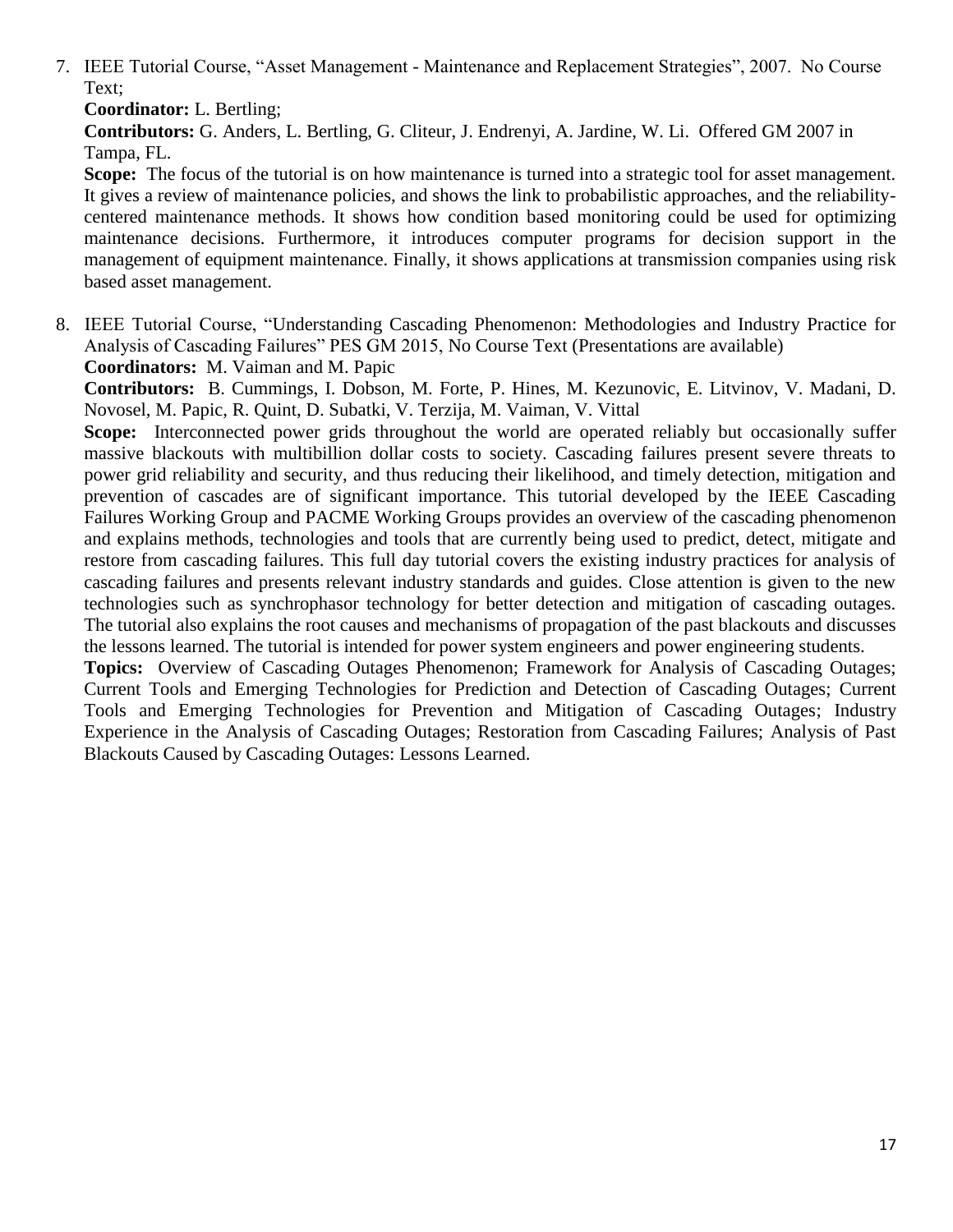7. IEEE Tutorial Course, "Asset Management - Maintenance and Replacement Strategies", 2007. No Course Text;

**Coordinator:** L. Bertling;

**Contributors:** G. Anders, L. Bertling, G. Cliteur, J. Endrenyi, A. Jardine, W. Li. Offered GM 2007 in Tampa, FL.

**Scope:** The focus of the tutorial is on how maintenance is turned into a strategic tool for asset management. It gives a review of maintenance policies, and shows the link to probabilistic approaches, and the reliabilitycentered maintenance methods. It shows how condition based monitoring could be used for optimizing maintenance decisions. Furthermore, it introduces computer programs for decision support in the management of equipment maintenance. Finally, it shows applications at transmission companies using risk based asset management.

8. IEEE Tutorial Course, "Understanding Cascading Phenomenon: Methodologies and Industry Practice for Analysis of Cascading Failures" PES GM 2015, No Course Text (Presentations are available) **Coordinators:** M. Vaiman and M. Papic

**Contributors:** B. Cummings, I. Dobson, M. Forte, P. Hines, M. Kezunovic, E. Litvinov, V. Madani, D. Novosel, M. Papic, R. Quint, D. Subatki, V. Terzija, M. Vaiman, V. Vittal

Scope: Interconnected power grids throughout the world are operated reliably but occasionally suffer massive blackouts with multibillion dollar costs to society. Cascading failures present severe threats to power grid reliability and security, and thus reducing their likelihood, and timely detection, mitigation and prevention of cascades are of significant importance. This tutorial developed by the IEEE Cascading Failures Working Group and PACME Working Groups provides an overview of the cascading phenomenon and explains methods, technologies and tools that are currently being used to predict, detect, mitigate and restore from cascading failures. This full day tutorial covers the existing industry practices for analysis of cascading failures and presents relevant industry standards and guides. Close attention is given to the new technologies such as synchrophasor technology for better detection and mitigation of cascading outages. The tutorial also explains the root causes and mechanisms of propagation of the past blackouts and discusses the lessons learned. The tutorial is intended for power system engineers and power engineering students.

**Topics:** Overview of Cascading Outages Phenomenon; Framework for Analysis of Cascading Outages; Current Tools and Emerging Technologies for Prediction and Detection of Cascading Outages; Current Tools and Emerging Technologies for Prevention and Mitigation of Cascading Outages; Industry Experience in the Analysis of Cascading Outages; Restoration from Cascading Failures; Analysis of Past Blackouts Caused by Cascading Outages: Lessons Learned.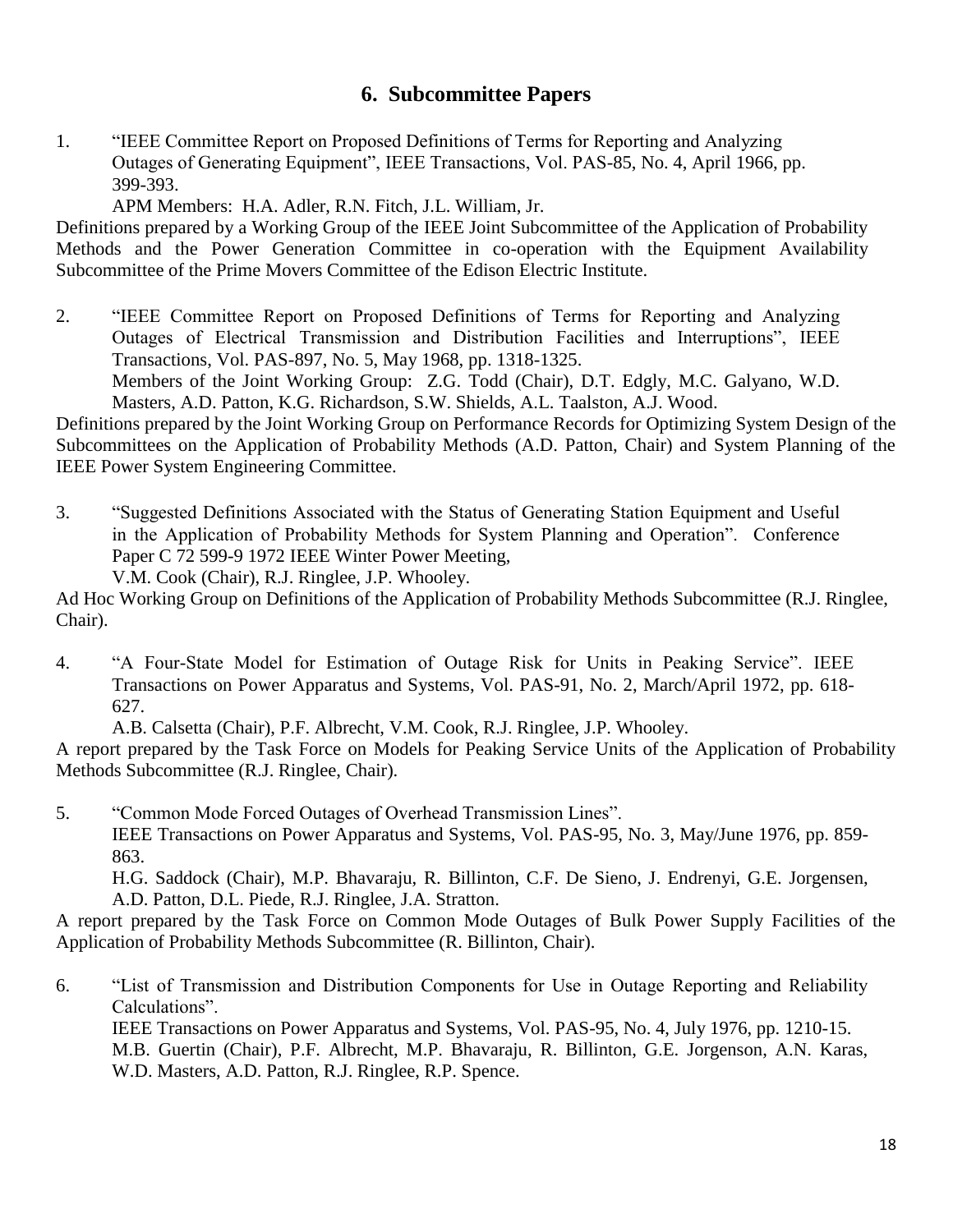## **6. Subcommittee Papers**

- 1. "IEEE Committee Report on Proposed Definitions of Terms for Reporting and Analyzing Outages of Generating Equipment", IEEE Transactions, Vol. PAS-85, No. 4, April 1966, pp. 399-393.
	- APM Members: H.A. Adler, R.N. Fitch, J.L. William, Jr.

Definitions prepared by a Working Group of the IEEE Joint Subcommittee of the Application of Probability Methods and the Power Generation Committee in co-operation with the Equipment Availability Subcommittee of the Prime Movers Committee of the Edison Electric Institute.

2. "IEEE Committee Report on Proposed Definitions of Terms for Reporting and Analyzing Outages of Electrical Transmission and Distribution Facilities and Interruptions", IEEE Transactions, Vol. PAS-897, No. 5, May 1968, pp. 1318-1325. Members of the Joint Working Group: Z.G. Todd (Chair), D.T. Edgly, M.C. Galyano, W.D. Masters, A.D. Patton, K.G. Richardson, S.W. Shields, A.L. Taalston, A.J. Wood.

Definitions prepared by the Joint Working Group on Performance Records for Optimizing System Design of the Subcommittees on the Application of Probability Methods (A.D. Patton, Chair) and System Planning of the IEEE Power System Engineering Committee.

3. "Suggested Definitions Associated with the Status of Generating Station Equipment and Useful in the Application of Probability Methods for System Planning and Operation". Conference Paper C 72 599-9 1972 IEEE Winter Power Meeting, V.M. Cook (Chair), R.J. Ringlee, J.P. Whooley.

Ad Hoc Working Group on Definitions of the Application of Probability Methods Subcommittee (R.J. Ringlee, Chair).

4. "A Four-State Model for Estimation of Outage Risk for Units in Peaking Service". IEEE Transactions on Power Apparatus and Systems, Vol. PAS-91, No. 2, March/April 1972, pp. 618- 627.

A.B. Calsetta (Chair), P.F. Albrecht, V.M. Cook, R.J. Ringlee, J.P. Whooley.

A report prepared by the Task Force on Models for Peaking Service Units of the Application of Probability Methods Subcommittee (R.J. Ringlee, Chair).

5. "Common Mode Forced Outages of Overhead Transmission Lines". IEEE Transactions on Power Apparatus and Systems, Vol. PAS-95, No. 3, May/June 1976, pp. 859- 863.

H.G. Saddock (Chair), M.P. Bhavaraju, R. Billinton, C.F. De Sieno, J. Endrenyi, G.E. Jorgensen, A.D. Patton, D.L. Piede, R.J. Ringlee, J.A. Stratton.

A report prepared by the Task Force on Common Mode Outages of Bulk Power Supply Facilities of the Application of Probability Methods Subcommittee (R. Billinton, Chair).

6. "List of Transmission and Distribution Components for Use in Outage Reporting and Reliability Calculations".

IEEE Transactions on Power Apparatus and Systems, Vol. PAS-95, No. 4, July 1976, pp. 1210-15. M.B. Guertin (Chair), P.F. Albrecht, M.P. Bhavaraju, R. Billinton, G.E. Jorgenson, A.N. Karas, W.D. Masters, A.D. Patton, R.J. Ringlee, R.P. Spence.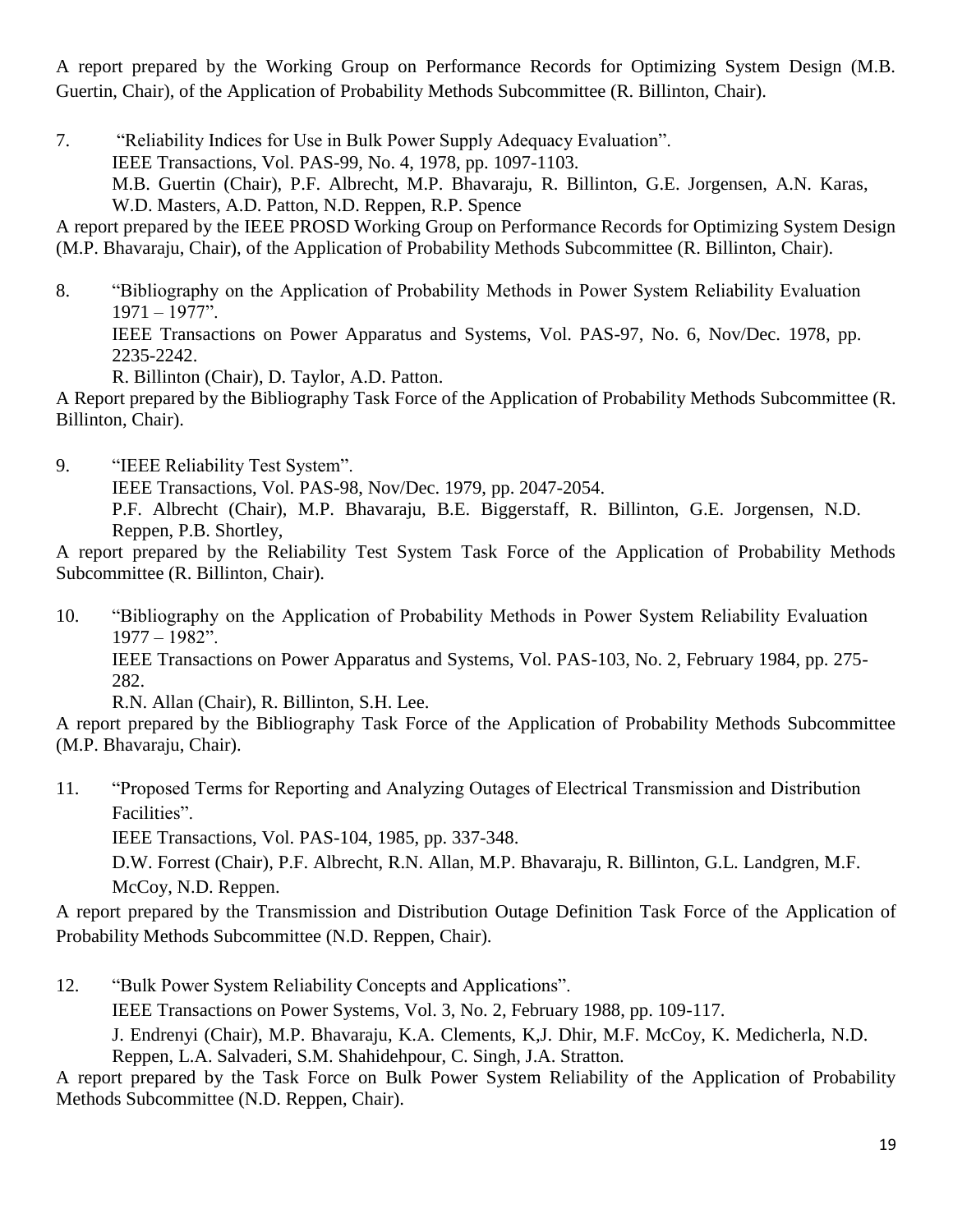A report prepared by the Working Group on Performance Records for Optimizing System Design (M.B. Guertin, Chair), of the Application of Probability Methods Subcommittee (R. Billinton, Chair).

7. "Reliability Indices for Use in Bulk Power Supply Adequacy Evaluation". IEEE Transactions, Vol. PAS-99, No. 4, 1978, pp. 1097-1103. M.B. Guertin (Chair), P.F. Albrecht, M.P. Bhavaraju, R. Billinton, G.E. Jorgensen, A.N. Karas, W.D. Masters, A.D. Patton, N.D. Reppen, R.P. Spence

A report prepared by the IEEE PROSD Working Group on Performance Records for Optimizing System Design (M.P. Bhavaraju, Chair), of the Application of Probability Methods Subcommittee (R. Billinton, Chair).

8. "Bibliography on the Application of Probability Methods in Power System Reliability Evaluation 1971 – 1977".

IEEE Transactions on Power Apparatus and Systems, Vol. PAS-97, No. 6, Nov/Dec. 1978, pp. 2235-2242.

R. Billinton (Chair), D. Taylor, A.D. Patton.

A Report prepared by the Bibliography Task Force of the Application of Probability Methods Subcommittee (R. Billinton, Chair).

9. "IEEE Reliability Test System". IEEE Transactions, Vol. PAS-98, Nov/Dec. 1979, pp. 2047-2054. P.F. Albrecht (Chair), M.P. Bhavaraju, B.E. Biggerstaff, R. Billinton, G.E. Jorgensen, N.D. Reppen, P.B. Shortley,

A report prepared by the Reliability Test System Task Force of the Application of Probability Methods Subcommittee (R. Billinton, Chair).

10. "Bibliography on the Application of Probability Methods in Power System Reliability Evaluation 1977 – 1982". IEEE Transactions on Power Apparatus and Systems, Vol. PAS-103, No. 2, February 1984, pp. 275- 282.

R.N. Allan (Chair), R. Billinton, S.H. Lee.

A report prepared by the Bibliography Task Force of the Application of Probability Methods Subcommittee (M.P. Bhavaraju, Chair).

11. "Proposed Terms for Reporting and Analyzing Outages of Electrical Transmission and Distribution Facilities".

IEEE Transactions, Vol. PAS-104, 1985, pp. 337-348.

D.W. Forrest (Chair), P.F. Albrecht, R.N. Allan, M.P. Bhavaraju, R. Billinton, G.L. Landgren, M.F. McCoy, N.D. Reppen.

A report prepared by the Transmission and Distribution Outage Definition Task Force of the Application of Probability Methods Subcommittee (N.D. Reppen, Chair).

12. "Bulk Power System Reliability Concepts and Applications".

IEEE Transactions on Power Systems, Vol. 3, No. 2, February 1988, pp. 109-117.

J. Endrenyi (Chair), M.P. Bhavaraju, K.A. Clements, K,J. Dhir, M.F. McCoy, K. Medicherla, N.D.

Reppen, L.A. Salvaderi, S.M. Shahidehpour, C. Singh, J.A. Stratton.

A report prepared by the Task Force on Bulk Power System Reliability of the Application of Probability Methods Subcommittee (N.D. Reppen, Chair).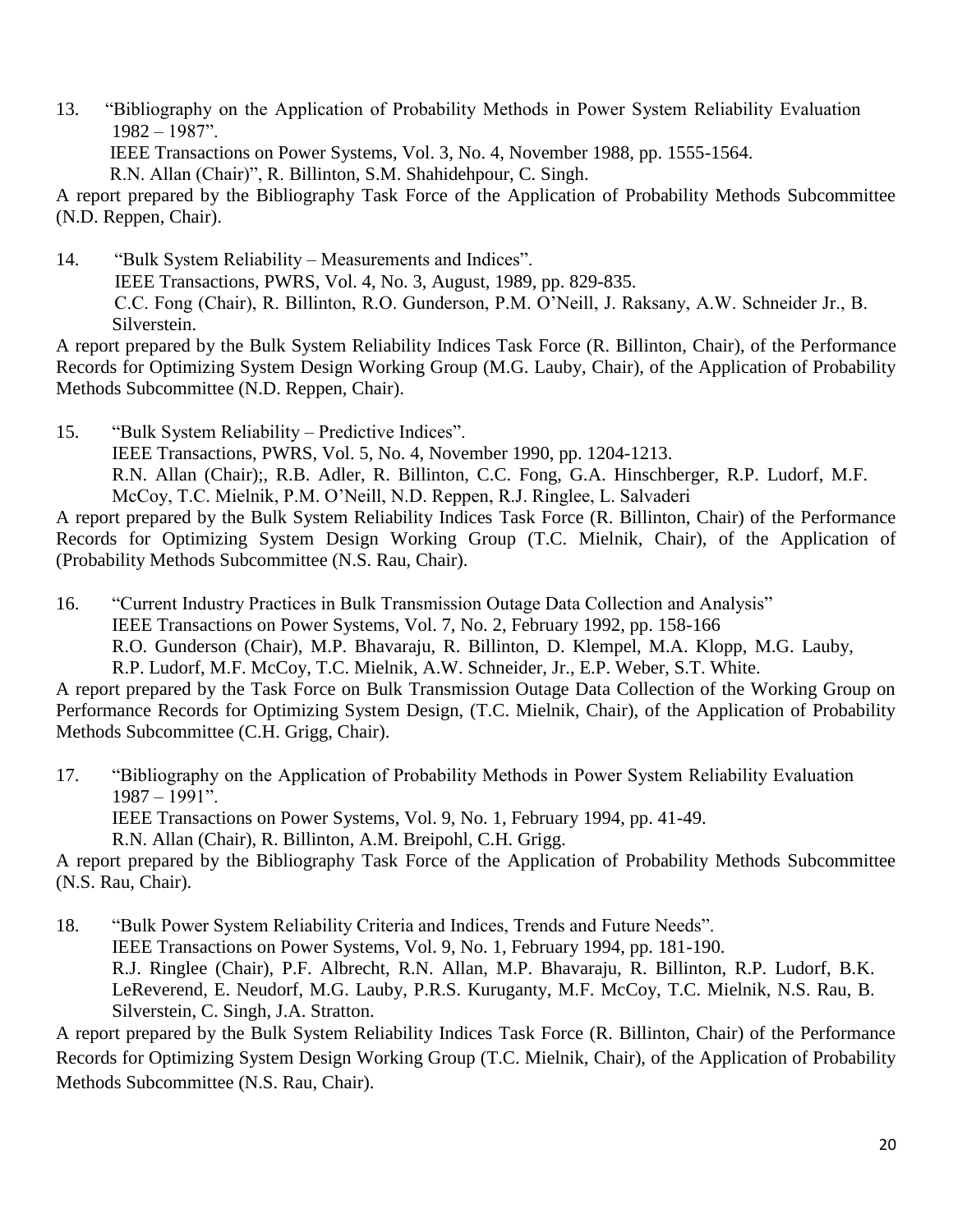13. "Bibliography on the Application of Probability Methods in Power System Reliability Evaluation 1982 – 1987". IEEE Transactions on Power Systems, Vol. 3, No. 4, November 1988, pp. 1555-1564. R.N. Allan (Chair)", R. Billinton, S.M. Shahidehpour, C. Singh. A report prepared by the Bibliography Task Force of the Application of Probability Methods Subcommittee

(N.D. Reppen, Chair).

14. "Bulk System Reliability – Measurements and Indices". IEEE Transactions, PWRS, Vol. 4, No. 3, August, 1989, pp. 829-835. C.C. Fong (Chair), R. Billinton, R.O. Gunderson, P.M. O'Neill, J. Raksany, A.W. Schneider Jr., B. Silverstein.

A report prepared by the Bulk System Reliability Indices Task Force (R. Billinton, Chair), of the Performance Records for Optimizing System Design Working Group (M.G. Lauby, Chair), of the Application of Probability Methods Subcommittee (N.D. Reppen, Chair).

15. "Bulk System Reliability – Predictive Indices". IEEE Transactions, PWRS, Vol. 5, No. 4, November 1990, pp. 1204-1213. R.N. Allan (Chair);, R.B. Adler, R. Billinton, C.C. Fong, G.A. Hinschberger, R.P. Ludorf, M.F. McCoy, T.C. Mielnik, P.M. O'Neill, N.D. Reppen, R.J. Ringlee, L. Salvaderi

A report prepared by the Bulk System Reliability Indices Task Force (R. Billinton, Chair) of the Performance Records for Optimizing System Design Working Group (T.C. Mielnik, Chair), of the Application of (Probability Methods Subcommittee (N.S. Rau, Chair).

16. "Current Industry Practices in Bulk Transmission Outage Data Collection and Analysis" IEEE Transactions on Power Systems, Vol. 7, No. 2, February 1992, pp. 158-166 R.O. Gunderson (Chair), M.P. Bhavaraju, R. Billinton, D. Klempel, M.A. Klopp, M.G. Lauby, R.P. Ludorf, M.F. McCoy, T.C. Mielnik, A.W. Schneider, Jr., E.P. Weber, S.T. White.

A report prepared by the Task Force on Bulk Transmission Outage Data Collection of the Working Group on Performance Records for Optimizing System Design, (T.C. Mielnik, Chair), of the Application of Probability Methods Subcommittee (C.H. Grigg, Chair).

17. "Bibliography on the Application of Probability Methods in Power System Reliability Evaluation 1987 – 1991". IEEE Transactions on Power Systems, Vol. 9, No. 1, February 1994, pp. 41-49. R.N. Allan (Chair), R. Billinton, A.M. Breipohl, C.H. Grigg.

A report prepared by the Bibliography Task Force of the Application of Probability Methods Subcommittee (N.S. Rau, Chair).

18. "Bulk Power System Reliability Criteria and Indices, Trends and Future Needs". IEEE Transactions on Power Systems, Vol. 9, No. 1, February 1994, pp. 181-190. R.J. Ringlee (Chair), P.F. Albrecht, R.N. Allan, M.P. Bhavaraju, R. Billinton, R.P. Ludorf, B.K. LeReverend, E. Neudorf, M.G. Lauby, P.R.S. Kuruganty, M.F. McCoy, T.C. Mielnik, N.S. Rau, B. Silverstein, C. Singh, J.A. Stratton.

A report prepared by the Bulk System Reliability Indices Task Force (R. Billinton, Chair) of the Performance Records for Optimizing System Design Working Group (T.C. Mielnik, Chair), of the Application of Probability Methods Subcommittee (N.S. Rau, Chair).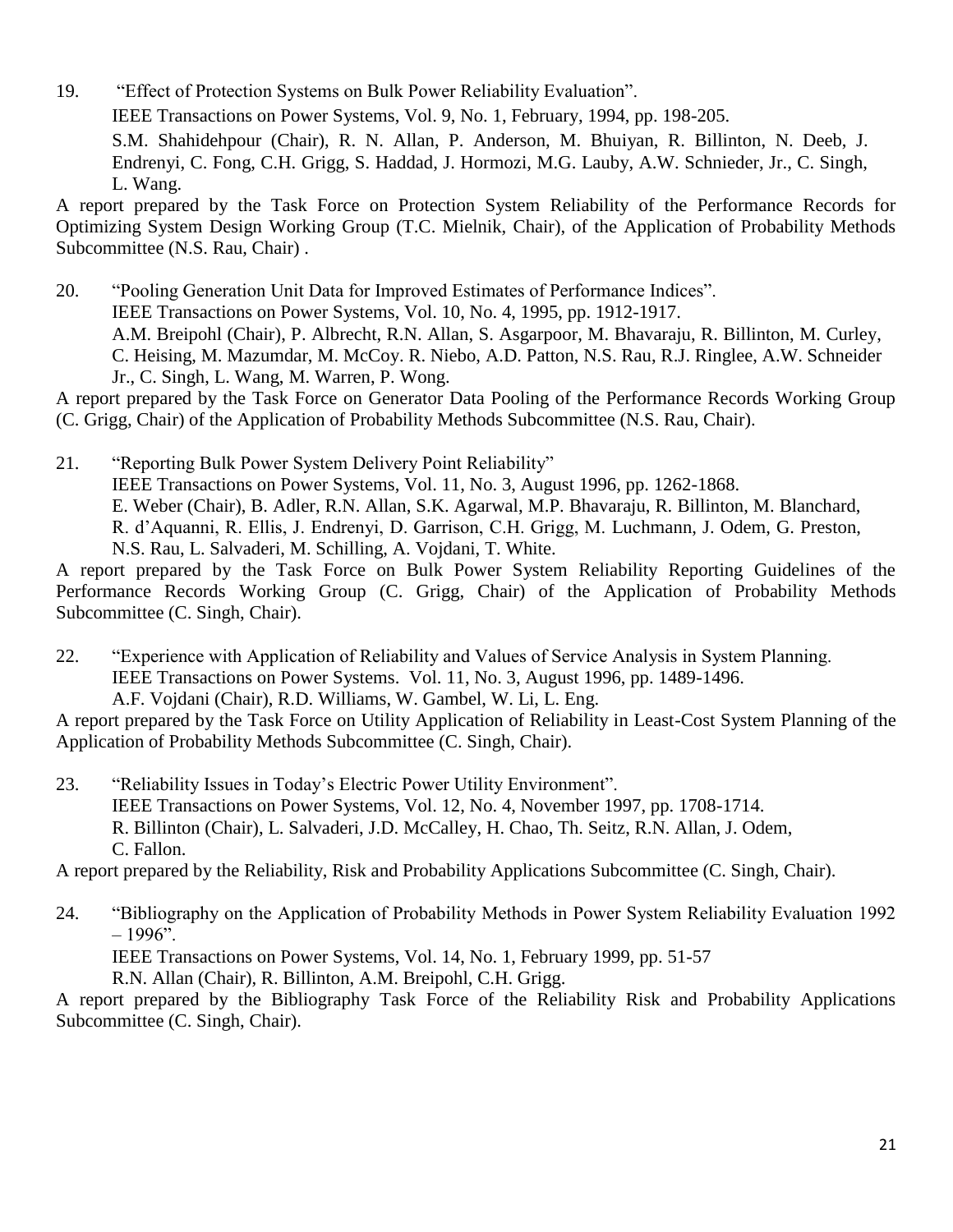19. "Effect of Protection Systems on Bulk Power Reliability Evaluation". IEEE Transactions on Power Systems, Vol. 9, No. 1, February, 1994, pp. 198-205. S.M. Shahidehpour (Chair), R. N. Allan, P. Anderson, M. Bhuiyan, R. Billinton, N. Deeb, J. Endrenyi, C. Fong, C.H. Grigg, S. Haddad, J. Hormozi, M.G. Lauby, A.W. Schnieder, Jr., C. Singh, L. Wang.

A report prepared by the Task Force on Protection System Reliability of the Performance Records for Optimizing System Design Working Group (T.C. Mielnik, Chair), of the Application of Probability Methods Subcommittee (N.S. Rau, Chair) .

20. "Pooling Generation Unit Data for Improved Estimates of Performance Indices". IEEE Transactions on Power Systems, Vol. 10, No. 4, 1995, pp. 1912-1917. A.M. Breipohl (Chair), P. Albrecht, R.N. Allan, S. Asgarpoor, M. Bhavaraju, R. Billinton, M. Curley, C. Heising, M. Mazumdar, M. McCoy. R. Niebo, A.D. Patton, N.S. Rau, R.J. Ringlee, A.W. Schneider Jr., C. Singh, L. Wang, M. Warren, P. Wong.

A report prepared by the Task Force on Generator Data Pooling of the Performance Records Working Group (C. Grigg, Chair) of the Application of Probability Methods Subcommittee (N.S. Rau, Chair).

21. "Reporting Bulk Power System Delivery Point Reliability" IEEE Transactions on Power Systems, Vol. 11, No. 3, August 1996, pp. 1262-1868. E. Weber (Chair), B. Adler, R.N. Allan, S.K. Agarwal, M.P. Bhavaraju, R. Billinton, M. Blanchard, R. d'Aquanni, R. Ellis, J. Endrenyi, D. Garrison, C.H. Grigg, M. Luchmann, J. Odem, G. Preston, N.S. Rau, L. Salvaderi, M. Schilling, A. Vojdani, T. White.

A report prepared by the Task Force on Bulk Power System Reliability Reporting Guidelines of the Performance Records Working Group (C. Grigg, Chair) of the Application of Probability Methods Subcommittee (C. Singh, Chair).

22. "Experience with Application of Reliability and Values of Service Analysis in System Planning. IEEE Transactions on Power Systems. Vol. 11, No. 3, August 1996, pp. 1489-1496. A.F. Vojdani (Chair), R.D. Williams, W. Gambel, W. Li, L. Eng.

A report prepared by the Task Force on Utility Application of Reliability in Least-Cost System Planning of the Application of Probability Methods Subcommittee (C. Singh, Chair).

23. "Reliability Issues in Today's Electric Power Utility Environment". IEEE Transactions on Power Systems, Vol. 12, No. 4, November 1997, pp. 1708-1714. R. Billinton (Chair), L. Salvaderi, J.D. McCalley, H. Chao, Th. Seitz, R.N. Allan, J. Odem, C. Fallon.

A report prepared by the Reliability, Risk and Probability Applications Subcommittee (C. Singh, Chair).

24. "Bibliography on the Application of Probability Methods in Power System Reliability Evaluation 1992  $-1996$ ".

IEEE Transactions on Power Systems, Vol. 14, No. 1, February 1999, pp. 51-57

R.N. Allan (Chair), R. Billinton, A.M. Breipohl, C.H. Grigg.

A report prepared by the Bibliography Task Force of the Reliability Risk and Probability Applications Subcommittee (C. Singh, Chair).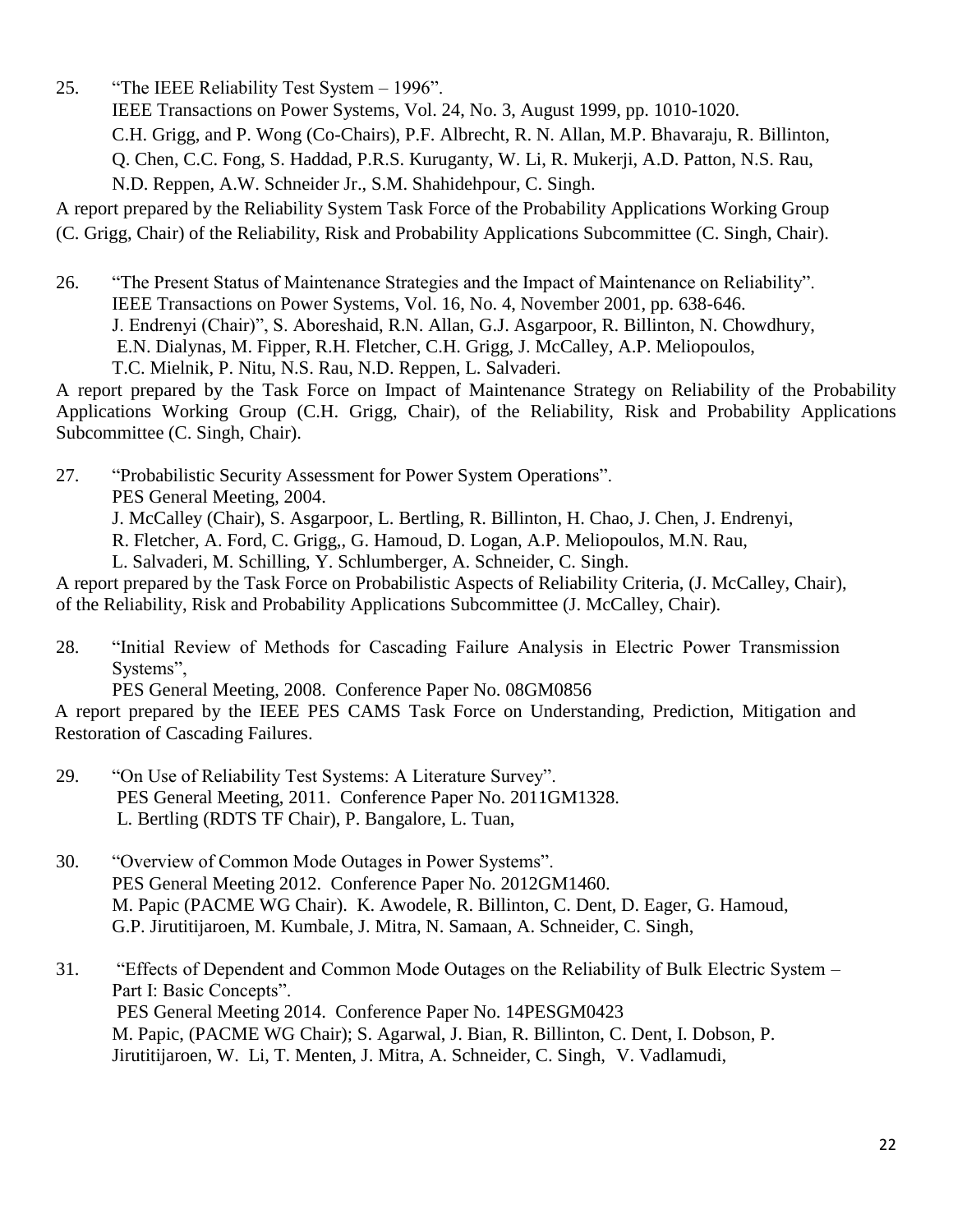25. "The IEEE Reliability Test System – 1996".

IEEE Transactions on Power Systems, Vol. 24, No. 3, August 1999, pp. 1010-1020. C.H. Grigg, and P. Wong (Co-Chairs), P.F. Albrecht, R. N. Allan, M.P. Bhavaraju, R. Billinton, Q. Chen, C.C. Fong, S. Haddad, P.R.S. Kuruganty, W. Li, R. Mukerji, A.D. Patton, N.S. Rau, N.D. Reppen, A.W. Schneider Jr., S.M. Shahidehpour, C. Singh.

A report prepared by the Reliability System Task Force of the Probability Applications Working Group (C. Grigg, Chair) of the Reliability, Risk and Probability Applications Subcommittee (C. Singh, Chair).

26. "The Present Status of Maintenance Strategies and the Impact of Maintenance on Reliability". IEEE Transactions on Power Systems, Vol. 16, No. 4, November 2001, pp. 638-646. J. Endrenyi (Chair)", S. Aboreshaid, R.N. Allan, G.J. Asgarpoor, R. Billinton, N. Chowdhury, E.N. Dialynas, M. Fipper, R.H. Fletcher, C.H. Grigg, J. McCalley, A.P. Meliopoulos, T.C. Mielnik, P. Nitu, N.S. Rau, N.D. Reppen, L. Salvaderi.

A report prepared by the Task Force on Impact of Maintenance Strategy on Reliability of the Probability Applications Working Group (C.H. Grigg, Chair), of the Reliability, Risk and Probability Applications Subcommittee (C. Singh, Chair).

27. "Probabilistic Security Assessment for Power System Operations".

PES General Meeting, 2004.

J. McCalley (Chair), S. Asgarpoor, L. Bertling, R. Billinton, H. Chao, J. Chen, J. Endrenyi,

R. Fletcher, A. Ford, C. Grigg,, G. Hamoud, D. Logan, A.P. Meliopoulos, M.N. Rau,

L. Salvaderi, M. Schilling, Y. Schlumberger, A. Schneider, C. Singh.

A report prepared by the Task Force on Probabilistic Aspects of Reliability Criteria, (J. McCalley, Chair), of the Reliability, Risk and Probability Applications Subcommittee (J. McCalley, Chair).

28. "Initial Review of Methods for Cascading Failure Analysis in Electric Power Transmission Systems",

PES General Meeting, 2008. Conference Paper No. 08GM0856

A report prepared by the IEEE PES CAMS Task Force on Understanding, Prediction, Mitigation and Restoration of Cascading Failures.

- 29. "On Use of Reliability Test Systems: A Literature Survey". PES General Meeting, 2011. Conference Paper No. 2011GM1328. L. Bertling (RDTS TF Chair), P. Bangalore, L. Tuan,
- 30. "Overview of Common Mode Outages in Power Systems". PES General Meeting 2012. Conference Paper No. 2012GM1460. M. Papic (PACME WG Chair). K. Awodele, R. Billinton, C. Dent, D. Eager, G. Hamoud, G.P. Jirutitijaroen, M. Kumbale, J. Mitra, N. Samaan, A. Schneider, C. Singh,

31. "Effects of Dependent and Common Mode Outages on the Reliability of Bulk Electric System – Part I: Basic Concepts". PES General Meeting 2014. Conference Paper No. 14PESGM0423 M. Papic, (PACME WG Chair); S. Agarwal, J. Bian, R. Billinton, C. Dent, I. Dobson, P. Jirutitijaroen, W. Li, T. Menten, J. Mitra, A. Schneider, C. Singh, V. Vadlamudi,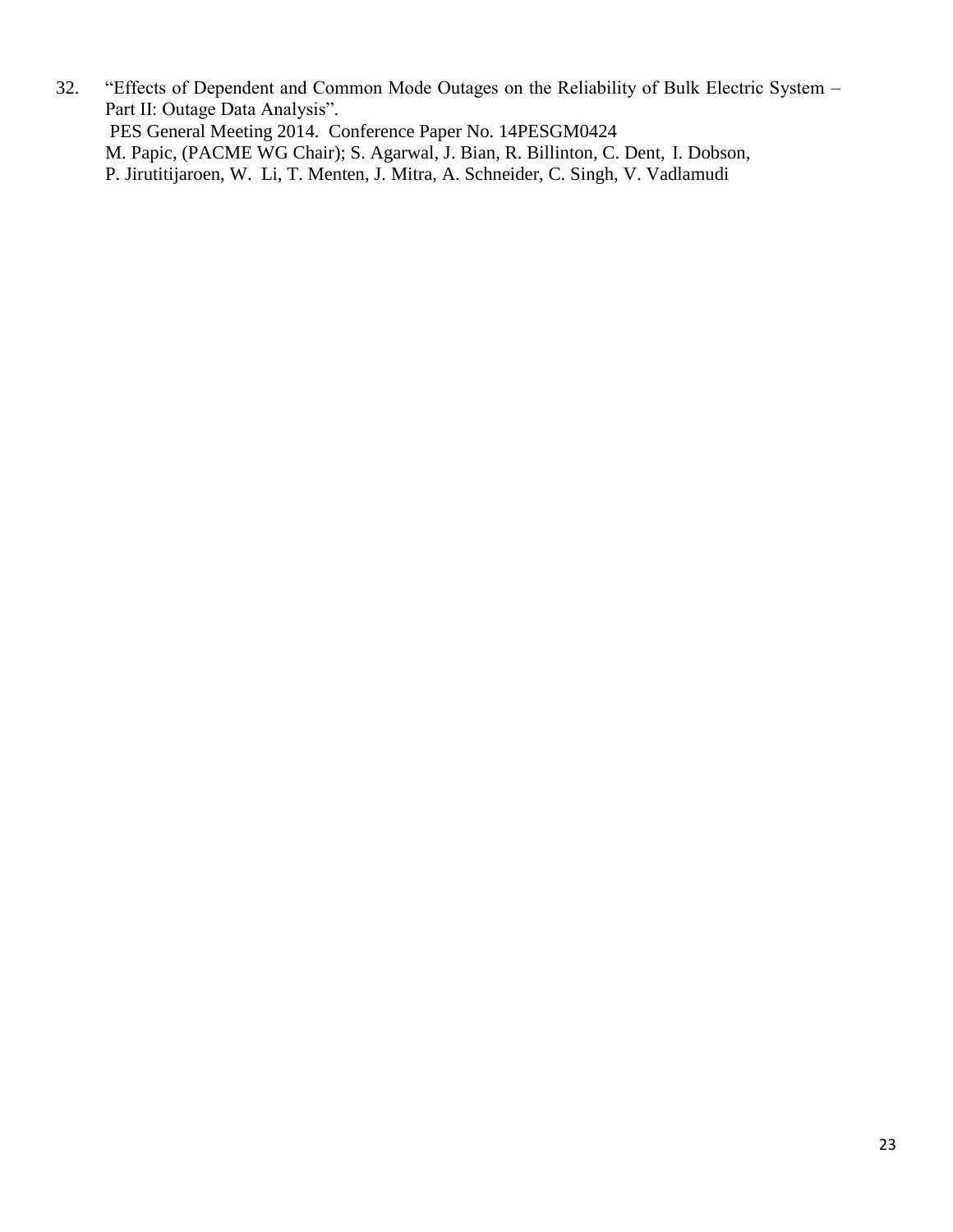32. "Effects of Dependent and Common Mode Outages on the Reliability of Bulk Electric System – Part II: Outage Data Analysis". PES General Meeting 2014. Conference Paper No. 14PESGM0424 M. Papic, (PACME WG Chair); S. Agarwal, J. Bian, R. Billinton, C. Dent, I. Dobson, P. Jirutitijaroen, W. Li, T. Menten, J. Mitra, A. Schneider, C. Singh, V. Vadlamudi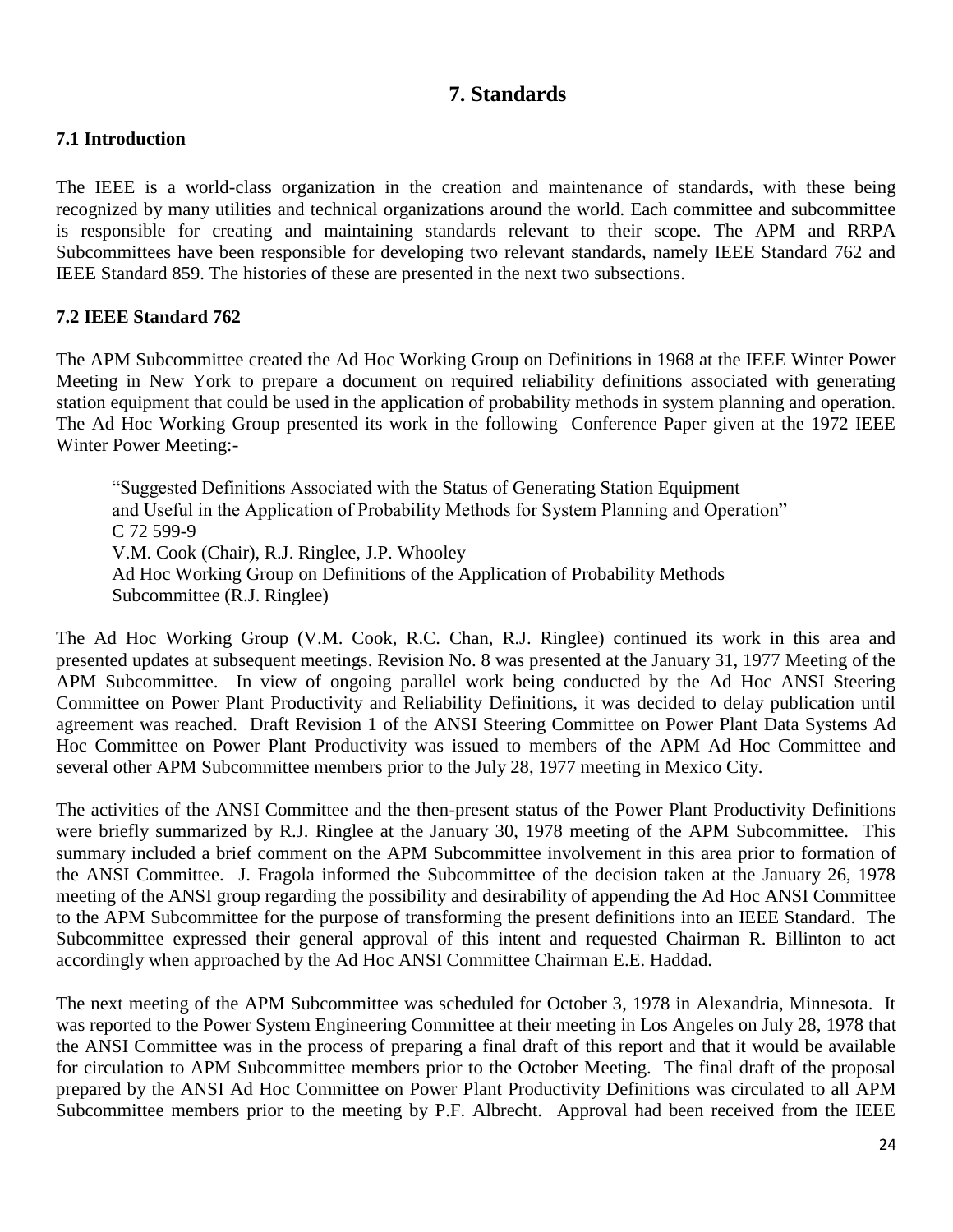## **7. Standards**

## **7.1 Introduction**

The IEEE is a world-class organization in the creation and maintenance of standards, with these being recognized by many utilities and technical organizations around the world. Each committee and subcommittee is responsible for creating and maintaining standards relevant to their scope. The APM and RRPA Subcommittees have been responsible for developing two relevant standards, namely IEEE Standard 762 and IEEE Standard 859. The histories of these are presented in the next two subsections.

## **7.2 IEEE Standard 762**

The APM Subcommittee created the Ad Hoc Working Group on Definitions in 1968 at the IEEE Winter Power Meeting in New York to prepare a document on required reliability definitions associated with generating station equipment that could be used in the application of probability methods in system planning and operation. The Ad Hoc Working Group presented its work in the following Conference Paper given at the 1972 IEEE Winter Power Meeting:-

"Suggested Definitions Associated with the Status of Generating Station Equipment and Useful in the Application of Probability Methods for System Planning and Operation" C 72 599-9 V.M. Cook (Chair), R.J. Ringlee, J.P. Whooley Ad Hoc Working Group on Definitions of the Application of Probability Methods Subcommittee (R.J. Ringlee)

The Ad Hoc Working Group (V.M. Cook, R.C. Chan, R.J. Ringlee) continued its work in this area and presented updates at subsequent meetings. Revision No. 8 was presented at the January 31, 1977 Meeting of the APM Subcommittee. In view of ongoing parallel work being conducted by the Ad Hoc ANSI Steering Committee on Power Plant Productivity and Reliability Definitions, it was decided to delay publication until agreement was reached. Draft Revision 1 of the ANSI Steering Committee on Power Plant Data Systems Ad Hoc Committee on Power Plant Productivity was issued to members of the APM Ad Hoc Committee and several other APM Subcommittee members prior to the July 28, 1977 meeting in Mexico City.

The activities of the ANSI Committee and the then-present status of the Power Plant Productivity Definitions were briefly summarized by R.J. Ringlee at the January 30, 1978 meeting of the APM Subcommittee. This summary included a brief comment on the APM Subcommittee involvement in this area prior to formation of the ANSI Committee. J. Fragola informed the Subcommittee of the decision taken at the January 26, 1978 meeting of the ANSI group regarding the possibility and desirability of appending the Ad Hoc ANSI Committee to the APM Subcommittee for the purpose of transforming the present definitions into an IEEE Standard. The Subcommittee expressed their general approval of this intent and requested Chairman R. Billinton to act accordingly when approached by the Ad Hoc ANSI Committee Chairman E.E. Haddad.

The next meeting of the APM Subcommittee was scheduled for October 3, 1978 in Alexandria, Minnesota. It was reported to the Power System Engineering Committee at their meeting in Los Angeles on July 28, 1978 that the ANSI Committee was in the process of preparing a final draft of this report and that it would be available for circulation to APM Subcommittee members prior to the October Meeting. The final draft of the proposal prepared by the ANSI Ad Hoc Committee on Power Plant Productivity Definitions was circulated to all APM Subcommittee members prior to the meeting by P.F. Albrecht. Approval had been received from the IEEE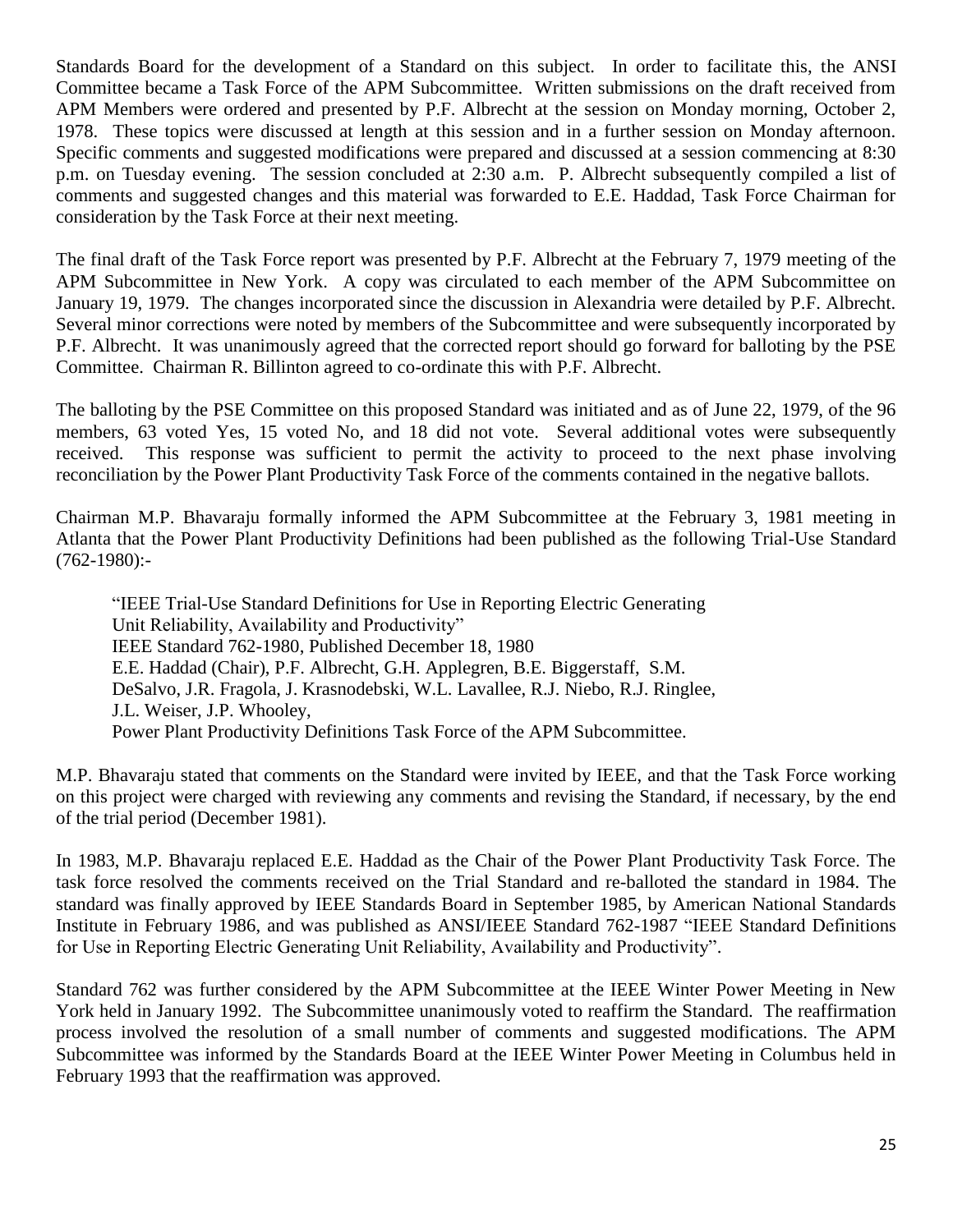Standards Board for the development of a Standard on this subject. In order to facilitate this, the ANSI Committee became a Task Force of the APM Subcommittee. Written submissions on the draft received from APM Members were ordered and presented by P.F. Albrecht at the session on Monday morning, October 2, 1978. These topics were discussed at length at this session and in a further session on Monday afternoon. Specific comments and suggested modifications were prepared and discussed at a session commencing at 8:30 p.m. on Tuesday evening. The session concluded at 2:30 a.m. P. Albrecht subsequently compiled a list of comments and suggested changes and this material was forwarded to E.E. Haddad, Task Force Chairman for consideration by the Task Force at their next meeting.

The final draft of the Task Force report was presented by P.F. Albrecht at the February 7, 1979 meeting of the APM Subcommittee in New York. A copy was circulated to each member of the APM Subcommittee on January 19, 1979. The changes incorporated since the discussion in Alexandria were detailed by P.F. Albrecht. Several minor corrections were noted by members of the Subcommittee and were subsequently incorporated by P.F. Albrecht. It was unanimously agreed that the corrected report should go forward for balloting by the PSE Committee. Chairman R. Billinton agreed to co-ordinate this with P.F. Albrecht.

The balloting by the PSE Committee on this proposed Standard was initiated and as of June 22, 1979, of the 96 members, 63 voted Yes, 15 voted No, and 18 did not vote. Several additional votes were subsequently received. This response was sufficient to permit the activity to proceed to the next phase involving reconciliation by the Power Plant Productivity Task Force of the comments contained in the negative ballots.

Chairman M.P. Bhavaraju formally informed the APM Subcommittee at the February 3, 1981 meeting in Atlanta that the Power Plant Productivity Definitions had been published as the following Trial-Use Standard (762-1980):-

"IEEE Trial-Use Standard Definitions for Use in Reporting Electric Generating Unit Reliability, Availability and Productivity" IEEE Standard 762-1980, Published December 18, 1980 E.E. Haddad (Chair), P.F. Albrecht, G.H. Applegren, B.E. Biggerstaff, S.M. DeSalvo, J.R. Fragola, J. Krasnodebski, W.L. Lavallee, R.J. Niebo, R.J. Ringlee, J.L. Weiser, J.P. Whooley, Power Plant Productivity Definitions Task Force of the APM Subcommittee.

M.P. Bhavaraju stated that comments on the Standard were invited by IEEE, and that the Task Force working on this project were charged with reviewing any comments and revising the Standard, if necessary, by the end of the trial period (December 1981).

In 1983, M.P. Bhavaraju replaced E.E. Haddad as the Chair of the Power Plant Productivity Task Force. The task force resolved the comments received on the Trial Standard and re-balloted the standard in 1984. The standard was finally approved by IEEE Standards Board in September 1985, by American National Standards Institute in February 1986, and was published as ANSI/IEEE Standard 762-1987 "IEEE Standard Definitions for Use in Reporting Electric Generating Unit Reliability, Availability and Productivity".

Standard 762 was further considered by the APM Subcommittee at the IEEE Winter Power Meeting in New York held in January 1992. The Subcommittee unanimously voted to reaffirm the Standard. The reaffirmation process involved the resolution of a small number of comments and suggested modifications. The APM Subcommittee was informed by the Standards Board at the IEEE Winter Power Meeting in Columbus held in February 1993 that the reaffirmation was approved.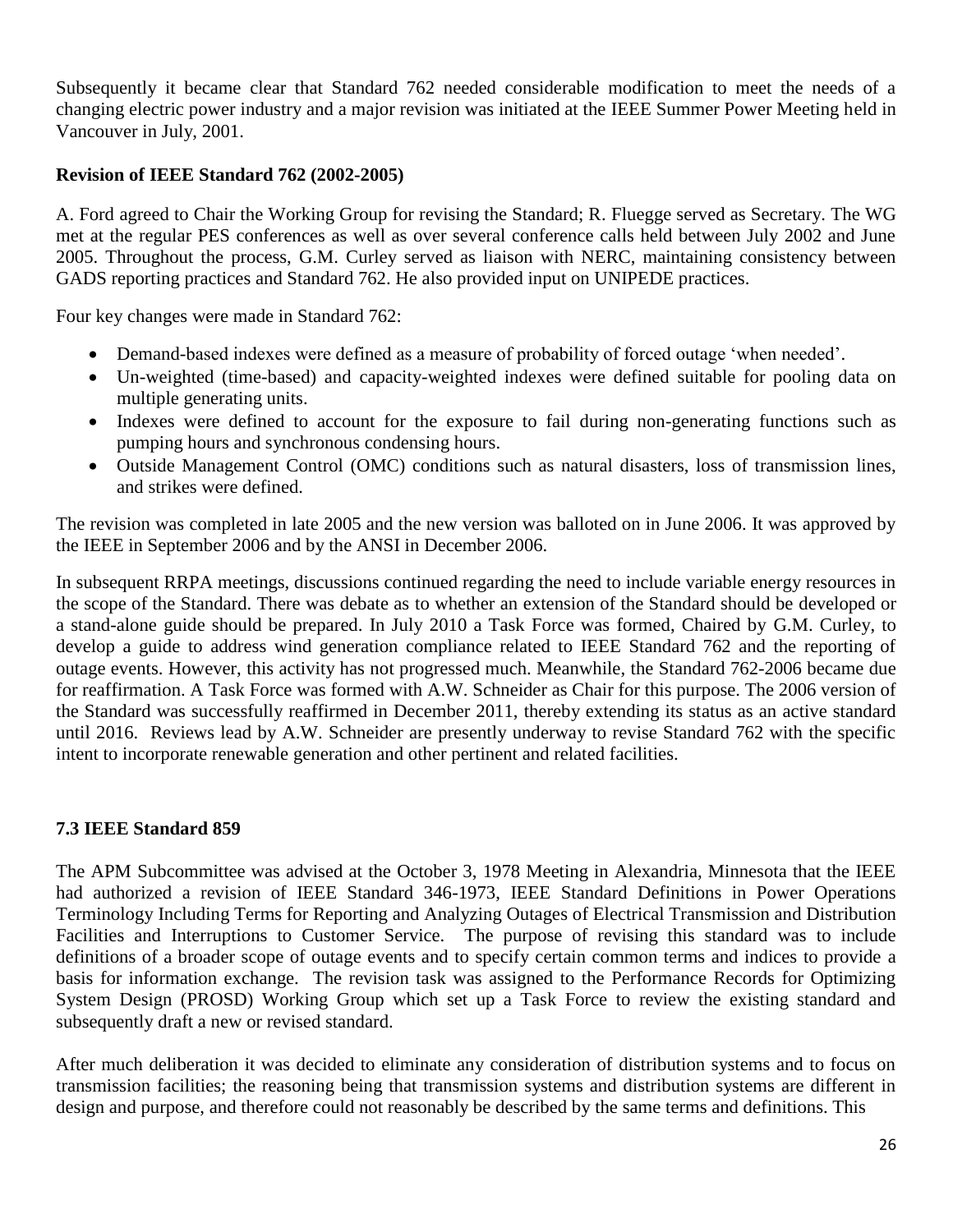Subsequently it became clear that Standard 762 needed considerable modification to meet the needs of a changing electric power industry and a major revision was initiated at the IEEE Summer Power Meeting held in Vancouver in July, 2001.

## **Revision of IEEE Standard 762 (2002-2005)**

A. Ford agreed to Chair the Working Group for revising the Standard; R. Fluegge served as Secretary. The WG met at the regular PES conferences as well as over several conference calls held between July 2002 and June 2005. Throughout the process, G.M. Curley served as liaison with NERC, maintaining consistency between GADS reporting practices and Standard 762. He also provided input on UNIPEDE practices.

Four key changes were made in Standard 762:

- Demand-based indexes were defined as a measure of probability of forced outage 'when needed'.
- Un-weighted (time-based) and capacity-weighted indexes were defined suitable for pooling data on multiple generating units.
- Indexes were defined to account for the exposure to fail during non-generating functions such as pumping hours and synchronous condensing hours.
- Outside Management Control (OMC) conditions such as natural disasters, loss of transmission lines, and strikes were defined.

The revision was completed in late 2005 and the new version was balloted on in June 2006. It was approved by the IEEE in September 2006 and by the ANSI in December 2006.

In subsequent RRPA meetings, discussions continued regarding the need to include variable energy resources in the scope of the Standard. There was debate as to whether an extension of the Standard should be developed or a stand-alone guide should be prepared. In July 2010 a Task Force was formed, Chaired by G.M. Curley, to develop a guide to address wind generation compliance related to IEEE Standard 762 and the reporting of outage events. However, this activity has not progressed much. Meanwhile, the Standard 762-2006 became due for reaffirmation. A Task Force was formed with A.W. Schneider as Chair for this purpose. The 2006 version of the Standard was successfully reaffirmed in December 2011, thereby extending its status as an active standard until 2016. Reviews lead by A.W. Schneider are presently underway to revise Standard 762 with the specific intent to incorporate renewable generation and other pertinent and related facilities.

## **7.3 IEEE Standard 859**

The APM Subcommittee was advised at the October 3, 1978 Meeting in Alexandria, Minnesota that the IEEE had authorized a revision of IEEE Standard 346-1973, IEEE Standard Definitions in Power Operations Terminology Including Terms for Reporting and Analyzing Outages of Electrical Transmission and Distribution Facilities and Interruptions to Customer Service. The purpose of revising this standard was to include definitions of a broader scope of outage events and to specify certain common terms and indices to provide a basis for information exchange. The revision task was assigned to the Performance Records for Optimizing System Design (PROSD) Working Group which set up a Task Force to review the existing standard and subsequently draft a new or revised standard.

After much deliberation it was decided to eliminate any consideration of distribution systems and to focus on transmission facilities; the reasoning being that transmission systems and distribution systems are different in design and purpose, and therefore could not reasonably be described by the same terms and definitions. This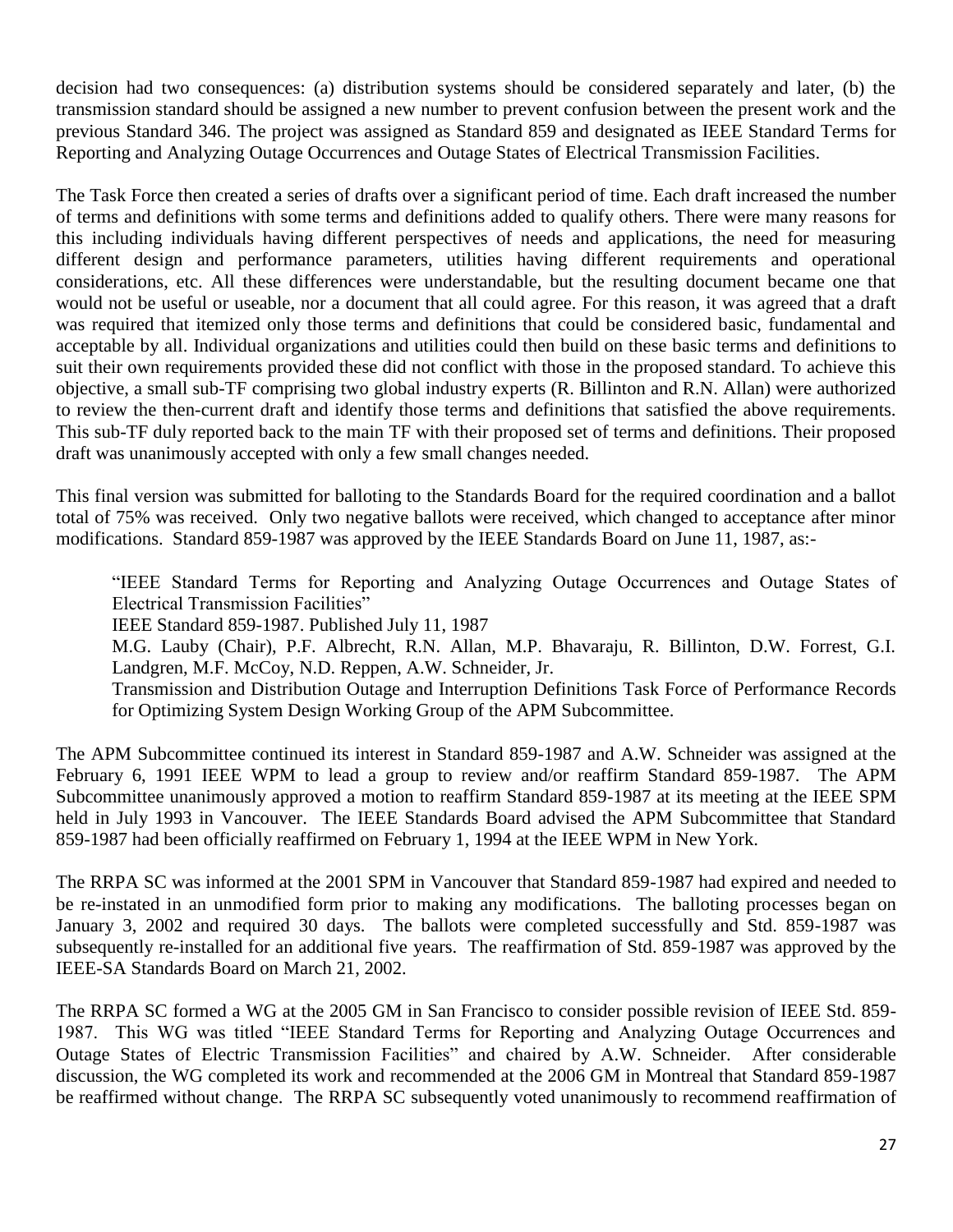decision had two consequences: (a) distribution systems should be considered separately and later, (b) the transmission standard should be assigned a new number to prevent confusion between the present work and the previous Standard 346. The project was assigned as Standard 859 and designated as IEEE Standard Terms for Reporting and Analyzing Outage Occurrences and Outage States of Electrical Transmission Facilities.

The Task Force then created a series of drafts over a significant period of time. Each draft increased the number of terms and definitions with some terms and definitions added to qualify others. There were many reasons for this including individuals having different perspectives of needs and applications, the need for measuring different design and performance parameters, utilities having different requirements and operational considerations, etc. All these differences were understandable, but the resulting document became one that would not be useful or useable, nor a document that all could agree. For this reason, it was agreed that a draft was required that itemized only those terms and definitions that could be considered basic, fundamental and acceptable by all. Individual organizations and utilities could then build on these basic terms and definitions to suit their own requirements provided these did not conflict with those in the proposed standard. To achieve this objective, a small sub-TF comprising two global industry experts (R. Billinton and R.N. Allan) were authorized to review the then-current draft and identify those terms and definitions that satisfied the above requirements. This sub-TF duly reported back to the main TF with their proposed set of terms and definitions. Their proposed draft was unanimously accepted with only a few small changes needed.

This final version was submitted for balloting to the Standards Board for the required coordination and a ballot total of 75% was received. Only two negative ballots were received, which changed to acceptance after minor modifications. Standard 859-1987 was approved by the IEEE Standards Board on June 11, 1987, as:-

"IEEE Standard Terms for Reporting and Analyzing Outage Occurrences and Outage States of Electrical Transmission Facilities"

IEEE Standard 859-1987. Published July 11, 1987

M.G. Lauby (Chair), P.F. Albrecht, R.N. Allan, M.P. Bhavaraju, R. Billinton, D.W. Forrest, G.I. Landgren, M.F. McCoy, N.D. Reppen, A.W. Schneider, Jr.

Transmission and Distribution Outage and Interruption Definitions Task Force of Performance Records for Optimizing System Design Working Group of the APM Subcommittee.

The APM Subcommittee continued its interest in Standard 859-1987 and A.W. Schneider was assigned at the February 6, 1991 IEEE WPM to lead a group to review and/or reaffirm Standard 859-1987. The APM Subcommittee unanimously approved a motion to reaffirm Standard 859-1987 at its meeting at the IEEE SPM held in July 1993 in Vancouver. The IEEE Standards Board advised the APM Subcommittee that Standard 859-1987 had been officially reaffirmed on February 1, 1994 at the IEEE WPM in New York.

The RRPA SC was informed at the 2001 SPM in Vancouver that Standard 859-1987 had expired and needed to be re-instated in an unmodified form prior to making any modifications. The balloting processes began on January 3, 2002 and required 30 days. The ballots were completed successfully and Std. 859-1987 was subsequently re-installed for an additional five years. The reaffirmation of Std. 859-1987 was approved by the IEEE-SA Standards Board on March 21, 2002.

The RRPA SC formed a WG at the 2005 GM in San Francisco to consider possible revision of IEEE Std. 859- 1987. This WG was titled "IEEE Standard Terms for Reporting and Analyzing Outage Occurrences and Outage States of Electric Transmission Facilities" and chaired by A.W. Schneider. After considerable discussion, the WG completed its work and recommended at the 2006 GM in Montreal that Standard 859-1987 be reaffirmed without change. The RRPA SC subsequently voted unanimously to recommend reaffirmation of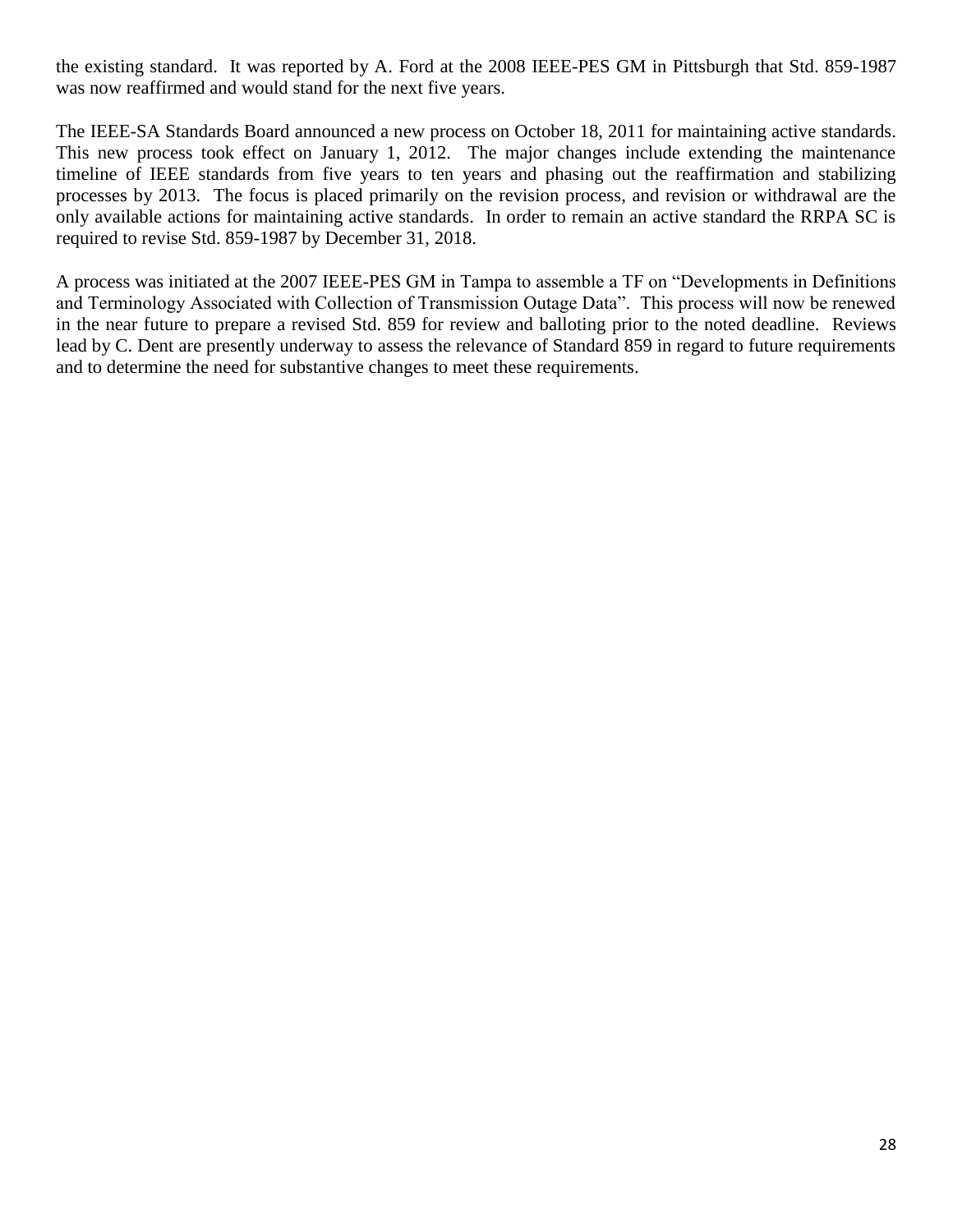the existing standard. It was reported by A. Ford at the 2008 IEEE-PES GM in Pittsburgh that Std. 859-1987 was now reaffirmed and would stand for the next five years.

The IEEE-SA Standards Board announced a new process on October 18, 2011 for maintaining active standards. This new process took effect on January 1, 2012. The major changes include extending the maintenance timeline of IEEE standards from five years to ten years and phasing out the reaffirmation and stabilizing processes by 2013. The focus is placed primarily on the revision process, and revision or withdrawal are the only available actions for maintaining active standards. In order to remain an active standard the RRPA SC is required to revise Std. 859-1987 by December 31, 2018.

A process was initiated at the 2007 IEEE-PES GM in Tampa to assemble a TF on "Developments in Definitions and Terminology Associated with Collection of Transmission Outage Data". This process will now be renewed in the near future to prepare a revised Std. 859 for review and balloting prior to the noted deadline. Reviews lead by C. Dent are presently underway to assess the relevance of Standard 859 in regard to future requirements and to determine the need for substantive changes to meet these requirements.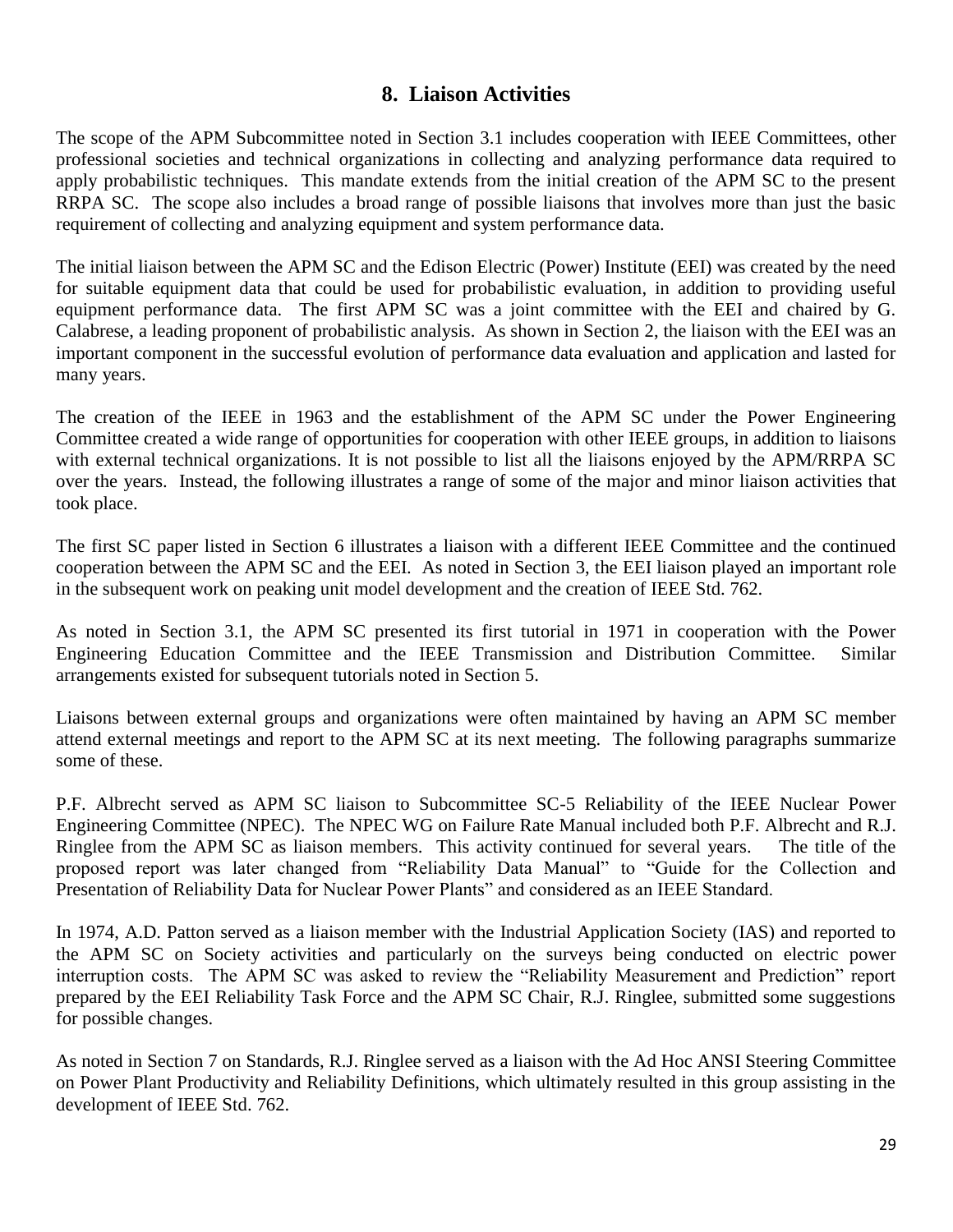## **8. Liaison Activities**

The scope of the APM Subcommittee noted in Section 3.1 includes cooperation with IEEE Committees, other professional societies and technical organizations in collecting and analyzing performance data required to apply probabilistic techniques. This mandate extends from the initial creation of the APM SC to the present RRPA SC. The scope also includes a broad range of possible liaisons that involves more than just the basic requirement of collecting and analyzing equipment and system performance data.

The initial liaison between the APM SC and the Edison Electric (Power) Institute (EEI) was created by the need for suitable equipment data that could be used for probabilistic evaluation, in addition to providing useful equipment performance data. The first APM SC was a joint committee with the EEI and chaired by G. Calabrese, a leading proponent of probabilistic analysis. As shown in Section 2, the liaison with the EEI was an important component in the successful evolution of performance data evaluation and application and lasted for many years.

The creation of the IEEE in 1963 and the establishment of the APM SC under the Power Engineering Committee created a wide range of opportunities for cooperation with other IEEE groups, in addition to liaisons with external technical organizations. It is not possible to list all the liaisons enjoyed by the APM/RRPA SC over the years. Instead, the following illustrates a range of some of the major and minor liaison activities that took place.

The first SC paper listed in Section 6 illustrates a liaison with a different IEEE Committee and the continued cooperation between the APM SC and the EEI. As noted in Section 3, the EEI liaison played an important role in the subsequent work on peaking unit model development and the creation of IEEE Std. 762.

As noted in Section 3.1, the APM SC presented its first tutorial in 1971 in cooperation with the Power Engineering Education Committee and the IEEE Transmission and Distribution Committee. Similar arrangements existed for subsequent tutorials noted in Section 5.

Liaisons between external groups and organizations were often maintained by having an APM SC member attend external meetings and report to the APM SC at its next meeting. The following paragraphs summarize some of these.

P.F. Albrecht served as APM SC liaison to Subcommittee SC-5 Reliability of the IEEE Nuclear Power Engineering Committee (NPEC). The NPEC WG on Failure Rate Manual included both P.F. Albrecht and R.J. Ringlee from the APM SC as liaison members. This activity continued for several years. The title of the proposed report was later changed from "Reliability Data Manual" to "Guide for the Collection and Presentation of Reliability Data for Nuclear Power Plants" and considered as an IEEE Standard.

In 1974, A.D. Patton served as a liaison member with the Industrial Application Society (IAS) and reported to the APM SC on Society activities and particularly on the surveys being conducted on electric power interruption costs. The APM SC was asked to review the "Reliability Measurement and Prediction" report prepared by the EEI Reliability Task Force and the APM SC Chair, R.J. Ringlee, submitted some suggestions for possible changes.

As noted in Section 7 on Standards, R.J. Ringlee served as a liaison with the Ad Hoc ANSI Steering Committee on Power Plant Productivity and Reliability Definitions, which ultimately resulted in this group assisting in the development of IEEE Std. 762.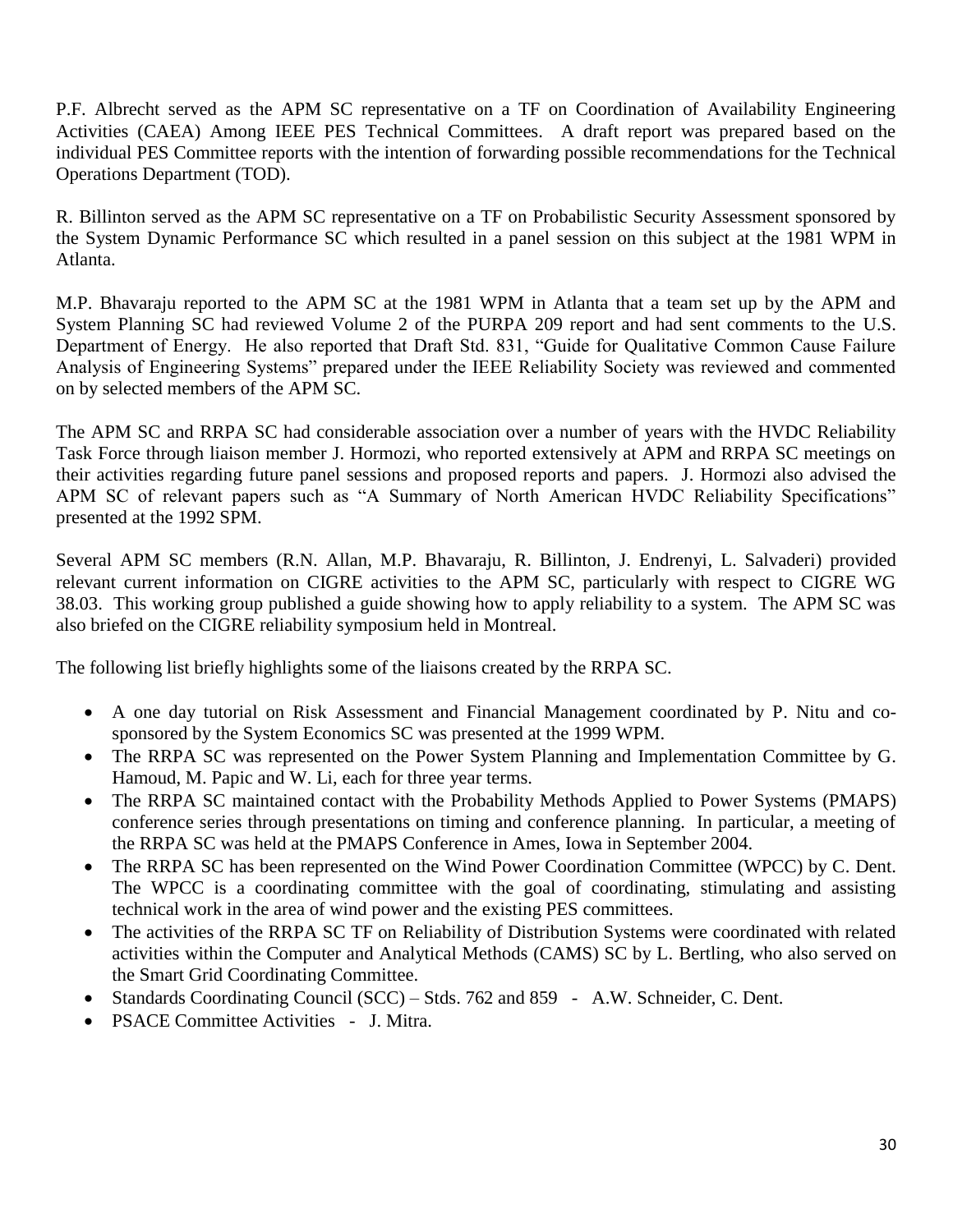P.F. Albrecht served as the APM SC representative on a TF on Coordination of Availability Engineering Activities (CAEA) Among IEEE PES Technical Committees. A draft report was prepared based on the individual PES Committee reports with the intention of forwarding possible recommendations for the Technical Operations Department (TOD).

R. Billinton served as the APM SC representative on a TF on Probabilistic Security Assessment sponsored by the System Dynamic Performance SC which resulted in a panel session on this subject at the 1981 WPM in Atlanta.

M.P. Bhavaraju reported to the APM SC at the 1981 WPM in Atlanta that a team set up by the APM and System Planning SC had reviewed Volume 2 of the PURPA 209 report and had sent comments to the U.S. Department of Energy. He also reported that Draft Std. 831, "Guide for Qualitative Common Cause Failure Analysis of Engineering Systems" prepared under the IEEE Reliability Society was reviewed and commented on by selected members of the APM SC.

The APM SC and RRPA SC had considerable association over a number of years with the HVDC Reliability Task Force through liaison member J. Hormozi, who reported extensively at APM and RRPA SC meetings on their activities regarding future panel sessions and proposed reports and papers. J. Hormozi also advised the APM SC of relevant papers such as "A Summary of North American HVDC Reliability Specifications" presented at the 1992 SPM.

Several APM SC members (R.N. Allan, M.P. Bhavaraju, R. Billinton, J. Endrenyi, L. Salvaderi) provided relevant current information on CIGRE activities to the APM SC, particularly with respect to CIGRE WG 38.03. This working group published a guide showing how to apply reliability to a system. The APM SC was also briefed on the CIGRE reliability symposium held in Montreal.

The following list briefly highlights some of the liaisons created by the RRPA SC.

- A one day tutorial on Risk Assessment and Financial Management coordinated by P. Nitu and cosponsored by the System Economics SC was presented at the 1999 WPM.
- The RRPA SC was represented on the Power System Planning and Implementation Committee by G. Hamoud, M. Papic and W. Li, each for three year terms.
- The RRPA SC maintained contact with the Probability Methods Applied to Power Systems (PMAPS) conference series through presentations on timing and conference planning. In particular, a meeting of the RRPA SC was held at the PMAPS Conference in Ames, Iowa in September 2004.
- The RRPA SC has been represented on the Wind Power Coordination Committee (WPCC) by C. Dent. The WPCC is a coordinating committee with the goal of coordinating, stimulating and assisting technical work in the area of wind power and the existing PES committees.
- The activities of the RRPA SC TF on Reliability of Distribution Systems were coordinated with related activities within the Computer and Analytical Methods (CAMS) SC by L. Bertling, who also served on the Smart Grid Coordinating Committee.
- Standards Coordinating Council (SCC) Stds. 762 and 859 A.W. Schneider, C. Dent.
- PSACE Committee Activities J. Mitra.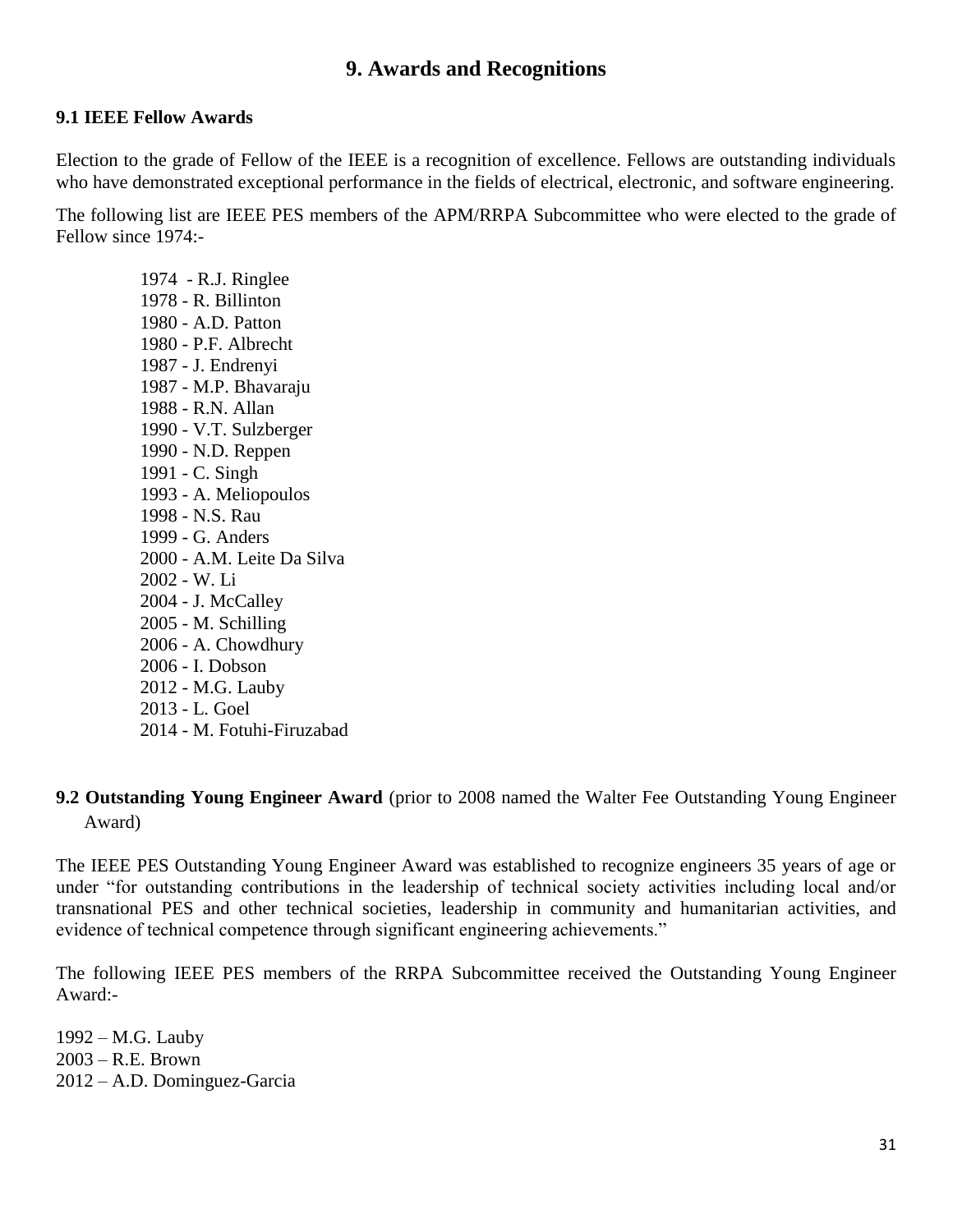## **9. Awards and Recognitions**

### **9.1 IEEE Fellow Awards**

Election to the grade of Fellow of the IEEE is a recognition of excellence. Fellows are outstanding individuals who have demonstrated exceptional performance in the fields of electrical, electronic, and software engineering.

The following list are IEEE PES members of the APM/RRPA Subcommittee who were elected to the grade of Fellow since 1974:-

1974 - R.J. [Ringlee](javascript:void(0);) 1978 - R. [Billinton](javascript:void(0);) 1980 - A.D. [Patton](javascript:void(0);) 1980 - P.F. [Albrecht](javascript:void(0);) 1987 - J. Endrenyi 1987 - M.P. [Bhavaraju](javascript:void(0);) 1988 - R.N. [Allan](javascript:void(0);) 1990 - V.T. [Sulzberger](javascript:void(0);) 1990 - N.D. [Reppen](javascript:void(0);) 1991 - C. [Singh](javascript:void(0);) 1993 - A. [Meliopoulos](javascript:void(0);) 1998 - N.S. [Rau](javascript:void(0);) 1999 - G. [Anders](javascript:void(0);) 2000 - A.M. [Leite Da Silva](javascript:void(0);) 2002 - W. [Li](javascript:void(0);) 2004 - J. [McCalley](javascript:void(0);) 2005 - M. [Schilling](javascript:void(0);) 2006 - A. [Chowdhury](javascript:void(0);) 2006 - I. [Dobson](javascript:void(0);) 2012 - M.G. [Lauby](javascript:void(0);) 2013 - L. [Goel](javascript:void(0);) 2014 - M. [Fotuhi-Firuzabad](javascript:void(0);)

## **9.2 Outstanding Young Engineer Award** (prior to 2008 named the Walter Fee Outstanding Young Engineer Award)

The IEEE PES Outstanding Young Engineer Award was established to recognize engineers 35 years of age or under "for outstanding contributions in the leadership of technical society activities including local and/or transnational PES and other technical societies, leadership in community and humanitarian activities, and evidence of technical competence through significant engineering achievements."

The following IEEE PES members of the RRPA Subcommittee received the Outstanding Young Engineer Award:-

1992 – M.G. Lauby 2003 – R.E. Brown 2012 – A.D. Dominguez-Garcia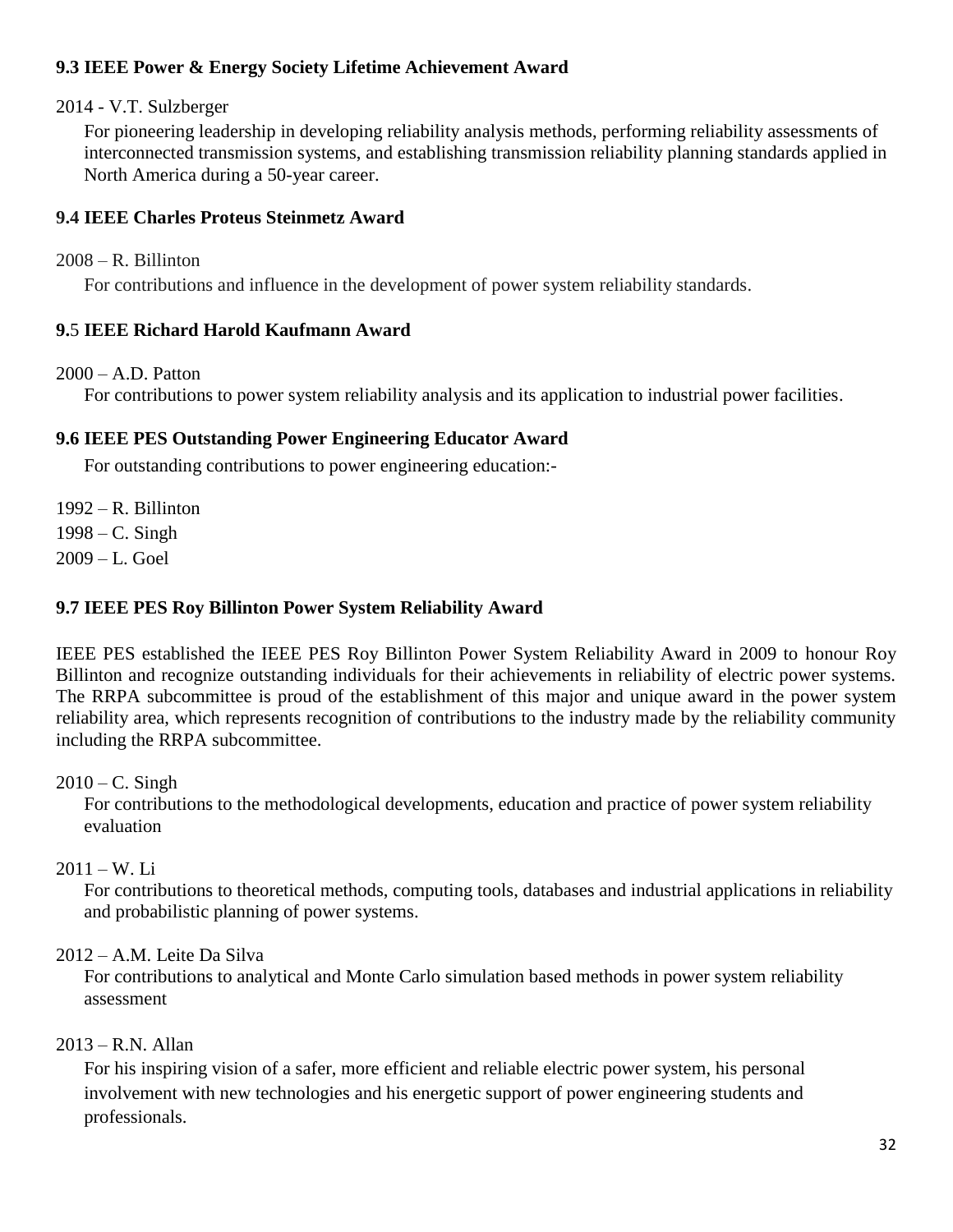## **9.3 IEEE Power & Energy Society Lifetime Achievement Award**

2014 - V.T. Sulzberger

For pioneering leadership in developing reliability analysis methods, performing reliability assessments of interconnected transmission systems, and establishing transmission reliability planning standards applied in North America during a 50-year career.

## **9.4 IEEE Charles Proteus Steinmetz Award**

### 2008 – R. Billinton

For contributions and influence in the development of power system reliability standards.

## **9.**5 **IEEE Richard Harold Kaufmann Award**

### $2000 - A.D.$  Patton

For contributions to power system reliability analysis and its application to industrial power facilities.

## **9.6 IEEE PES Outstanding Power Engineering Educator Award**

For outstanding contributions to power engineering education:-

1992 – R. Billinton 1998 – C. Singh 2009 – L. Goel

## **9.7 IEEE PES Roy Billinton Power System Reliability Award**

IEEE PES established the IEEE PES Roy Billinton Power System Reliability Award in 2009 to honour Roy Billinton and recognize outstanding individuals for their achievements in reliability of electric power systems. The RRPA subcommittee is proud of the establishment of this major and unique award in the power system reliability area, which represents recognition of contributions to the industry made by the reliability community including the RRPA subcommittee.

 $2010 - C$ . Singh

For contributions to the methodological developments, education and practice of power system reliability evaluation

## $2011 - W_{1}$  Li

For contributions to theoretical methods, computing tools, databases and industrial applications in reliability and probabilistic planning of power systems.

## 2012 – A.M. Leite Da Silva

For contributions to analytical and Monte Carlo simulation based methods in power system reliability assessment

## $2013 - R$ . N. Allan

For his inspiring vision of a safer, more efficient and reliable electric power system, his personal involvement with new technologies and his energetic support of power engineering students and professionals.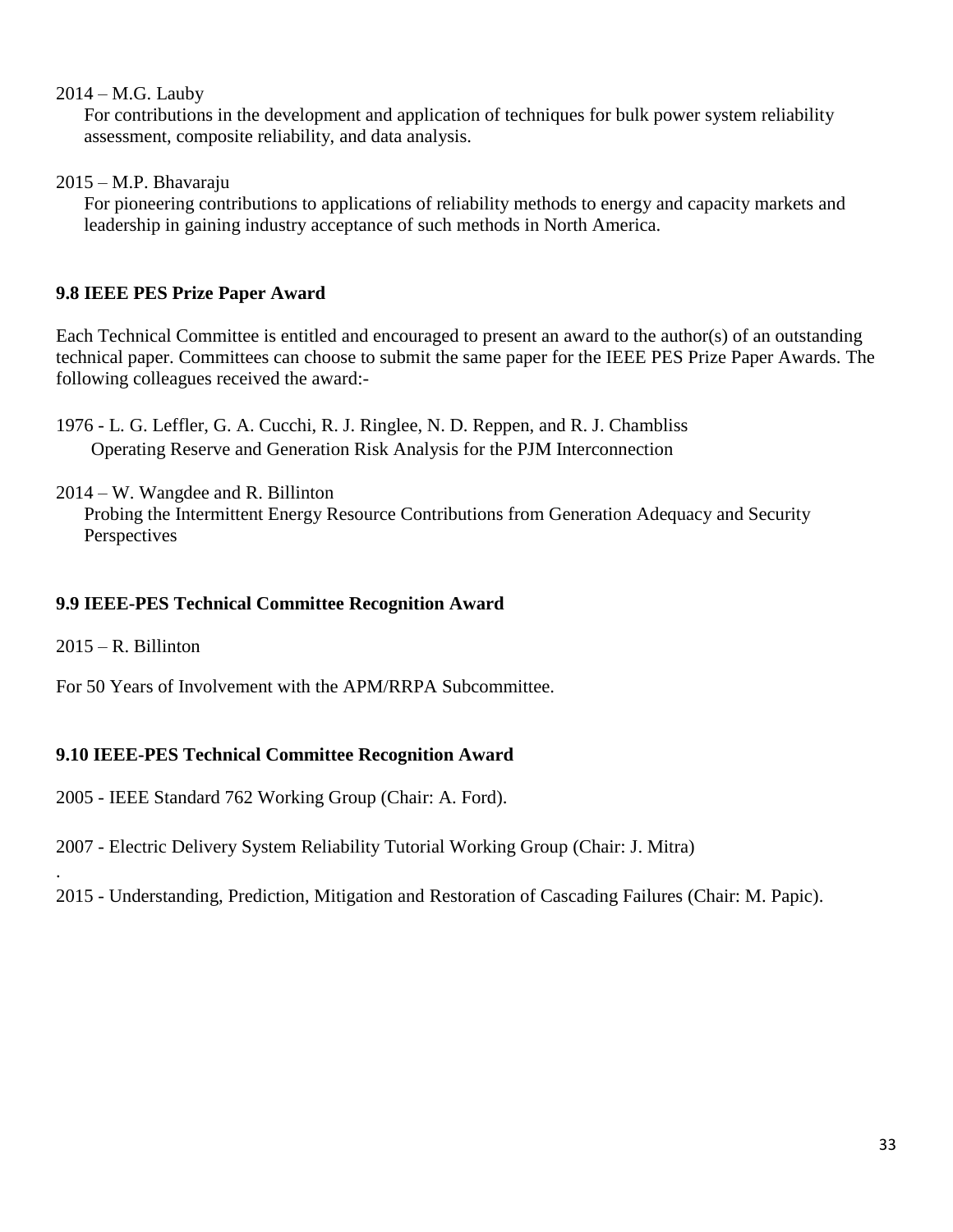### 2014 – M.G. Lauby

For contributions in the development and application of techniques for bulk power system reliability assessment, composite reliability, and data analysis.

2015 – M.P. Bhavaraju

For pioneering contributions to applications of reliability methods to energy and capacity markets and leadership in gaining industry acceptance of such methods in North America.

## **9.8 IEEE PES Prize Paper Award**

Each Technical Committee is entitled and encouraged to present an award to the author(s) of an outstanding technical paper. Committees can choose to submit the same paper for the IEEE PES Prize Paper Awards. The following colleagues received the award:-

1976 - L. G. Leffler, G. A. Cucchi, R. J. Ringlee, N. D. Reppen, and R. J. Chambliss Operating Reserve and Generation Risk Analysis for the PJM Interconnection

2014 – W. Wangdee and R. Billinton Probing the Intermittent Energy Resource Contributions from Generation Adequacy and Security Perspectives

## **9.9 IEEE-PES Technical Committee Recognition Award**

 $2015 - R$ . Billinton

.

For 50 Years of Involvement with the APM/RRPA Subcommittee.

## **9.10 IEEE-PES Technical Committee Recognition Award**

2005 - IEEE Standard 762 Working Group (Chair: A. Ford).

- 2007 Electric Delivery System Reliability Tutorial Working Group (Chair: J. Mitra)
- 2015 Understanding, Prediction, Mitigation and Restoration of Cascading Failures (Chair: M. Papic).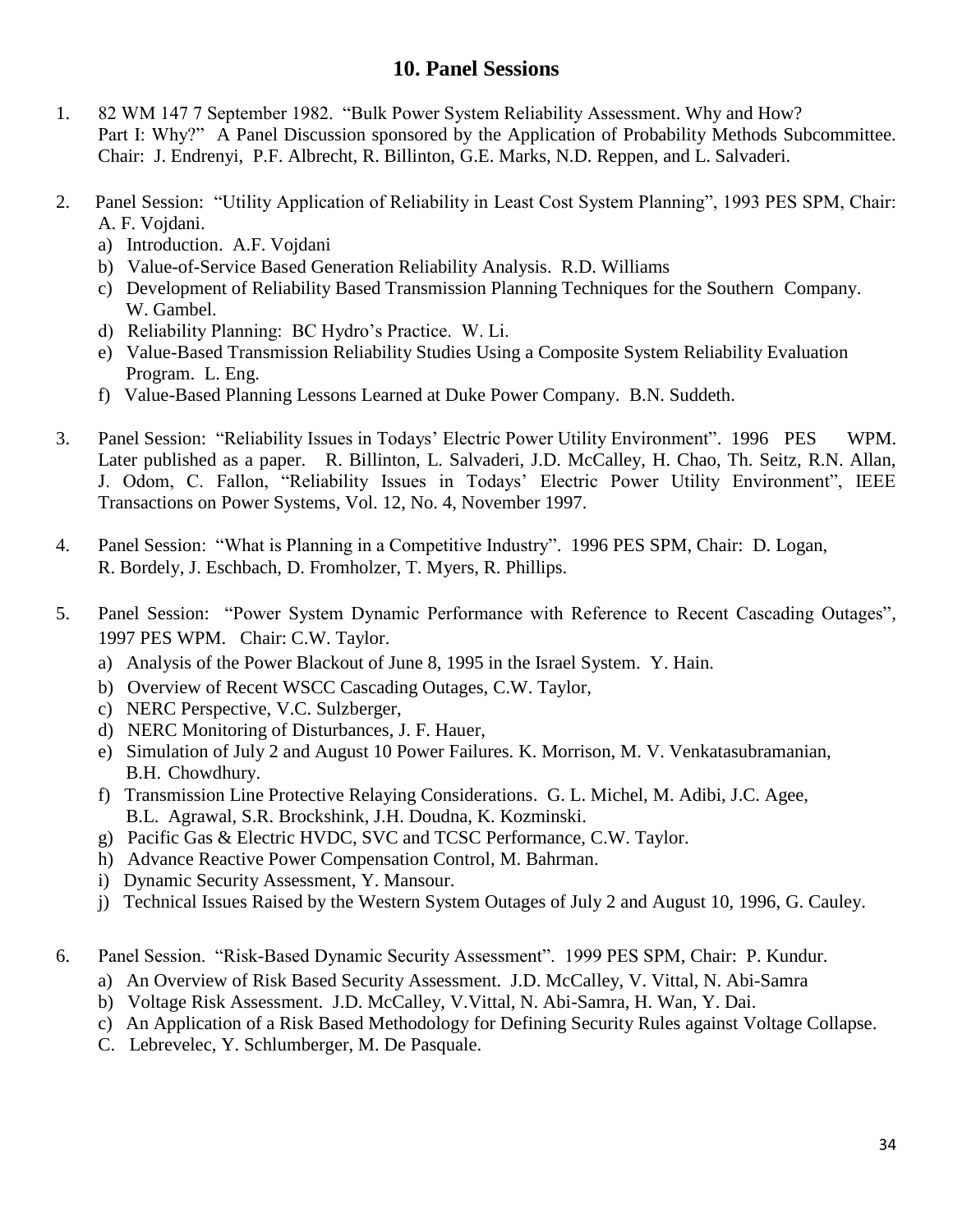## **10. Panel Sessions**

- 1. 82 WM 147 7 September 1982. "Bulk Power System Reliability Assessment. Why and How? Part I: Why?" A Panel Discussion sponsored by the Application of Probability Methods Subcommittee. Chair: J. Endrenyi, P.F. Albrecht, R. Billinton, G.E. Marks, N.D. Reppen, and L. Salvaderi.
- 2. Panel Session: "Utility Application of Reliability in Least Cost System Planning", 1993 PES SPM, Chair: A. F. Vojdani.
	- a) Introduction. A.F. Vojdani
	- b) Value-of-Service Based Generation Reliability Analysis. R.D. Williams
	- c) Development of Reliability Based Transmission Planning Techniques for the Southern Company. W. Gambel.
	- d) Reliability Planning: BC Hydro's Practice. W. Li.
	- e) Value-Based Transmission Reliability Studies Using a Composite System Reliability Evaluation Program. L. Eng.
	- f) Value-Based Planning Lessons Learned at Duke Power Company. B.N. Suddeth.
- 3. Panel Session: "Reliability Issues in Todays' Electric Power Utility Environment". 1996 PES WPM. Later published as a paper. R. Billinton, L. Salvaderi, J.D. McCalley, H. Chao, Th. Seitz, R.N. Allan, J. Odom, C. Fallon, "Reliability Issues in Todays' Electric Power Utility Environment", IEEE Transactions on Power Systems, Vol. 12, No. 4, November 1997.
- 4. Panel Session: "What is Planning in a Competitive Industry". 1996 PES SPM, Chair: D. Logan, R. Bordely, J. Eschbach, D. Fromholzer, T. Myers, R. Phillips.
- 5. Panel Session: "Power System Dynamic Performance with Reference to Recent Cascading Outages", 1997 PES WPM. Chair: C.W. Taylor.
	- a) Analysis of the Power Blackout of June 8, 1995 in the Israel System. Y. Hain.
	- b) Overview of Recent WSCC Cascading Outages, C.W. Taylor,
	- c) NERC Perspective, V.C. Sulzberger,
	- d) NERC Monitoring of Disturbances, J. F. Hauer,
	- e) Simulation of July 2 and August 10 Power Failures. K. Morrison, M. V. Venkatasubramanian, B.H. Chowdhury.
	- f) Transmission Line Protective Relaying Considerations. G. L. Michel, M. Adibi, J.C. Agee, B.L. Agrawal, S.R. Brockshink, J.H. Doudna, K. Kozminski.
	- g) Pacific Gas & Electric HVDC, SVC and TCSC Performance, C.W. Taylor.
	- h) Advance Reactive Power Compensation Control, M. Bahrman.
	- i) Dynamic Security Assessment, Y. Mansour.
	- j) Technical Issues Raised by the Western System Outages of July 2 and August 10, 1996, G. Cauley.
- 6. Panel Session. "Risk-Based Dynamic Security Assessment". 1999 PES SPM, Chair: P. Kundur.
	- a) An Overview of Risk Based Security Assessment. J.D. McCalley, V. Vittal, N. Abi-Samra
	- b) Voltage Risk Assessment. J.D. McCalley, V.Vittal, N. Abi-Samra, H. Wan, Y. Dai.
	- c) An Application of a Risk Based Methodology for Defining Security Rules against Voltage Collapse.
	- C. Lebrevelec, Y. Schlumberger, M. De Pasquale.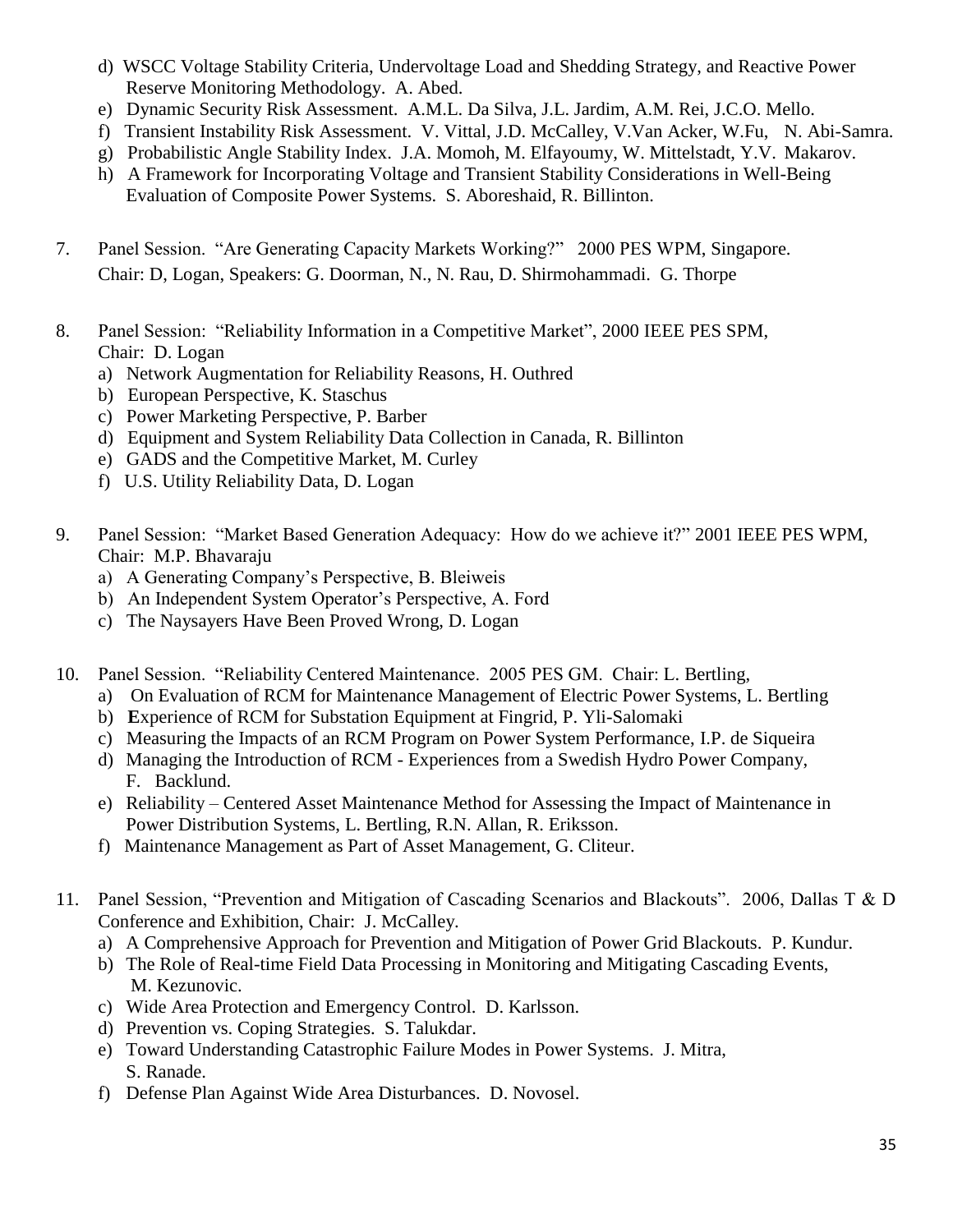- d) WSCC Voltage Stability Criteria, Undervoltage Load and Shedding Strategy, and Reactive Power Reserve Monitoring Methodology. A. Abed.
- e) Dynamic Security Risk Assessment. A.M.L. Da Silva, J.L. Jardim, A.M. Rei, J.C.O. Mello.
- f) Transient Instability Risk Assessment. V. Vittal, J.D. McCalley, V.Van Acker, W.Fu, N. Abi-Samra.
- g) Probabilistic Angle Stability Index. J.A. Momoh, M. Elfayoumy, W. Mittelstadt, Y.V. Makarov.
- h) A Framework for Incorporating Voltage and Transient Stability Considerations in Well-Being Evaluation of Composite Power Systems. S. Aboreshaid, R. Billinton.
- 7. Panel Session. "Are Generating Capacity Markets Working?" 2000 PES WPM, Singapore. Chair: D, Logan, Speakers: G. Doorman, N., N. Rau, D. Shirmohammadi. G. Thorpe
- 8. Panel Session: "Reliability Information in a Competitive Market", 2000 IEEE PES SPM, Chair: D. Logan
	- a) Network Augmentation for Reliability Reasons, H. Outhred
	- b) European Perspective, K. Staschus
	- c) Power Marketing Perspective, P. Barber
	- d) Equipment and System Reliability Data Collection in Canada, R. Billinton
	- e) GADS and the Competitive Market, M. Curley
	- f) U.S. Utility Reliability Data, D. Logan
- 9. Panel Session: "Market Based Generation Adequacy: How do we achieve it?" 2001 IEEE PES WPM, Chair: M.P. Bhavaraju
	- a) A Generating Company's Perspective, B. Bleiweis
	- b) An Independent System Operator's Perspective, A. Ford
	- c) The Naysayers Have Been Proved Wrong, D. Logan
- 10. Panel Session. "Reliability Centered Maintenance. 2005 PES GM. Chair: L. Bertling,
	- a) On Evaluation of RCM for Maintenance Management of Electric Power Systems, L. Bertling
	- b) **E**xperience of RCM for Substation Equipment at Fingrid, P. Yli-Salomaki
	- c) Measuring the Impacts of an RCM Program on Power System Performance, I.P. de Siqueira
	- d) Managing the Introduction of RCM Experiences from a Swedish Hydro Power Company, F. Backlund.
	- e) Reliability Centered Asset Maintenance Method for Assessing the Impact of Maintenance in Power Distribution Systems, L. Bertling, R.N. Allan, R. Eriksson.
	- f) Maintenance Management as Part of Asset Management, G. Cliteur.
- 11. Panel Session, "Prevention and Mitigation of Cascading Scenarios and Blackouts". 2006, Dallas T & D Conference and Exhibition, Chair: J. McCalley.
	- a) A Comprehensive Approach for Prevention and Mitigation of Power Grid Blackouts. P. Kundur.
	- b) The Role of Real-time Field Data Processing in Monitoring and Mitigating Cascading Events, M. Kezunovic.
	- c) Wide Area Protection and Emergency Control. D. Karlsson.
	- d) Prevention vs. Coping Strategies. S. Talukdar.
	- e) Toward Understanding Catastrophic Failure Modes in Power Systems. J. Mitra, S. Ranade.
	- f) Defense Plan Against Wide Area Disturbances. D. Novosel.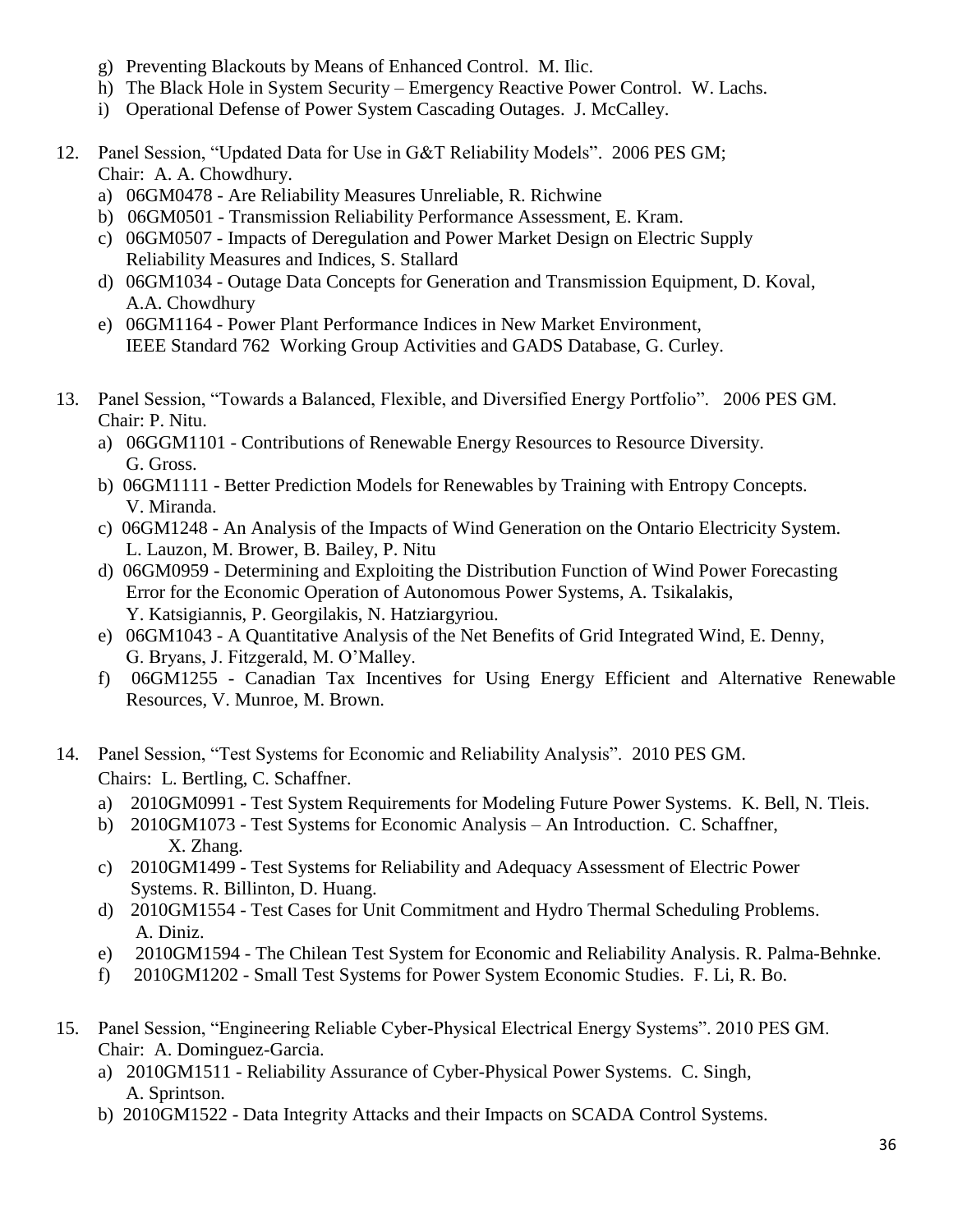- g) Preventing Blackouts by Means of Enhanced Control. M. Ilic.
- h) The Black Hole in System Security Emergency Reactive Power Control. W. Lachs.
- i) Operational Defense of Power System Cascading Outages. J. McCalley.
- 12. Panel Session, "Updated Data for Use in G&T Reliability Models". 2006 PES GM; Chair: A. A. Chowdhury.
	- a) 06GM0478 Are Reliability Measures Unreliable, R. Richwine
	- b) 06GM0501 Transmission Reliability Performance Assessment, E. Kram.
	- c) 06GM0507 Impacts of Deregulation and Power Market Design on Electric Supply Reliability Measures and Indices, S. Stallard
	- d) 06GM1034 Outage Data Concepts for Generation and Transmission Equipment, D. Koval, A.A. Chowdhury
	- e) 06GM1164 Power Plant Performance Indices in New Market Environment, IEEE Standard 762 Working Group Activities and GADS Database, G. Curley.
- 13. Panel Session, "Towards a Balanced, Flexible, and Diversified Energy Portfolio". 2006 PES GM. Chair: P. Nitu.
	- a) 06GGM1101 Contributions of Renewable Energy Resources to Resource Diversity. G. Gross.
	- b) 06GM1111 Better Prediction Models for Renewables by Training with Entropy Concepts. V. Miranda.
	- c) 06GM1248 An Analysis of the Impacts of Wind Generation on the Ontario Electricity System. L. Lauzon, M. Brower, B. Bailey, P. Nitu
	- d) 06GM0959 Determining and Exploiting the Distribution Function of Wind Power Forecasting Error for the Economic Operation of Autonomous Power Systems, A. Tsikalakis, Y. Katsigiannis, P. Georgilakis, N. Hatziargyriou.
	- e) 06GM1043 A Quantitative Analysis of the Net Benefits of Grid Integrated Wind, E. Denny, G. Bryans, J. Fitzgerald, M. O'Malley.
	- f) 06GM1255 Canadian Tax Incentives for Using Energy Efficient and Alternative Renewable Resources, V. Munroe, M. Brown.
- 14. Panel Session, "Test Systems for Economic and Reliability Analysis". 2010 PES GM. Chairs: L. Bertling, C. Schaffner.
	- a) 2010GM0991 Test System Requirements for Modeling Future Power Systems. K. Bell, N. Tleis.
	- b) 2010GM1073 Test Systems for Economic Analysis An Introduction. C. Schaffner, X. Zhang.
	- c) 2010GM1499 Test Systems for Reliability and Adequacy Assessment of Electric Power Systems. R. Billinton, D. Huang.
	- d) 2010GM1554 Test Cases for Unit Commitment and Hydro Thermal Scheduling Problems. A. Diniz.
	- e) 2010GM1594 The Chilean Test System for Economic and Reliability Analysis. R. Palma-Behnke.
	- f) 2010GM1202 Small Test Systems for Power System Economic Studies. F. Li, R. Bo.
- 15. Panel Session, "Engineering Reliable Cyber-Physical Electrical Energy Systems". 2010 PES GM. Chair: A. Dominguez-Garcia.
	- a) 2010GM1511 Reliability Assurance of Cyber-Physical Power Systems. C. Singh, A. Sprintson.
	- b) 2010GM1522 Data Integrity Attacks and their Impacts on SCADA Control Systems.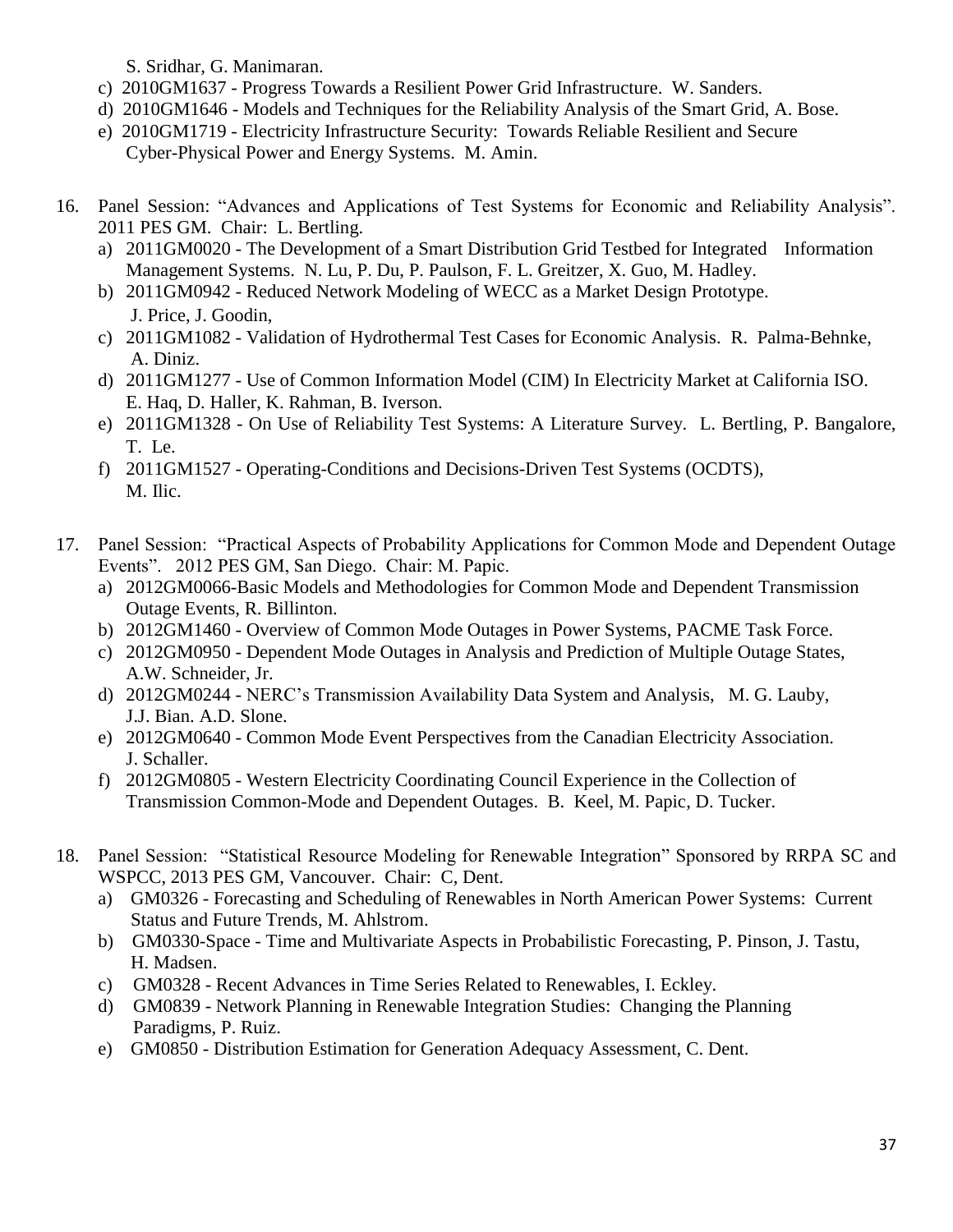S. Sridhar, G. Manimaran.

- c) 2010GM1637 Progress Towards a Resilient Power Grid Infrastructure. W. Sanders.
- d) 2010GM1646 Models and Techniques for the Reliability Analysis of the Smart Grid, A. Bose.
- e) 2010GM1719 Electricity Infrastructure Security: Towards Reliable Resilient and Secure Cyber-Physical Power and Energy Systems. M. Amin.
- 16. Panel Session: "Advances and Applications of Test Systems for Economic and Reliability Analysis". 2011 PES GM. Chair: L. Bertling.
	- a) 2011GM0020 The Development of a Smart Distribution Grid Testbed for Integrated Information Management Systems. N. Lu, P. Du, P. Paulson, F. L. Greitzer, X. Guo, M. Hadley.
	- b) 2011GM0942 Reduced Network Modeling of WECC as a Market Design Prototype. J. Price, J. Goodin,
	- c) 2011GM1082 Validation of Hydrothermal Test Cases for Economic Analysis. R. Palma-Behnke, A. Diniz.
	- d) 2011GM1277 Use of Common Information Model (CIM) In Electricity Market at California ISO. E. Haq, D. Haller, K. Rahman, B. Iverson.
	- e) 2011GM1328 On Use of Reliability Test Systems: A Literature Survey. L. Bertling, P. Bangalore, T. Le.
	- f) 2011GM1527 Operating-Conditions and Decisions-Driven Test Systems (OCDTS), M. Ilic.
- 17. Panel Session: "Practical Aspects of Probability Applications for Common Mode and Dependent Outage Events". 2012 PES GM, San Diego. Chair: M. Papic.
	- a) 2012GM0066-Basic Models and Methodologies for Common Mode and Dependent Transmission Outage Events, R. Billinton.
	- b) 2012GM1460 Overview of Common Mode Outages in Power Systems, PACME Task Force.
	- c) 2012GM0950 Dependent Mode Outages in Analysis and Prediction of Multiple Outage States, A.W. Schneider, Jr.
	- d) 2012GM0244 NERC's Transmission Availability Data System and Analysis, M. G. Lauby, J.J. Bian. A.D. Slone.
	- e) 2012GM0640 Common Mode Event Perspectives from the Canadian Electricity Association. J. Schaller.
	- f) 2012GM0805 Western Electricity Coordinating Council Experience in the Collection of Transmission Common-Mode and Dependent Outages. B. Keel, M. Papic, D. Tucker.
- 18. Panel Session: "Statistical Resource Modeling for Renewable Integration" Sponsored by RRPA SC and WSPCC, 2013 PES GM, Vancouver. Chair: C, Dent.
	- a) GM0326 Forecasting and Scheduling of Renewables in North American Power Systems: Current Status and Future Trends, M. Ahlstrom.
	- b) GM0330-Space Time and Multivariate Aspects in Probabilistic Forecasting, P. Pinson, J. Tastu, H. Madsen.
	- c) GM0328 Recent Advances in Time Series Related to Renewables, I. Eckley.
	- d) GM0839 Network Planning in Renewable Integration Studies: Changing the Planning Paradigms, P. Ruiz.
	- e) GM0850 Distribution Estimation for Generation Adequacy Assessment, C. Dent.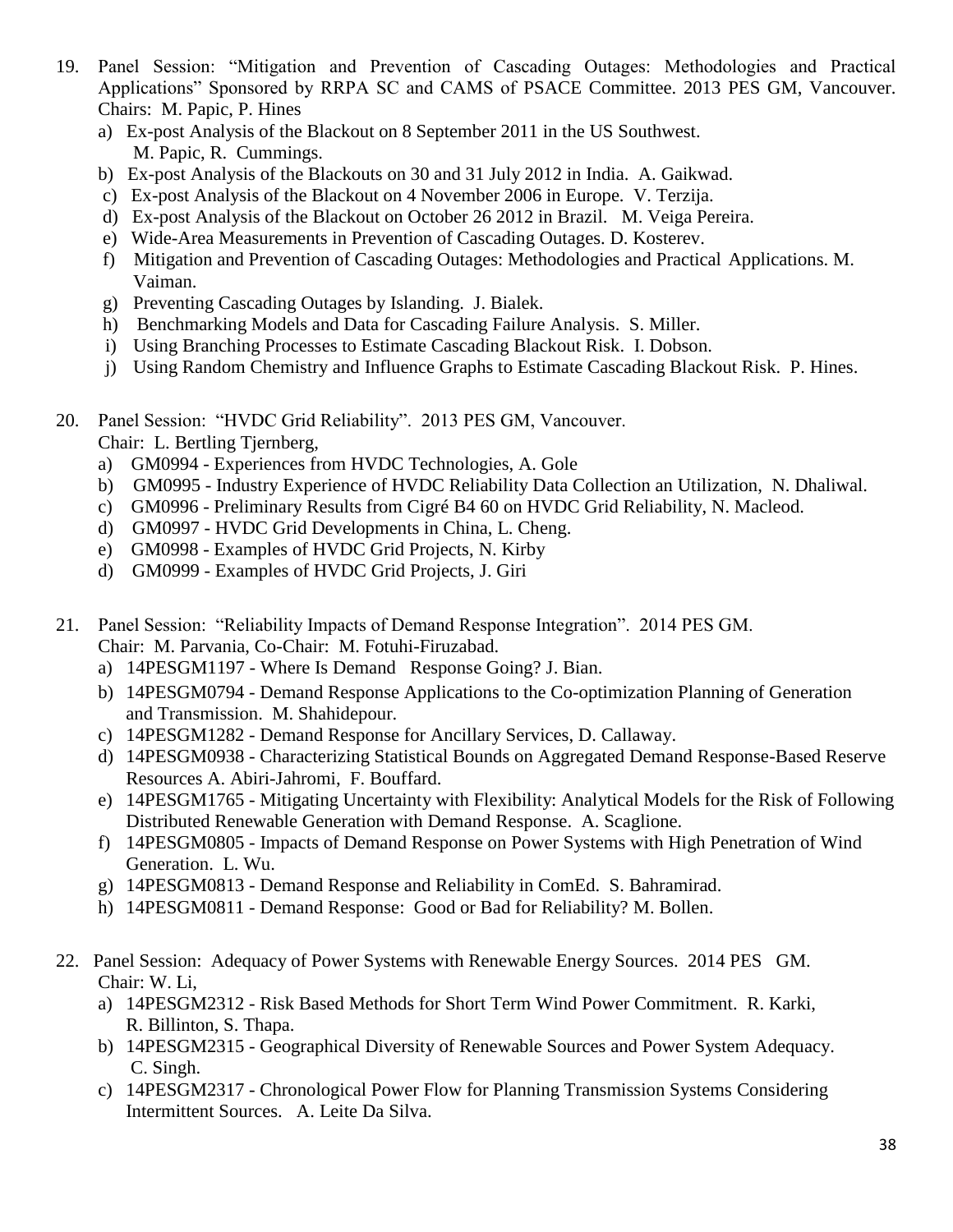- 19. Panel Session: "Mitigation and Prevention of Cascading Outages: Methodologies and Practical Applications" Sponsored by RRPA SC and CAMS of PSACE Committee. 2013 PES GM, Vancouver. Chairs: M. Papic, P. Hines
	- a) Ex-post Analysis of the Blackout on 8 September 2011 in the US Southwest. M. Papic, R. Cummings.
	- b) Ex-post Analysis of the Blackouts on 30 and 31 July 2012 in India. A. Gaikwad.
	- c) Ex-post Analysis of the Blackout on 4 November 2006 in Europe. V. Terzija.
	- d) Ex-post Analysis of the Blackout on October 26 2012 in Brazil. M. Veiga Pereira.
	- e) Wide-Area Measurements in Prevention of Cascading Outages. D. Kosterev.
	- f) Mitigation and Prevention of Cascading Outages: Methodologies and Practical Applications. M. Vaiman.
	- g) Preventing Cascading Outages by Islanding. J. Bialek.
	- h) Benchmarking Models and Data for Cascading Failure Analysis. S. Miller.
	- i) Using Branching Processes to Estimate Cascading Blackout Risk. I. Dobson.
	- j) Using Random Chemistry and Influence Graphs to Estimate Cascading Blackout Risk. P. Hines.
- 20. Panel Session: "HVDC Grid Reliability". 2013 PES GM, Vancouver.
	- Chair: L. Bertling Tjernberg,
	- a) GM0994 Experiences from HVDC Technologies, A. Gole
	- b) GM0995 Industry Experience of HVDC Reliability Data Collection an Utilization, N. Dhaliwal.
	- c) GM0996 Preliminary Results from Cigré B4 60 on HVDC Grid Reliability, N. Macleod.
	- d) GM0997 HVDC Grid Developments in China, L. Cheng.
	- e) GM0998 Examples of HVDC Grid Projects, N. Kirby
	- d) GM0999 Examples of HVDC Grid Projects, J. Giri
- 21. Panel Session: "Reliability Impacts of Demand Response Integration". 2014 PES GM. Chair: M. Parvania, Co-Chair: M. Fotuhi-Firuzabad.
	- a) 14PESGM1197 Where Is Demand Response Going? J. Bian.
	- b) 14PESGM0794 Demand Response Applications to the Co-optimization Planning of Generation and Transmission. M. Shahidepour.
	- c) 14PESGM1282 Demand Response for Ancillary Services, D. Callaway.
	- d) 14PESGM0938 Characterizing Statistical Bounds on Aggregated Demand Response-Based Reserve Resources A. Abiri-Jahromi, F. Bouffard.
	- e) 14PESGM1765 Mitigating Uncertainty with Flexibility: Analytical Models for the Risk of Following Distributed Renewable Generation with Demand Response. A. Scaglione.
	- f) 14PESGM0805 Impacts of Demand Response on Power Systems with High Penetration of Wind Generation. L. Wu.
	- g) 14PESGM0813 Demand Response and Reliability in ComEd. S. Bahramirad.
	- h) 14PESGM0811 Demand Response: Good or Bad for Reliability? M. Bollen.
- 22. Panel Session: Adequacy of Power Systems with Renewable Energy Sources. 2014 PES GM. Chair: W. Li,
	- a) 14PESGM2312 Risk Based Methods for Short Term Wind Power Commitment. R. Karki, R. Billinton, S. Thapa.
	- b) 14PESGM2315 Geographical Diversity of Renewable Sources and Power System Adequacy. C. Singh.
	- c) 14PESGM2317 Chronological Power Flow for Planning Transmission Systems Considering Intermittent Sources. A. Leite Da Silva.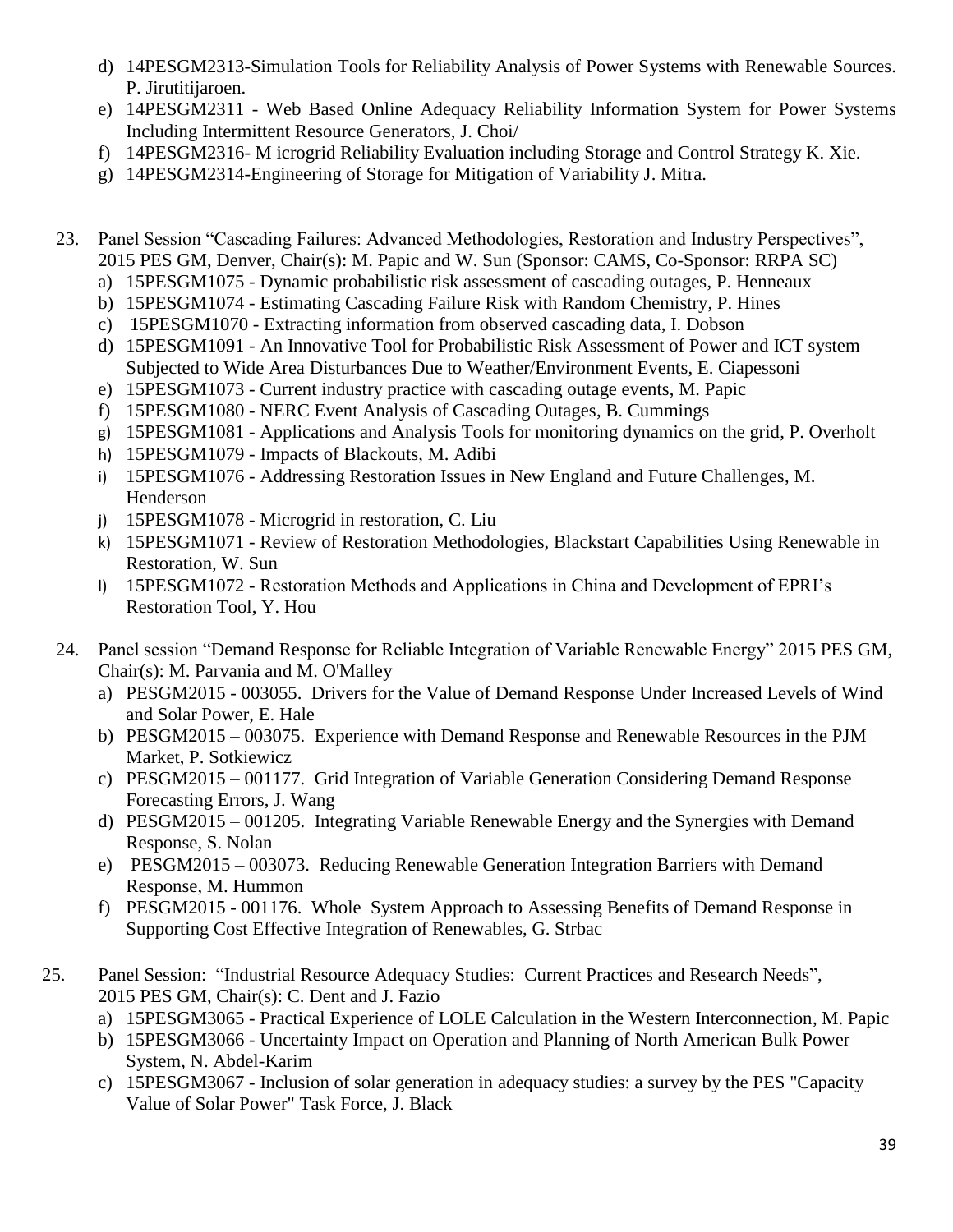- d) 14PESGM2313-Simulation Tools for Reliability Analysis of Power Systems with Renewable Sources. P. Jirutitijaroen.
- e) 14PESGM2311 Web Based Online Adequacy Reliability Information System for Power Systems Including Intermittent Resource Generators, J. Choi/
- f) 14PESGM2316- M icrogrid Reliability Evaluation including Storage and Control Strategy K. Xie.
- g) 14PESGM2314-Engineering of Storage for Mitigation of Variability J. Mitra.
- 23. Panel Session "Cascading Failures: Advanced Methodologies, Restoration and Industry Perspectives", 2015 PES GM, Denver, Chair(s): M. Papic and W. Sun (Sponsor: CAMS, Co-Sponsor: RRPA SC)
	- a) 15PESGM1075 [Dynamic probabilistic risk assessment of cascading outages,](http://submissions.mirasmart.com/pesgm2015/Itinerary/TechnicalProgramSubmissionDetail.asp?id=1075) P. Henneaux
	- b) 15PESGM1074 [Estimating Cascading Failure Risk with Random Chemistry,](http://submissions.mirasmart.com/pesgm2015/Itinerary/TechnicalProgramSubmissionDetail.asp?id=1074) P. Hines
	- c) 15PESGM1070 [Extracting information from observed cascading data,](http://submissions.mirasmart.com/pesgm2015/Itinerary/TechnicalProgramSubmissionDetail.asp?id=1070) I. Dobson
	- d) 15PESGM1091 [An Innovative Tool for Probabilistic Risk Assessment of Power and ICT system](http://submissions.mirasmart.com/pesgm2015/Itinerary/TechnicalProgramSubmissionDetail.asp?id=1091)  [Subjected to Wide Area Disturbances Due to Weather/Environment Events,](http://submissions.mirasmart.com/pesgm2015/Itinerary/TechnicalProgramSubmissionDetail.asp?id=1091) E. Ciapessoni
	- e) 15PESGM1073 [Current industry practice with cascading outage events,](http://submissions.mirasmart.com/pesgm2015/Itinerary/TechnicalProgramSubmissionDetail.asp?id=1073) M. Papic
	- f) 15PESGM1080 [NERC Event Analysis of Cascading Outages,](http://submissions.mirasmart.com/pesgm2015/Itinerary/TechnicalProgramSubmissionDetail.asp?id=1080) B. Cummings
	- g) 15PESGM1081 [Applications and Analysis Tools for monitoring dynamics on the grid,](http://submissions.mirasmart.com/pesgm2015/Itinerary/TechnicalProgramSubmissionDetail.asp?id=1081) P. Overholt
	- h) 15PESGM1079 [Impacts of Blackouts,](http://submissions.mirasmart.com/pesgm2015/Itinerary/TechnicalProgramSubmissionDetail.asp?id=1079) M. Adibi
	- i) 15PESGM1076 [Addressing Restoration Issues in New England and Future Challenges,](http://submissions.mirasmart.com/pesgm2015/Itinerary/TechnicalProgramSubmissionDetail.asp?id=1076) M. Henderson
	- j) 15PESGM1078 [Microgrid in restoration,](http://submissions.mirasmart.com/pesgm2015/Itinerary/TechnicalProgramSubmissionDetail.asp?id=1078) C. Liu
	- k) 15PESGM1071 [Review of Restoration Methodologies, Blackstart Capabilities](http://submissions.mirasmart.com/pesgm2015/Itinerary/TechnicalProgramSubmissionDetail.asp?id=1071) Using Renewable in [Restoration,](http://submissions.mirasmart.com/pesgm2015/Itinerary/TechnicalProgramSubmissionDetail.asp?id=1071) W. Sun
	- l) 15PESGM1072 [Restoration Methods and Applications in China and Development of EPRI's](http://submissions.mirasmart.com/pesgm2015/Itinerary/TechnicalProgramSubmissionDetail.asp?id=1072)  [Restoration Tool,](http://submissions.mirasmart.com/pesgm2015/Itinerary/TechnicalProgramSubmissionDetail.asp?id=1072) Y. Hou
- 24. Panel session "Demand Response for Reliable Integration of Variable Renewable Energy" 2015 PES GM, Chair(s): M. Parvania and M. O'Malley
	- a) PESGM2015 003055. Drivers for the Value of Demand Response Under Increased Levels of Wind and Solar Power, E. Hale
	- b) PESGM2015 003075. Experience with Demand Response and Renewable Resources in the PJM Market, P. Sotkiewicz
	- c) PESGM2015 001177. Grid Integration of Variable Generation Considering Demand Response Forecasting Errors, J. Wang
	- d) PESGM2015 001205. Integrating Variable Renewable Energy and the Synergies with Demand Response, S. Nolan
	- e) PESGM2015 003073. Reducing Renewable Generation Integration Barriers with Demand Response, M. Hummon
	- f) PESGM2015 001176. Whole System Approach to Assessing Benefits of Demand Response in Supporting Cost Effective Integration of Renewables, G. Strbac
- 25. Panel Session: "Industrial Resource Adequacy Studies: Current Practices and Research Needs", 2015 PES GM, Chair(s): C. Dent and J. Fazio
	- a) 15PESGM3065 Practical Experience of LOLE Calculation in the Western Interconnection, M. Papic
	- b) 15PESGM3066 Uncertainty Impact on Operation and Planning of North American Bulk Power System, N. Abdel-Karim
	- c) 15PESGM3067 Inclusion of solar generation in adequacy studies: a survey by the PES "Capacity Value of Solar Power" Task Force, J. Black